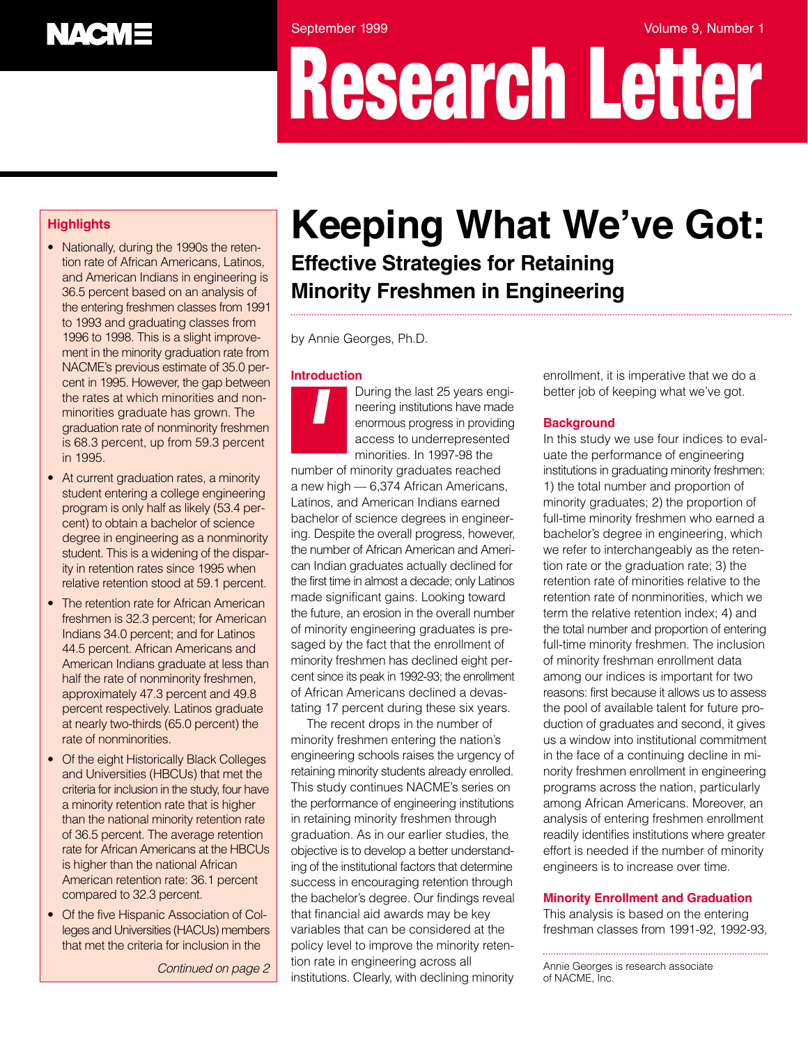# **NACME**

September 1999 **Volume 9, Number 1** 

# **Research Letter**

# *Highlights*

- Nationally, during the 1990s the retention rate of African Americans, Latinos, and American Indians in engineering is 36.5 percent based on an analysis of the entering freshmen classes from 1991 to 1993 and graduating classes from 1996 to 1998. This is a slight improvement in the minority graduation rate from NACME's previous estimate of 35.0 percent in 1995. However, the gap between the rates at which minorities and nonminorities graduate has grown. The graduation rate of nonminority freshmen is 68.3 percent, up from 59.3 percent in 1995.
- At current graduation rates, a minority student entering a college engineering program is only half as likely (53.4 percent) to obtain a bachelor of science degree in engineering as a nonminority student. This is a widening of the disparity in retention rates since 1995 when relative retention stood at 59.1 percent.
- The retention rate for African American freshmen is 32.3 percent; for American Indians 34.0 percent; and for Latinos 44.5 percent. African Americans and American Indians graduate at less than half the rate of nonminority freshmen, approximately 47.3 percent and 49.8 percent respectively. Latinos graduate at nearly two-thirds (65.0 percent) the rate of nonminorities.
- Of the eight Historically Black Colleges and Universities (HBCUs) that met the criteria for inclusion in the study, four have a minority retention rate that is higher than the national minority retention rate of 36.5 percent. The average retention rate for African Americans at the HBCUs is higher than the national African American retention rate: 36.1 percent compared to 32.3 percent.
- Of the five Hispanic Association of Colleges and Universities (HACUs) members that met the criteria for inclusion in the

# *Keeping What We've Got: Effective Strategies for Retaining Minority Freshmen in Engineering*

by Annie Georges, Ph.D.

#### **Introduction**

*I*

During the last 25 years engineering institutions have made enormous progress in providing access to underrepresented minorities. In 1997-98 the

number of minority graduates reached a new high — 6,374 African Americans, Latinos, and American Indians earned bachelor of science degrees in engineering. Despite the overall progress, however, the number of African American and American Indian graduates actually declined for the first time in almost a decade; only Latinos made significant gains. Looking toward the future, an erosion in the overall number of minority engineering graduates is presaged by the fact that the enrollment of minority freshmen has declined eight percent since its peak in 1992-93; the enrollment of African Americans declined a devastating 17 percent during these six years.

The recent drops in the number of minority freshmen entering the nation's engineering schools raises the urgency of retaining minority students already enrolled. This study continues NACME's series on the performance of engineering institutions in retaining minority freshmen through graduation. As in our earlier studies, the objective is to develop a better understanding of the institutional factors that determine success in encouraging retention through the bachelor's degree. Our findings reveal that financial aid awards may be key variables that can be considered at the policy level to improve the minority retention rate in engineering across all institutions. Clearly, with declining minority of NACME, Inc. *Continued on page 2*

enrollment, it is imperative that we do a better job of keeping what we've got.

## **Background**

In this study we use four indices to evaluate the performance of engineering institutions in graduating minority freshmen: 1) the total number and proportion of minority graduates; 2) the proportion of full-time minority freshmen who earned a bachelor's degree in engineering, which we refer to interchangeably as the retention rate or the graduation rate; 3) the retention rate of minorities relative to the retention rate of nonminorities, which we term the relative retention index; 4) and the total number and proportion of entering full-time minority freshmen. The inclusion of minority freshman enrollment data among our indices is important for two reasons: first because it allows us to assess the pool of available talent for future production of graduates and second, it gives us a window into institutional commitment in the face of a continuing decline in minority freshmen enrollment in engineering programs across the nation, particularly among African Americans. Moreover, an analysis of entering freshmen enrollment readily identifies institutions where greater effort is needed if the number of minority engineers is to increase over time.

#### **Minority Enrollment and Graduation**

This analysis is based on the entering freshman classes from 1991-92, 1992-93,

Annie Georges is research associate<br>of NACME, Inc.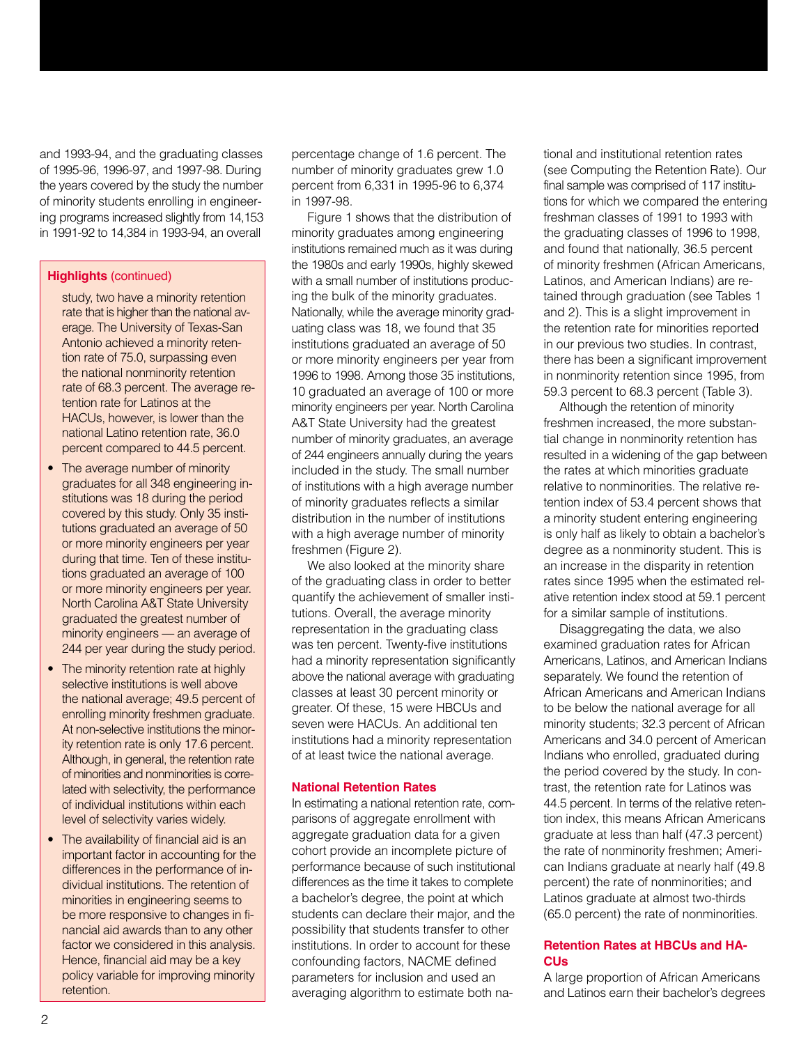and 1993-94, and the graduating classes of 1995-96, 1996-97, and 1997-98. During the years covered by the study the number of minority students enrolling in engineering programs increased slightly from 14,153 in 1991-92 to 14,384 in 1993-94, an overall

#### **Highlights** (continued)

- study, two have a minority retention rate that is higher than the national average. The University of Texas-San Antonio achieved a minority retention rate of 75.0, surpassing even the national nonminority retention rate of 68.3 percent. The average retention rate for Latinos at the HACUs, however, is lower than the national Latino retention rate, 36.0 percent compared to 44.5 percent.
- The average number of minority graduates for all 348 engineering institutions was 18 during the period covered by this study. Only 35 institutions graduated an average of 50 or more minority engineers per year during that time. Ten of these institutions graduated an average of 100 or more minority engineers per year. North Carolina A&T State University graduated the greatest number of minority engineers — an average of 244 per year during the study period.
- The minority retention rate at highly selective institutions is well above the national average; 49.5 percent of enrolling minority freshmen graduate. At non-selective institutions the minority retention rate is only 17.6 percent. Although, in general, the retention rate of minorities and nonminorities is correlated with selectivity, the performance of individual institutions within each level of selectivity varies widely.
- The availability of financial aid is an important factor in accounting for the differences in the performance of individual institutions. The retention of minorities in engineering seems to be more responsive to changes in financial aid awards than to any other factor we considered in this analysis. Hence, financial aid may be a key policy variable for improving minority retention.

percentage change of 1.6 percent. The number of minority graduates grew 1.0 percent from 6,331 in 1995-96 to 6,374 in 1997-98.

Figure 1 shows that the distribution of minority graduates among engineering institutions remained much as it was during the 1980s and early 1990s, highly skewed with a small number of institutions producing the bulk of the minority graduates. Nationally, while the average minority graduating class was 18, we found that 35 institutions graduated an average of 50 or more minority engineers per year from 1996 to 1998. Among those 35 institutions, 10 graduated an average of 100 or more minority engineers per year. North Carolina A&T State University had the greatest number of minority graduates, an average of 244 engineers annually during the years included in the study. The small number of institutions with a high average number of minority graduates reflects a similar distribution in the number of institutions with a high average number of minority freshmen (Figure 2).

We also looked at the minority share of the graduating class in order to better quantify the achievement of smaller institutions. Overall, the average minority representation in the graduating class was ten percent. Twenty-five institutions had a minority representation significantly above the national average with graduating classes at least 30 percent minority or greater. Of these, 15 were HBCUs and seven were HACUs. An additional ten institutions had a minority representation of at least twice the national average.

#### **National Retention Rates**

In estimating a national retention rate, comparisons of aggregate enrollment with aggregate graduation data for a given cohort provide an incomplete picture of performance because of such institutional differences as the time it takes to complete a bachelor's degree, the point at which students can declare their major, and the possibility that students transfer to other institutions. In order to account for these confounding factors, NACME defined parameters for inclusion and used an averaging algorithm to estimate both national and institutional retention rates (see Computing the Retention Rate). Our final sample was comprised of 117 institutions for which we compared the entering freshman classes of 1991 to 1993 with the graduating classes of 1996 to 1998, and found that nationally, 36.5 percent of minority freshmen (African Americans, Latinos, and American Indians) are retained through graduation (see Tables 1 and 2). This is a slight improvement in the retention rate for minorities reported in our previous two studies. In contrast, there has been a significant improvement in nonminority retention since 1995, from 59.3 percent to 68.3 percent (Table 3).

Although the retention of minority freshmen increased, the more substantial change in nonminority retention has resulted in a widening of the gap between the rates at which minorities graduate relative to nonminorities. The relative retention index of 53.4 percent shows that a minority student entering engineering is only half as likely to obtain a bachelor's degree as a nonminority student. This is an increase in the disparity in retention rates since 1995 when the estimated relative retention index stood at 59.1 percent for a similar sample of institutions.

Disaggregating the data, we also examined graduation rates for African Americans, Latinos, and American Indians separately. We found the retention of African Americans and American Indians to be below the national average for all minority students; 32.3 percent of African Americans and 34.0 percent of American Indians who enrolled, graduated during the period covered by the study. In contrast, the retention rate for Latinos was 44.5 percent. In terms of the relative retention index, this means African Americans graduate at less than half (47.3 percent) the rate of nonminority freshmen; American Indians graduate at nearly half (49.8 percent) the rate of nonminorities; and Latinos graduate at almost two-thirds (65.0 percent) the rate of nonminorities.

#### **Retention Rates at HBCUs and HA-CUs**

A large proportion of African Americans and Latinos earn their bachelor's degrees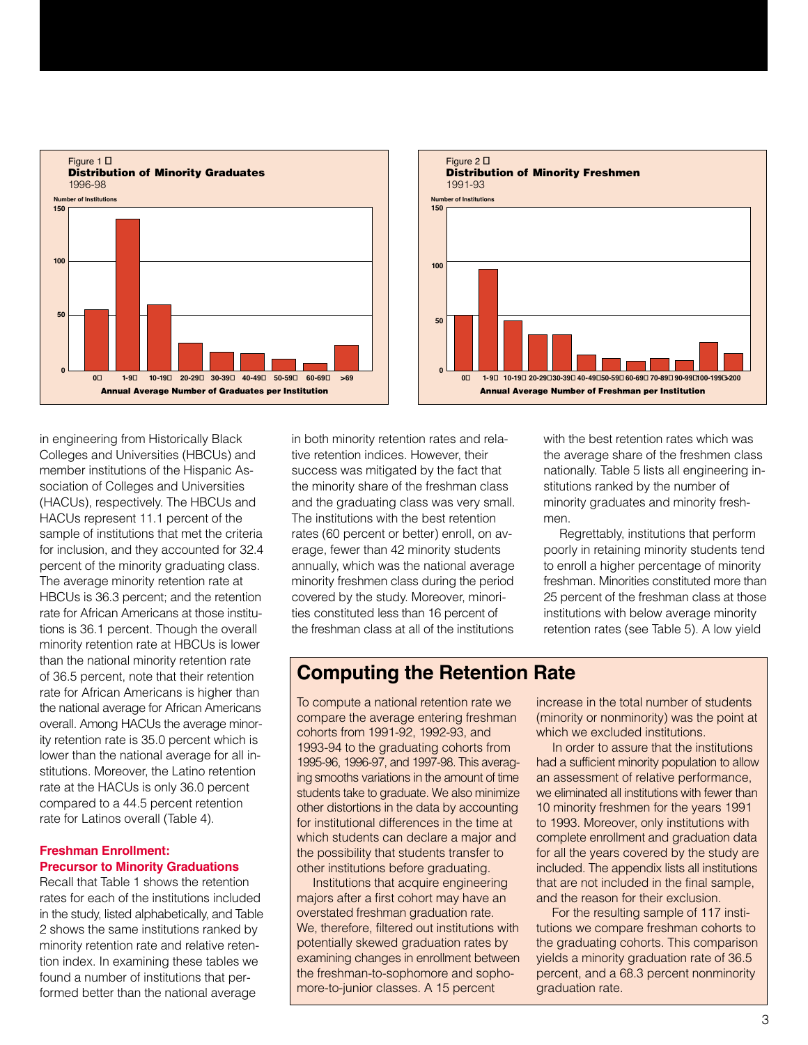



in engineering from Historically Black Colleges and Universities (HBCUs) and member institutions of the Hispanic Association of Colleges and Universities (HACUs), respectively. The HBCUs and HACUs represent 11.1 percent of the sample of institutions that met the criteria for inclusion, and they accounted for 32.4 percent of the minority graduating class. The average minority retention rate at HBCUs is 36.3 percent; and the retention rate for African Americans at those institutions is 36.1 percent. Though the overall minority retention rate at HBCUs is lower than the national minority retention rate of 36.5 percent, note that their retention rate for African Americans is higher than the national average for African Americans overall. Among HACUs the average minority retention rate is 35.0 percent which is lower than the national average for all institutions. Moreover, the Latino retention rate at the HACUs is only 36.0 percent compared to a 44.5 percent retention rate for Latinos overall (Table 4).

#### **Freshman Enrollment: Precursor to Minority Graduations**

Recall that Table 1 shows the retention rates for each of the institutions included in the study, listed alphabetically, and Table 2 shows the same institutions ranked by minority retention rate and relative retention index. In examining these tables we found a number of institutions that performed better than the national average

in both minority retention rates and relative retention indices. However, their success was mitigated by the fact that the minority share of the freshman class and the graduating class was very small. The institutions with the best retention rates (60 percent or better) enroll, on average, fewer than 42 minority students annually, which was the national average minority freshmen class during the period covered by the study. Moreover, minorities constituted less than 16 percent of the freshman class at all of the institutions

with the best retention rates which was the average share of the freshmen class nationally. Table 5 lists all engineering institutions ranked by the number of minority graduates and minority freshmen.

Regrettably, institutions that perform poorly in retaining minority students tend to enroll a higher percentage of minority freshman. Minorities constituted more than 25 percent of the freshman class at those institutions with below average minority retention rates (see Table 5). A low yield

# **Computing the Retention Rate**

To compute a national retention rate we compare the average entering freshman cohorts from 1991-92, 1992-93, and 1993-94 to the graduating cohorts from 1995-96, 1996-97, and 1997-98. This averaging smooths variations in the amount of time students take to graduate. We also minimize other distortions in the data by accounting for institutional differences in the time at which students can declare a major and the possibility that students transfer to other institutions before graduating.

Institutions that acquire engineering majors after a first cohort may have an overstated freshman graduation rate. We, therefore, filtered out institutions with potentially skewed graduation rates by examining changes in enrollment between the freshman-to-sophomore and sophomore-to-junior classes. A 15 percent

increase in the total number of students (minority or nonminority) was the point at which we excluded institutions.

In order to assure that the institutions had a sufficient minority population to allow an assessment of relative performance, we eliminated all institutions with fewer than 10 minority freshmen for the years 1991 to 1993. Moreover, only institutions with complete enrollment and graduation data for all the years covered by the study are included. The appendix lists all institutions that are not included in the final sample, and the reason for their exclusion.

For the resulting sample of 117 institutions we compare freshman cohorts to the graduating cohorts. This comparison yields a minority graduation rate of 36.5 percent, and a 68.3 percent nonminority graduation rate.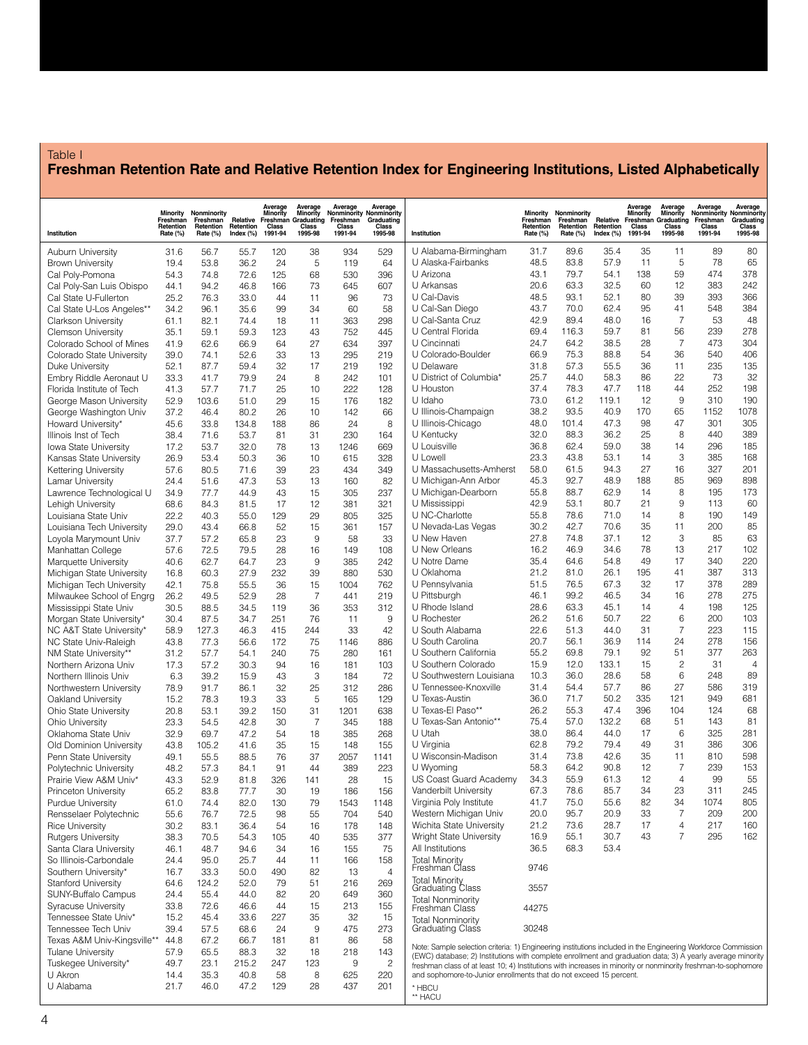# Table I **Freshman Retention Rate and Relative Retention Index for Engineering Institutions, Listed Alphabetically**

|                                                       | Minority<br>Freshman<br>Retention | Nonminority<br>Freshman<br>Retention | Relative<br>Retention | Average<br>Minority<br>Freshman<br>Class | Average<br>Minority<br>Graduating<br>Class | Average<br>Nonminority Nonminority<br>Freshman<br>Class | Average<br>Graduating<br>Class |                                                                                                                                                                                      | Minority<br>Freshman<br>Retention | Nonminority<br>Freshman<br>Retention | Relative<br>Retention | Average<br>Minority<br>Freshman<br>Class | Average<br>Minority<br>Graduating<br>Class | Average<br>Nonminority<br>Freshman<br>Class | Average<br>Nonminority<br>Graduating<br>Class |
|-------------------------------------------------------|-----------------------------------|--------------------------------------|-----------------------|------------------------------------------|--------------------------------------------|---------------------------------------------------------|--------------------------------|--------------------------------------------------------------------------------------------------------------------------------------------------------------------------------------|-----------------------------------|--------------------------------------|-----------------------|------------------------------------------|--------------------------------------------|---------------------------------------------|-----------------------------------------------|
| Institution                                           | Rate (%)                          | Rate (%)                             | Index $(\%)$          | 1991-94                                  | 1995-98                                    | 1991-94                                                 | 1995-98                        | Institution                                                                                                                                                                          | Rate (%)                          | Rate (%)                             | Index $(\%)$          | 1991-94                                  | 1995-98                                    | 1991-94                                     | 1995-98                                       |
| Auburn University                                     | 31.6                              | 56.7                                 | 55.7                  | 120                                      | 38                                         | 934                                                     | 529                            | U Alabama-Birmingham                                                                                                                                                                 | 31.7                              | 89.6                                 | 35.4                  | 35                                       | 11                                         | 89                                          | 80                                            |
| <b>Brown University</b>                               | 19.4<br>54.3                      | 53.8<br>74.8                         | 36.2<br>72.6          | 24<br>125                                | 5<br>68                                    | 119<br>530                                              | 64<br>396                      | U Alaska-Fairbanks<br>U Arizona                                                                                                                                                      | 48.5<br>43.1                      | 83.8<br>79.7                         | 57.9<br>54.1          | 11<br>138                                | 5<br>59                                    | 78<br>474                                   | 65<br>378                                     |
| Cal Poly-Pomona<br>Cal Poly-San Luis Obispo           | 44.1                              | 94.2                                 | 46.8                  | 166                                      | 73                                         | 645                                                     | 607                            | U Arkansas                                                                                                                                                                           | 20.6                              | 63.3                                 | 32.5                  | 60                                       | 12                                         | 383                                         | 242                                           |
| Cal State U-Fullerton                                 | 25.2                              | 76.3                                 | 33.0                  | 44                                       | 11                                         | 96                                                      | 73                             | U Cal-Davis                                                                                                                                                                          | 48.5                              | 93.1                                 | 52.1                  | 80                                       | 39                                         | 393                                         | 366                                           |
| Cal State U-Los Angeles**                             | 34.2                              | 96.1                                 | 35.6                  | 99                                       | 34                                         | 60                                                      | 58                             | U Cal-San Diego                                                                                                                                                                      | 43.7                              | 70.0                                 | 62.4                  | 95                                       | 41                                         | 548                                         | 384                                           |
| <b>Clarkson University</b>                            | 61.1                              | 82.1                                 | 74.4                  | 18                                       | 11                                         | 363                                                     | 298                            | U Cal-Santa Cruz<br>U Central Florida                                                                                                                                                | 42.9<br>69.4                      | 89.4<br>116.3                        | 48.0<br>59.7          | 16<br>81                                 | $\overline{7}$<br>56                       | 53<br>239                                   | 48<br>278                                     |
| <b>Clemson University</b><br>Colorado School of Mines | 35.1<br>41.9                      | 59.1<br>62.6                         | 59.3<br>66.9          | 123<br>64                                | 43<br>27                                   | 752<br>634                                              | 445<br>397                     | U Cincinnati                                                                                                                                                                         | 24.7                              | 64.2                                 | 38.5                  | 28                                       | $\overline{7}$                             | 473                                         | 304                                           |
| Colorado State University                             | 39.0                              | 74.1                                 | 52.6                  | 33                                       | 13                                         | 295                                                     | 219                            | U Colorado-Boulder                                                                                                                                                                   | 66.9                              | 75.3                                 | 88.8                  | 54                                       | 36                                         | 540                                         | 406                                           |
| Duke University                                       | 52.1                              | 87.7                                 | 59.4                  | 32                                       | 17                                         | 219                                                     | 192                            | U Delaware                                                                                                                                                                           | 31.8                              | 57.3                                 | 55.5                  | 36                                       | 11                                         | 235                                         | 135                                           |
| Embry Riddle Aeronaut U                               | 33.3                              | 41.7                                 | 79.9                  | 24                                       | 8                                          | 242                                                     | 101                            | U District of Columbia*<br>U Houston                                                                                                                                                 | 25.7<br>37.4                      | 44.0<br>78.3                         | 58.3<br>47.7          | 86<br>118                                | 22<br>44                                   | 73<br>252                                   | 32<br>198                                     |
| Florida Institute of Tech<br>George Mason University  | 41.3<br>52.9                      | 57.7<br>103.6                        | 71.7<br>51.0          | 25<br>29                                 | 10<br>15                                   | 222<br>176                                              | 128<br>182                     | U Idaho                                                                                                                                                                              | 73.0                              | 61.2                                 | 119.1                 | 12                                       | 9                                          | 310                                         | 190                                           |
| George Washington Univ                                | 37.2                              | 46.4                                 | 80.2                  | 26                                       | 10                                         | 142                                                     | 66                             | U Illinois-Champaign                                                                                                                                                                 | 38.2                              | 93.5                                 | 40.9                  | 170                                      | 65                                         | 1152                                        | 1078                                          |
| Howard University*                                    | 45.6                              | 33.8                                 | 134.8                 | 188                                      | 86                                         | 24                                                      | 8                              | U Illinois-Chicago                                                                                                                                                                   | 48.0                              | 101.4                                | 47.3                  | 98                                       | 47                                         | 301                                         | 305                                           |
| Illinois Inst of Tech                                 | 38.4                              | 71.6                                 | 53.7                  | 81                                       | 31                                         | 230                                                     | 164                            | U Kentucky                                                                                                                                                                           | 32.0                              | 88.3                                 | 36.2                  | 25                                       | 8                                          | 440                                         | 389                                           |
| Iowa State University<br>Kansas State University      | 17.2<br>26.9                      | 53.7<br>53.4                         | 32.0<br>50.3          | 78<br>36                                 | 13<br>10                                   | 1246<br>615                                             | 669<br>328                     | U Louisville<br>U Lowell                                                                                                                                                             | 36.8<br>23.3                      | 62.4<br>43.8                         | 59.0<br>53.1          | 38<br>14                                 | 14<br>3                                    | 296<br>385                                  | 185<br>168                                    |
| Kettering University                                  | 57.6                              | 80.5                                 | 71.6                  | 39                                       | 23                                         | 434                                                     | 349                            | U Massachusetts-Amherst                                                                                                                                                              | 58.0                              | 61.5                                 | 94.3                  | 27                                       | 16                                         | 327                                         | 201                                           |
| Lamar University                                      | 24.4                              | 51.6                                 | 47.3                  | 53                                       | 13                                         | 160                                                     | 82                             | U Michigan-Ann Arbor                                                                                                                                                                 | 45.3                              | 92.7                                 | 48.9                  | 188                                      | 85                                         | 969                                         | 898                                           |
| Lawrence Technological U                              | 34.9                              | 77.7                                 | 44.9                  | 43                                       | 15                                         | 305                                                     | 237                            | U Michigan-Dearborn                                                                                                                                                                  | 55.8                              | 88.7                                 | 62.9                  | 14                                       | 8                                          | 195                                         | 173                                           |
| Lehigh University                                     | 68.6                              | 84.3                                 | 81.5                  | 17                                       | 12                                         | 381                                                     | 321                            | U Mississippi<br>U NC-Charlotte                                                                                                                                                      | 42.9<br>55.8                      | 53.1                                 | 80.7                  | 21<br>14                                 | 9<br>8                                     | 113<br>190                                  | 60<br>149                                     |
| Louisiana State Univ<br>Louisiana Tech University     | 22.2<br>29.0                      | 40.3<br>43.4                         | 55.0<br>66.8          | 129<br>52                                | 29<br>15                                   | 805<br>361                                              | 325<br>157                     | U Nevada-Las Vegas                                                                                                                                                                   | 30.2                              | 78.6<br>42.7                         | 71.0<br>70.6          | 35                                       | 11                                         | 200                                         | 85                                            |
| Loyola Marymount Univ                                 | 37.7                              | 57.2                                 | 65.8                  | 23                                       | 9                                          | 58                                                      | 33                             | U New Haven                                                                                                                                                                          | 27.8                              | 74.8                                 | 37.1                  | 12                                       | 3                                          | 85                                          | 63                                            |
| Manhattan College                                     | 57.6                              | 72.5                                 | 79.5                  | 28                                       | 16                                         | 149                                                     | 108                            | U New Orleans                                                                                                                                                                        | 16.2                              | 46.9                                 | 34.6                  | 78                                       | 13                                         | 217                                         | 102                                           |
| Marquette University                                  | 40.6                              | 62.7                                 | 64.7                  | 23                                       | 9                                          | 385                                                     | 242                            | U Notre Dame                                                                                                                                                                         | 35.4                              | 64.6                                 | 54.8                  | 49                                       | 17                                         | 340                                         | 220                                           |
| Michigan State University                             | 16.8                              | 60.3                                 | 27.9                  | 232                                      | 39                                         | 880                                                     | 530                            | U Oklahoma<br>U Pennsylvania                                                                                                                                                         | 21.2<br>51.5                      | 81.0<br>76.5                         | 26.1<br>67.3          | 195<br>32                                | 41<br>17                                   | 387<br>378                                  | 313<br>289                                    |
| Michigan Tech University<br>Milwaukee School of Engrg | 42.1<br>26.2                      | 75.8<br>49.5                         | 55.5<br>52.9          | 36<br>28                                 | 15<br>$\overline{7}$                       | 1004<br>441                                             | 762<br>219                     | U Pittsburgh                                                                                                                                                                         | 46.1                              | 99.2                                 | 46.5                  | 34                                       | 16                                         | 278                                         | 275                                           |
| Mississippi State Univ                                | 30.5                              | 88.5                                 | 34.5                  | 119                                      | 36                                         | 353                                                     | 312                            | U Rhode Island                                                                                                                                                                       | 28.6                              | 63.3                                 | 45.1                  | 14                                       | $\overline{4}$                             | 198                                         | 125                                           |
| Morgan State University*                              | 30.4                              | 87.5                                 | 34.7                  | 251                                      | 76                                         | 11                                                      | 9                              | U Rochester                                                                                                                                                                          | 26.2                              | 51.6                                 | 50.7                  | 22                                       | 6                                          | 200                                         | 103                                           |
| NC A&T State University*                              | 58.9                              | 127.3                                | 46.3                  | 415                                      | 244                                        | 33                                                      | 42                             | U South Alabama                                                                                                                                                                      | 22.6                              | 51.3                                 | 44.0                  | 31                                       | $\overline{7}$                             | 223                                         | 115                                           |
| NC State Univ-Raleigh<br>NM State University**        | 43.8<br>31.2                      | 77.3<br>57.7                         | 56.6<br>54.1          | 172<br>240                               | 75<br>75                                   | 1146<br>280                                             | 886<br>161                     | U South Carolina<br>U Southern California                                                                                                                                            | 20.7<br>55.2                      | 56.1<br>69.8                         | 36.9<br>79.1          | 114<br>92                                | 24<br>51                                   | 278<br>377                                  | 156<br>263                                    |
| Northern Arizona Univ                                 | 17.3                              | 57.2                                 | 30.3                  | 94                                       | 16                                         | 181                                                     | 103                            | U Southern Colorado                                                                                                                                                                  | 15.9                              | 12.0                                 | 133.1                 | 15                                       | $\overline{c}$                             | 31                                          | $\overline{4}$                                |
| Northern Illinois Univ                                | 6.3                               | 39.2                                 | 15.9                  | 43                                       | 3                                          | 184                                                     | 72                             | U Southwestern Louisiana                                                                                                                                                             | 10.3                              | 36.0                                 | 28.6                  | 58                                       | 6                                          | 248                                         | 89                                            |
| Northwestern University                               | 78.9                              | 91.7                                 | 86.1                  | 32                                       | 25                                         | 312                                                     | 286                            | U Tennessee-Knoxville                                                                                                                                                                | 31.4                              | 54.4                                 | 57.7                  | 86                                       | 27                                         | 586                                         | 319                                           |
| Oakland University                                    | 15.2                              | 78.3                                 | 19.3                  | 33                                       | 5                                          | 165                                                     | 129                            | U Texas-Austin<br>U Texas-El Paso**                                                                                                                                                  | 36.0<br>26.2                      | 71.7<br>55.3                         | 50.2<br>47.4          | 335<br>396                               | 121<br>104                                 | 949<br>124                                  | 681<br>68                                     |
| Ohio State University<br><b>Ohio University</b>       | 20.8<br>23.3                      | 53.1<br>54.5                         | 39.2<br>42.8          | 150<br>30                                | 31<br>$\overline{7}$                       | 1201<br>345                                             | 638<br>188                     | U Texas-San Antonio**                                                                                                                                                                | 75.4                              | 57.0                                 | 132.2                 | 68                                       | 51                                         | 143                                         | 81                                            |
| Oklahoma State Univ                                   | 32.9                              | 69.7                                 | 47.2                  | 54                                       | 18                                         | 385                                                     | 268                            | U Utah                                                                                                                                                                               | 38.0                              | 86.4                                 | 44.0                  | 17                                       | 6                                          | 325                                         | 281                                           |
| Old Dominion University                               | 43.8                              | 105.2                                | 41.6                  | 35                                       | 15                                         | 148                                                     | 155                            | U Virginia                                                                                                                                                                           | 62.8                              | 79.2                                 | 79.4                  | 49                                       | 31                                         | 386                                         | 306                                           |
| Penn State University                                 | 49.1                              | 55.5                                 | 88.5                  | 76                                       | 37                                         | 2057                                                    | 1141                           | U Wisconsin-Madison                                                                                                                                                                  | 31.4                              | 73.8                                 | 42.6                  | 35                                       | 11                                         | 810                                         | 598                                           |
| Polytechnic University<br>Prairie View A&M Univ*      | 48.2<br>43.3                      | 57.3<br>52.9                         | 84.1<br>81.8          | 91<br>326                                | 44<br>141                                  | 389<br>28                                               | 223<br>15                      | U Wyoming<br><b>US Coast Guard Academy</b>                                                                                                                                           | 58.3<br>34.3                      | 64.2<br>55.9                         | 90.8<br>61.3          | 12<br>12                                 | $\overline{7}$<br>$\overline{4}$           | 239<br>99                                   | 153<br>55                                     |
| Princeton University                                  | 65.2                              | 83.8                                 | 77.7                  | 30                                       | 19                                         | 186                                                     | 156                            | Vanderbilt University                                                                                                                                                                | 67.3                              | 78.6                                 | 85.7                  | 34                                       | 23                                         | 311                                         | 245                                           |
| Purdue University                                     | 61.0                              | 74.4                                 | 82.0                  | 130                                      | 79                                         | 1543                                                    | 1148                           | Virginia Poly Institute                                                                                                                                                              | 41.7                              | 75.0                                 | 55.6                  | 82                                       | 34                                         | 1074                                        | 805                                           |
| Rensselaer Polytechnic                                | 55.6                              | 76.7                                 | 72.5                  | 98                                       | 55                                         | 704                                                     | 540                            | Western Michigan Univ                                                                                                                                                                | 20.0                              | 95.7                                 | 20.9                  | 33                                       | $\overline{7}$                             | 209                                         | 200                                           |
| <b>Rice University</b>                                | 30.2                              | 83.1                                 | 36.4                  | 54                                       | 16                                         | 178                                                     | 148                            | Wichita State University                                                                                                                                                             | 21.2                              | 73.6                                 | 28.7                  | 17<br>43                                 | 4<br>$\overline{7}$                        | 217<br>295                                  | 160<br>162                                    |
| <b>Rutgers University</b><br>Santa Clara University   | 38.3<br>46.1                      | 70.5<br>48.7                         | 54.3<br>94.6          | 105<br>34                                | 40<br>16                                   | 535<br>155                                              | 377<br>75                      | Wright State University<br>All Institutions                                                                                                                                          | 16.9<br>36.5                      | 55.1<br>68.3                         | 30.7<br>53.4          |                                          |                                            |                                             |                                               |
| So Illinois-Carbondale                                | 24.4                              | 95.0                                 | 25.7                  | 44                                       | 11                                         | 166                                                     | 158                            | Total Minority<br>Freshman Class                                                                                                                                                     |                                   |                                      |                       |                                          |                                            |                                             |                                               |
| Southern University*                                  | 16.7                              | 33.3                                 | 50.0                  | 490                                      | 82                                         | 13                                                      | $\overline{4}$                 |                                                                                                                                                                                      | 9746                              |                                      |                       |                                          |                                            |                                             |                                               |
| <b>Stanford University</b>                            | 64.6                              | 124.2                                | 52.0                  | 79                                       | 51                                         | 216                                                     | 269                            | Total Minority<br>Graduating Class                                                                                                                                                   | 3557                              |                                      |                       |                                          |                                            |                                             |                                               |
| SUNY-Buffalo Campus                                   | 24.4                              | 55.4<br>72.6                         | 44.0<br>46.6          | 82<br>44                                 | 20<br>15                                   | 649                                                     | 360                            | <b>Total Nonminority</b>                                                                                                                                                             |                                   |                                      |                       |                                          |                                            |                                             |                                               |
| Syracuse University<br>Tennessee State Univ*          | 33.8<br>15.2                      | 45.4                                 | 33.6                  | 227                                      | 35                                         | 213<br>32                                               | 155<br>15                      | Freshman Class                                                                                                                                                                       | 44275                             |                                      |                       |                                          |                                            |                                             |                                               |
| Tennessee Tech Univ                                   | 39.4                              | 57.5                                 | 68.6                  | 24                                       | 9                                          | 475                                                     | 273                            | <b>Total Nonminority</b><br>Graduating Class                                                                                                                                         | 30248                             |                                      |                       |                                          |                                            |                                             |                                               |
| Texas A&M Univ-Kingsville**                           | 44.8                              | 67.2                                 | 66.7                  | 181                                      | 81                                         | 86                                                      | 58                             | Note: Sample selection criteria: 1) Engineering institutions included in the Engineering Workforce Commission                                                                        |                                   |                                      |                       |                                          |                                            |                                             |                                               |
| <b>Tulane University</b>                              | 57.9                              | 65.5                                 | 88.3                  | 32                                       | 18                                         | 218                                                     | 143                            | (EWC) database; 2) Institutions with complete enrollment and graduation data; 3) A yearly average minority                                                                           |                                   |                                      |                       |                                          |                                            |                                             |                                               |
| Tuskegee University*<br>U Akron                       | 49.7<br>14.4                      | 23.1<br>35.3                         | 215.2<br>40.8         | 247<br>58                                | 123<br>8                                   | 9<br>625                                                | $\overline{c}$<br>220          | freshman class of at least 10; 4) Institutions with increases in minority or nonminority freshman-to-sophomore<br>and sophomore-to-Junior enrollments that do not exceed 15 percent. |                                   |                                      |                       |                                          |                                            |                                             |                                               |
| U Alabama                                             | 21.7                              | 46.0                                 | 47.2                  | 129                                      | 28                                         | 437                                                     | 201                            | * HBCU                                                                                                                                                                               |                                   |                                      |                       |                                          |                                            |                                             |                                               |
|                                                       |                                   |                                      |                       |                                          |                                            |                                                         |                                | ** HACU                                                                                                                                                                              |                                   |                                      |                       |                                          |                                            |                                             |                                               |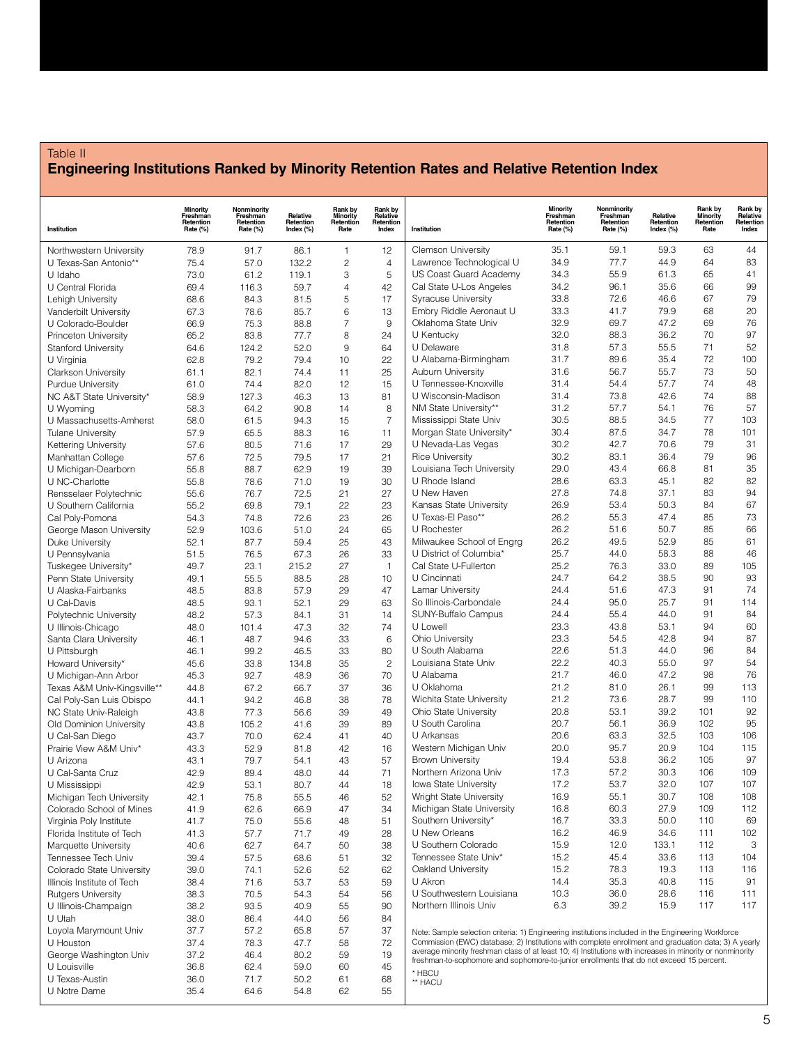# Table II **Engineering Institutions Ranked by Minority Retention Rates and Relative Retention Index**

| Institution                                 | <b>Minority</b><br>Freshman<br>Retention<br>Rate (%) | Nonminority<br>Freshman<br>Retention<br>Rate (%) | Relative<br>Retention<br>Index (%) | Rank by<br><b>Minority</b><br>Retention<br>Rate | Rank by<br>Relative<br>Retention<br>Index | Institution                                                                                                                                                                                                       | <b>Minority</b><br>Freshman<br>Retention<br>Rate (%) | Nonminority<br>Freshman<br>Retention<br>Rate (%) | Relative<br>Retention<br>Index (%) | Rank by<br><b>Minority</b><br>Retention<br>Rate | Rank by<br>Relative<br>Retention<br>Index |
|---------------------------------------------|------------------------------------------------------|--------------------------------------------------|------------------------------------|-------------------------------------------------|-------------------------------------------|-------------------------------------------------------------------------------------------------------------------------------------------------------------------------------------------------------------------|------------------------------------------------------|--------------------------------------------------|------------------------------------|-------------------------------------------------|-------------------------------------------|
| Northwestern University                     | 78.9                                                 | 91.7                                             | 86.1                               | $\mathbf{1}$                                    | 12                                        | <b>Clemson University</b>                                                                                                                                                                                         | 35.1                                                 | 59.1                                             | 59.3                               | 63                                              | 44                                        |
| U Texas-San Antonio**                       | 75.4                                                 | 57.0                                             | 132.2                              | $\overline{c}$                                  | $\overline{4}$                            | Lawrence Technological U                                                                                                                                                                                          | 34.9                                                 | 77.7                                             | 44.9                               | 64                                              | 83                                        |
| U Idaho                                     | 73.0                                                 | 61.2                                             | 119.1                              | 3                                               | 5                                         | US Coast Guard Academy                                                                                                                                                                                            | 34.3                                                 | 55.9                                             | 61.3                               | 65                                              | 41                                        |
| U Central Florida                           | 69.4                                                 | 116.3                                            | 59.7                               | $\overline{4}$                                  | 42                                        | Cal State U-Los Angeles                                                                                                                                                                                           | 34.2                                                 | 96.1                                             | 35.6                               | 66                                              | 99                                        |
| Lehigh University                           | 68.6                                                 | 84.3                                             | 81.5                               | 5                                               | 17                                        | <b>Syracuse University</b>                                                                                                                                                                                        | 33.8                                                 | 72.6                                             | 46.6                               | 67                                              | 79                                        |
| Vanderbilt University                       | 67.3                                                 | 78.6                                             | 85.7                               | $6\phantom{1}6$                                 | 13                                        | Embry Riddle Aeronaut U                                                                                                                                                                                           | 33.3                                                 | 41.7                                             | 79.9                               | 68                                              | 20                                        |
| U Colorado-Boulder                          | 66.9                                                 | 75.3                                             | 88.8                               | $\overline{7}$                                  | $9\,$                                     | Oklahoma State Univ                                                                                                                                                                                               | 32.9                                                 | 69.7                                             | 47.2                               | 69                                              | 76                                        |
| Princeton University                        | 65.2                                                 | 83.8                                             | 77.7                               | 8                                               | 24                                        | U Kentucky                                                                                                                                                                                                        | 32.0                                                 | 88.3                                             | 36.2                               | 70                                              | 97                                        |
| Stanford University                         | 64.6                                                 | 124.2                                            | 52.0                               | $\overline{9}$<br>10                            | 64                                        | U Delaware<br>U Alabama-Birmingham                                                                                                                                                                                | 31.8<br>31.7                                         | 57.3<br>89.6                                     | 55.5<br>35.4                       | 71<br>72                                        | 52<br>100                                 |
| U Virginia<br><b>Clarkson University</b>    | 62.8<br>61.1                                         | 79.2<br>82.1                                     | 79.4<br>74.4                       | 11                                              | 22<br>25                                  | <b>Auburn University</b>                                                                                                                                                                                          | 31.6                                                 | 56.7                                             | 55.7                               | 73                                              | 50                                        |
| <b>Purdue University</b>                    | 61.0                                                 | 74.4                                             | 82.0                               | 12                                              | 15                                        | U Tennessee-Knoxville                                                                                                                                                                                             | 31.4                                                 | 54.4                                             | 57.7                               | 74                                              | 48                                        |
| NC A&T State University*                    | 58.9                                                 | 127.3                                            | 46.3                               | 13                                              | 81                                        | U Wisconsin-Madison                                                                                                                                                                                               | 31.4                                                 | 73.8                                             | 42.6                               | 74                                              | 88                                        |
| U Wyoming                                   | 58.3                                                 | 64.2                                             | 90.8                               | 14                                              | 8                                         | NM State University**                                                                                                                                                                                             | 31.2                                                 | 57.7                                             | 54.1                               | 76                                              | 57                                        |
| U Massachusetts-Amherst                     | 58.0                                                 | 61.5                                             | 94.3                               | 15                                              | $\overline{7}$                            | Mississippi State Univ                                                                                                                                                                                            | 30.5                                                 | 88.5                                             | 34.5                               | 77                                              | 103                                       |
| <b>Tulane University</b>                    | 57.9                                                 | 65.5                                             | 88.3                               | 16                                              | 11                                        | Morgan State University*                                                                                                                                                                                          | 30.4                                                 | 87.5                                             | 34.7                               | 78                                              | 101                                       |
| Kettering University                        | 57.6                                                 | 80.5                                             | 71.6                               | 17                                              | 29                                        | U Nevada-Las Vegas                                                                                                                                                                                                | 30.2                                                 | 42.7                                             | 70.6                               | 79                                              | 31                                        |
| Manhattan College                           | 57.6                                                 | 72.5                                             | 79.5                               | 17                                              | 21                                        | <b>Rice University</b>                                                                                                                                                                                            | 30.2                                                 | 83.1                                             | 36.4                               | 79                                              | 96                                        |
| U Michigan-Dearborn                         | 55.8                                                 | 88.7                                             | 62.9                               | 19                                              | 39                                        | Louisiana Tech University                                                                                                                                                                                         | 29.0                                                 | 43.4                                             | 66.8                               | 81                                              | 35                                        |
| U NC-Charlotte                              | 55.8                                                 | 78.6                                             | 71.0                               | 19                                              | 30                                        | U Rhode Island                                                                                                                                                                                                    | 28.6                                                 | 63.3                                             | 45.1                               | 82                                              | 82                                        |
| Rensselaer Polytechnic                      | 55.6                                                 | 76.7                                             | 72.5                               | 21                                              | 27                                        | U New Haven                                                                                                                                                                                                       | 27.8                                                 | 74.8                                             | 37.1                               | 83                                              | 94                                        |
| U Southern California                       | 55.2                                                 | 69.8                                             | 79.1                               | 22                                              | 23                                        | Kansas State University                                                                                                                                                                                           | 26.9                                                 | 53.4                                             | 50.3                               | 84                                              | 67                                        |
| Cal Poly-Pomona                             | 54.3                                                 | 74.8                                             | 72.6                               | 23                                              | 26                                        | U Texas-El Paso**                                                                                                                                                                                                 | 26.2                                                 | 55.3                                             | 47.4                               | 85                                              | 73                                        |
| George Mason University                     | 52.9                                                 | 103.6                                            | 51.0                               | 24                                              | 65                                        | U Rochester                                                                                                                                                                                                       | 26.2                                                 | 51.6                                             | 50.7                               | 85                                              | 66                                        |
| Duke University                             | 52.1                                                 | 87.7                                             | 59.4                               | 25                                              | 43                                        | Milwaukee School of Engrg                                                                                                                                                                                         | 26.2                                                 | 49.5                                             | 52.9                               | 85                                              | 61                                        |
| U Pennsylvania                              | 51.5                                                 | 76.5                                             | 67.3                               | 26                                              | 33                                        | U District of Columbia*<br>Cal State U-Fullerton                                                                                                                                                                  | 25.7<br>25.2                                         | 44.0<br>76.3                                     | 58.3<br>33.0                       | 88<br>89                                        | 46<br>105                                 |
| Tuskegee University*                        | 49.7<br>49.1                                         | 23.1<br>55.5                                     | 215.2<br>88.5                      | 27<br>28                                        | $\mathbf{1}$<br>10                        | U Cincinnati                                                                                                                                                                                                      | 24.7                                                 | 64.2                                             | 38.5                               | 90                                              | 93                                        |
| Penn State University<br>U Alaska-Fairbanks | 48.5                                                 | 83.8                                             | 57.9                               | 29                                              | 47                                        | Lamar University                                                                                                                                                                                                  | 24.4                                                 | 51.6                                             | 47.3                               | 91                                              | 74                                        |
| U Cal-Davis                                 | 48.5                                                 | 93.1                                             | 52.1                               | 29                                              | 63                                        | So Illinois-Carbondale                                                                                                                                                                                            | 24.4                                                 | 95.0                                             | 25.7                               | 91                                              | 114                                       |
| Polytechnic University                      | 48.2                                                 | 57.3                                             | 84.1                               | 31                                              | 14                                        | SUNY-Buffalo Campus                                                                                                                                                                                               | 24.4                                                 | 55.4                                             | 44.0                               | 91                                              | 84                                        |
| U Illinois-Chicago                          | 48.0                                                 | 101.4                                            | 47.3                               | 32                                              | 74                                        | U Lowell                                                                                                                                                                                                          | 23.3                                                 | 43.8                                             | 53.1                               | 94                                              | 60                                        |
| Santa Clara University                      | 46.1                                                 | 48.7                                             | 94.6                               | 33                                              | 6                                         | Ohio University                                                                                                                                                                                                   | 23.3                                                 | 54.5                                             | 42.8                               | 94                                              | 87                                        |
| U Pittsburgh                                | 46.1                                                 | 99.2                                             | 46.5                               | 33                                              | 80                                        | U South Alabama                                                                                                                                                                                                   | 22.6                                                 | 51.3                                             | 44.0                               | 96                                              | 84                                        |
| Howard University*                          | 45.6                                                 | 33.8                                             | 134.8                              | 35                                              | $\overline{c}$                            | Louisiana State Univ                                                                                                                                                                                              | 22.2                                                 | 40.3                                             | 55.0                               | 97                                              | 54                                        |
| U Michigan-Ann Arbor                        | 45.3                                                 | 92.7                                             | 48.9                               | 36                                              | 70                                        | U Alabama                                                                                                                                                                                                         | 21.7                                                 | 46.0                                             | 47.2                               | 98                                              | 76                                        |
| Texas A&M Univ-Kingsville**                 | 44.8                                                 | 67.2                                             | 66.7                               | 37                                              | 36                                        | U Oklahoma                                                                                                                                                                                                        | 21.2                                                 | 81.0                                             | 26.1                               | 99                                              | 113                                       |
| Cal Poly-San Luis Obispo                    | 44.1                                                 | 94.2                                             | 46.8                               | 38                                              | 78                                        | Wichita State University                                                                                                                                                                                          | 21.2                                                 | 73.6                                             | 28.7                               | 99                                              | 110                                       |
| NC State Univ-Raleigh                       | 43.8                                                 | 77.3                                             | 56.6                               | 39                                              | 49                                        | <b>Ohio State University</b>                                                                                                                                                                                      | 20.8                                                 | 53.1                                             | 39.2                               | 101                                             | 92                                        |
| Old Dominion University                     | 43.8                                                 | 105.2                                            | 41.6                               | 39                                              | 89                                        | U South Carolina                                                                                                                                                                                                  | 20.7                                                 | 56.1                                             | 36.9                               | 102                                             | 95                                        |
| U Cal-San Diego                             | 43.7                                                 | 70.0                                             | 62.4                               | 41                                              | 40                                        | U Arkansas                                                                                                                                                                                                        | 20.6                                                 | 63.3                                             | 32.5                               | 103                                             | 106                                       |
| Prairie View A&M Univ*<br>U Arizona         | 43.3                                                 | 52.9                                             | 81.8                               | 42                                              | 16                                        | Western Michigan Univ                                                                                                                                                                                             | 20.0                                                 | 95.7<br>53.8                                     | 20.9<br>36.2                       | 104                                             | 115<br>97                                 |
| U Cal-Santa Cruz                            | 43.1<br>42.9                                         | 79.7<br>89.4                                     | 54.1<br>48.0                       | 43<br>44                                        | 57<br>71                                  | <b>Brown University</b><br>Northern Arizona Univ                                                                                                                                                                  | 19.4<br>17.3                                         | 57.2                                             | 30.3                               | 105<br>106                                      | 109                                       |
| U Mississippi                               | 42.9                                                 | 53.1                                             | 80.7                               | 44                                              | 18                                        | Iowa State University                                                                                                                                                                                             | 17.2                                                 | 53.7                                             | 32.0                               | 107                                             | 107                                       |
| Michigan Tech University                    | 42.1                                                 | 75.8                                             | 55.5                               | 46                                              | 52                                        | Wright State University                                                                                                                                                                                           | 16.9                                                 | 55.1                                             | 30.7                               | 108                                             | 108                                       |
| Colorado School of Mines                    | 41.9                                                 | 62.6                                             | 66.9                               | 47                                              | 34                                        | Michigan State University                                                                                                                                                                                         | 16.8                                                 | 60.3                                             | 27.9                               | 109                                             | 112                                       |
| Virginia Poly Institute                     | 41.7                                                 | 75.0                                             | 55.6                               | 48                                              | 51                                        | Southern University*                                                                                                                                                                                              | 16.7                                                 | 33.3                                             | 50.0                               | 110                                             | 69                                        |
| Florida Institute of Tech                   | 41.3                                                 | 57.7                                             | 71.7                               | 49                                              | 28                                        | U New Orleans                                                                                                                                                                                                     | 16.2                                                 | 46.9                                             | 34.6                               | 111                                             | 102                                       |
| Marquette University                        | 40.6                                                 | 62.7                                             | 64.7                               | 50                                              | 38                                        | U Southern Colorado                                                                                                                                                                                               | 15.9                                                 | 12.0                                             | 133.1                              | 112                                             | 3                                         |
| Tennessee Tech Univ                         | 39.4                                                 | 57.5                                             | 68.6                               | 51                                              | 32                                        | Tennessee State Univ*                                                                                                                                                                                             | 15.2                                                 | 45.4                                             | 33.6                               | 113                                             | 104                                       |
| Colorado State University                   | 39.0                                                 | 74.1                                             | 52.6                               | 52                                              | 62                                        | Oakland University                                                                                                                                                                                                | 15.2                                                 | 78.3                                             | 19.3                               | 113                                             | 116                                       |
| Illinois Institute of Tech                  | 38.4                                                 | 71.6                                             | 53.7                               | 53                                              | 59                                        | U Akron                                                                                                                                                                                                           | 14.4                                                 | 35.3                                             | 40.8                               | 115                                             | 91                                        |
| <b>Rutgers University</b>                   | 38.3                                                 | 70.5                                             | 54.3                               | 54                                              | 56                                        | U Southwestern Louisiana                                                                                                                                                                                          | 10.3                                                 | 36.0                                             | 28.6                               | 116                                             | 111                                       |
| U Illinois-Champaign                        | 38.2                                                 | 93.5                                             | 40.9                               | 55                                              | 90                                        | Northern Illinois Univ                                                                                                                                                                                            | 6.3                                                  | 39.2                                             | 15.9                               | 117                                             | 117                                       |
| U Utah                                      | 38.0                                                 | 86.4                                             | 44.0                               | 56                                              | 84                                        |                                                                                                                                                                                                                   |                                                      |                                                  |                                    |                                                 |                                           |
| Loyola Marymount Univ                       | 37.7                                                 | 57.2                                             | 65.8                               | 57                                              | 37                                        | Note: Sample selection criteria: 1) Engineering institutions included in the Engineering Workforce                                                                                                                |                                                      |                                                  |                                    |                                                 |                                           |
| U Houston                                   | 37.4                                                 | 78.3                                             | 47.7                               | 58                                              | 72                                        | Commission (EWC) database; 2) Institutions with complete enrollment and graduation data; 3) A yearly<br>average minority freshman class of at least 10; 4) Institutions with increases in minority or nonminority |                                                      |                                                  |                                    |                                                 |                                           |
| George Washington Univ                      | 37.2                                                 | 46.4                                             | 80.2                               | 59                                              | 19                                        | freshman-to-sophomore and sophomore-to-junior enrollments that do not exceed 15 percent.                                                                                                                          |                                                      |                                                  |                                    |                                                 |                                           |
| U Louisville                                | 36.8                                                 | 62.4                                             | 59.0                               | 60                                              | 45                                        | * HBCU                                                                                                                                                                                                            |                                                      |                                                  |                                    |                                                 |                                           |
| U Texas-Austin<br>U Notre Dame              | 36.0<br>35.4                                         | 71.7<br>64.6                                     | 50.2<br>54.8                       | 61<br>62                                        | 68<br>55                                  | ** HACU                                                                                                                                                                                                           |                                                      |                                                  |                                    |                                                 |                                           |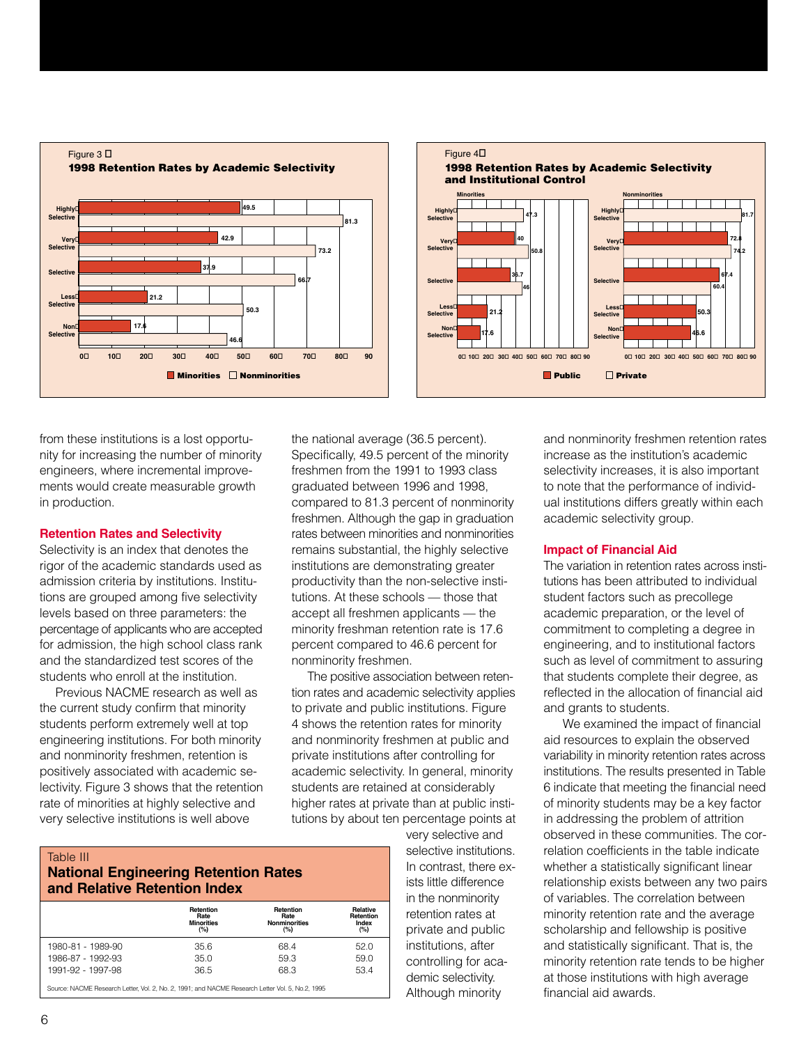



from these institutions is a lost opportunity for increasing the number of minority engineers, where incremental improvements would create measurable growth in production.

#### **Retention Rates and Selectivity**

Selectivity is an index that denotes the rigor of the academic standards used as admission criteria by institutions. Institutions are grouped among five selectivity levels based on three parameters: the percentage of applicants who are accepted for admission, the high school class rank and the standardized test scores of the students who enroll at the institution.

Previous NACME research as well as the current study confirm that minority students perform extremely well at top engineering institutions. For both minority and nonminority freshmen, retention is positively associated with academic selectivity. Figure 3 shows that the retention rate of minorities at highly selective and very selective institutions is well above

the national average (36.5 percent). Specifically, 49.5 percent of the minority freshmen from the 1991 to 1993 class graduated between 1996 and 1998, compared to 81.3 percent of nonminority freshmen. Although the gap in graduation rates between minorities and nonminorities remains substantial, the highly selective institutions are demonstrating greater productivity than the non-selective institutions. At these schools — those that accept all freshmen applicants — the minority freshman retention rate is 17.6 percent compared to 46.6 percent for nonminority freshmen.

The positive association between retention rates and academic selectivity applies to private and public institutions. Figure 4 shows the retention rates for minority and nonminority freshmen at public and private institutions after controlling for academic selectivity. In general, minority students are retained at considerably higher rates at private than at public institutions by about ten percentage points at

#### Table III **National Engineering Retention Rates and Relative Retention Index**

|                                                                                                   | Retention<br>Rate<br><b>Minorities</b><br>$(\%)$ | Retention<br>Rate<br><b>Nonminorities</b><br>(%) | <b>Relative</b><br>Retention<br>Index<br>(%) |
|---------------------------------------------------------------------------------------------------|--------------------------------------------------|--------------------------------------------------|----------------------------------------------|
| 1980-81 - 1989-90                                                                                 | 35.6                                             | 68.4                                             | 52.0                                         |
| 1986-87 - 1992-93                                                                                 | 35.0                                             | 59.3                                             | 59.0                                         |
| 1991-92 - 1997-98                                                                                 | 36.5                                             | 68.3                                             | 53.4                                         |
| Source: NACME Research Letter, Vol. 2, No. 2, 1991; and NACME Research Letter Vol. 5, No. 2, 1995 |                                                  |                                                  |                                              |

very selective and selective institutions. In contrast, there exists little difference in the nonminority retention rates at private and public institutions, after controlling for academic selectivity. Although minority

and nonminority freshmen retention rates increase as the institution's academic selectivity increases, it is also important to note that the performance of individual institutions differs greatly within each academic selectivity group.

#### **Impact of Financial Aid**

The variation in retention rates across institutions has been attributed to individual student factors such as precollege academic preparation, or the level of commitment to completing a degree in engineering, and to institutional factors such as level of commitment to assuring that students complete their degree, as reflected in the allocation of financial aid and grants to students.

We examined the impact of financial aid resources to explain the observed variability in minority retention rates across institutions. The results presented in Table 6 indicate that meeting the financial need of minority students may be a key factor in addressing the problem of attrition observed in these communities. The correlation coefficients in the table indicate whether a statistically significant linear relationship exists between any two pairs of variables. The correlation between minority retention rate and the average scholarship and fellowship is positive and statistically significant. That is, the minority retention rate tends to be higher at those institutions with high average financial aid awards.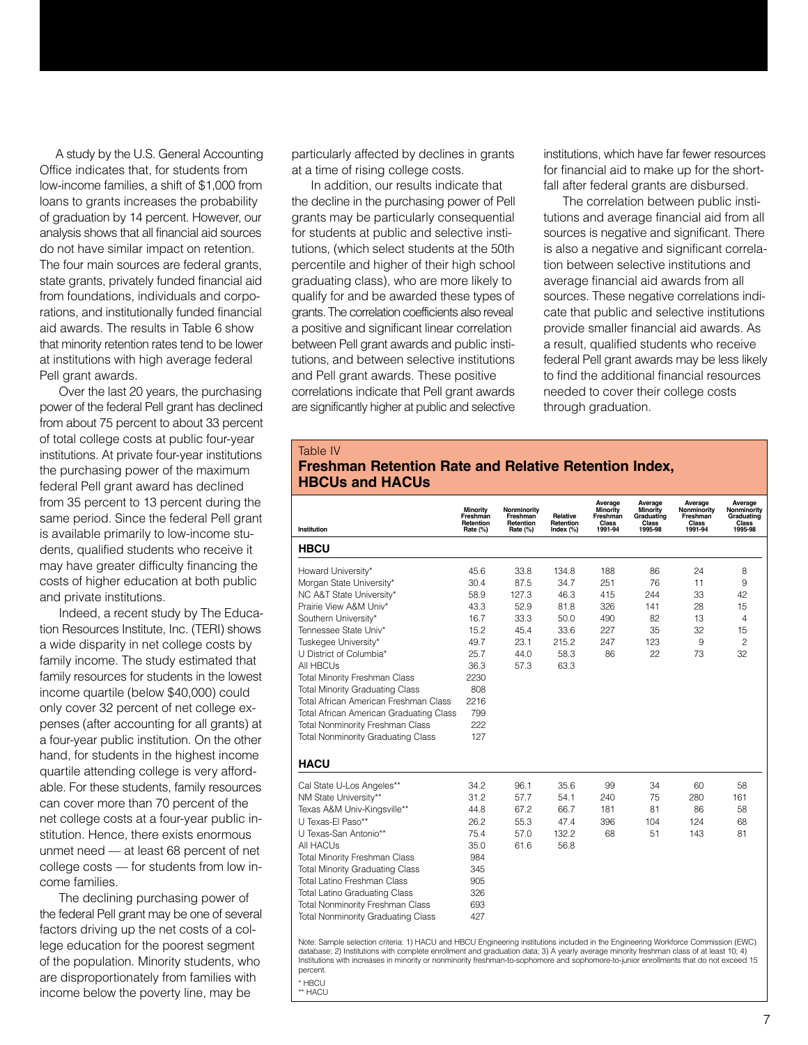A study by the U.S. General Accounting Office indicates that, for students from low-income families, a shift of \$1,000 from loans to grants increases the probability of graduation by 14 percent. However, our analysis shows that all financial aid sources do not have similar impact on retention. The four main sources are federal grants, state grants, privately funded financial aid from foundations, individuals and corporations, and institutionally funded financial aid awards. The results in Table 6 show that minority retention rates tend to be lower at institutions with high average federal Pell grant awards.

Over the last 20 years, the purchasing power of the federal Pell grant has declined from about 75 percent to about 33 percent of total college costs at public four-year institutions. At private four-year institutions the purchasing power of the maximum federal Pell grant award has declined from 35 percent to 13 percent during the same period. Since the federal Pell grant is available primarily to low-income students, qualified students who receive it may have greater difficulty financing the costs of higher education at both public and private institutions.

Indeed, a recent study by The Education Resources Institute, Inc. (TERI) shows a wide disparity in net college costs by family income. The study estimated that family resources for students in the lowest income quartile (below \$40,000) could only cover 32 percent of net college expenses (after accounting for all grants) at a four-year public institution. On the other hand, for students in the highest income quartile attending college is very affordable. For these students, family resources can cover more than 70 percent of the net college costs at a four-year public institution. Hence, there exists enormous unmet need — at least 68 percent of net college costs — for students from low income families.

The declining purchasing power of the federal Pell grant may be one of several factors driving up the net costs of a college education for the poorest segment of the population. Minority students, who are disproportionately from families with income below the poverty line, may be

particularly affected by declines in grants at a time of rising college costs.

In addition, our results indicate that the decline in the purchasing power of Pell grants may be particularly consequential for students at public and selective institutions, (which select students at the 50th percentile and higher of their high school graduating class), who are more likely to qualify for and be awarded these types of grants. The correlation coefficients also reveal a positive and significant linear correlation between Pell grant awards and public institutions, and between selective institutions and Pell grant awards. These positive correlations indicate that Pell grant awards are significantly higher at public and selective

institutions, which have far fewer resources for financial aid to make up for the shortfall after federal grants are disbursed.

The correlation between public institutions and average financial aid from all sources is negative and significant. There is also a negative and significant correlation between selective institutions and average financial aid awards from all sources. These negative correlations indicate that public and selective institutions provide smaller financial aid awards. As a result, qualified students who receive federal Pell grant awards may be less likely to find the additional financial resources needed to cover their college costs through graduation.

#### Table IV **Freshman Retention Rate and Relative Retention Index, HBCUs and HACUs**

|                                           | Minority<br>Freshman<br>Retention | Nonminority<br>Freshman<br>Retention | Relative<br>Retention | Average<br>Minority<br>Freshman<br>Class | Average<br>Minority<br>Graduating<br>Class | Average<br>Nonminority<br>Freshman<br>Class | Average<br>Nonminority<br>Graduating<br>Class |
|-------------------------------------------|-----------------------------------|--------------------------------------|-----------------------|------------------------------------------|--------------------------------------------|---------------------------------------------|-----------------------------------------------|
| Institution                               | Rate (%)                          | Rate (%)                             | Index $(\%)$          | 1991-94                                  | 1995-98                                    | 1991-94                                     | 1995-98                                       |
| <b>HBCU</b>                               |                                   |                                      |                       |                                          |                                            |                                             |                                               |
| Howard University*                        | 45.6                              | 33.8                                 | 134.8                 | 188                                      | 86                                         | 24                                          | 8                                             |
| Morgan State University*                  | 30.4                              | 87.5                                 | 34.7                  | 251                                      | 76                                         | 11                                          | 9                                             |
| NC A&T State University*                  | 58.9                              | 127.3                                | 46.3                  | 415                                      | 244                                        | 33                                          | 42                                            |
| Prairie View A&M Univ*                    | 43.3                              | 52.9                                 | 81.8                  | 326                                      | 141                                        | 28                                          | 15                                            |
| Southern University*                      | 16.7                              | 33.3                                 | 50.0                  | 490                                      | 82                                         | 13                                          | 4                                             |
| Tennessee State Univ*                     | 15.2                              | 45.4                                 | 33.6                  | 227                                      | 35                                         | 32                                          | 15                                            |
| Tuskegee University*                      | 49.7                              | 23.1                                 | 215.2                 | 247                                      | 123                                        | 9                                           | $\overline{c}$                                |
| U District of Columbia*                   | 25.7                              | 44.0                                 | 58.3                  | 86                                       | 22                                         | 73                                          | 32                                            |
| All HBCUs                                 | 36.3                              | 57.3                                 | 63.3                  |                                          |                                            |                                             |                                               |
| <b>Total Minority Freshman Class</b>      | 2230                              |                                      |                       |                                          |                                            |                                             |                                               |
| <b>Total Minority Graduating Class</b>    | 808                               |                                      |                       |                                          |                                            |                                             |                                               |
| Total African American Freshman Class     | 2216                              |                                      |                       |                                          |                                            |                                             |                                               |
| Total African American Graduating Class   | 799                               |                                      |                       |                                          |                                            |                                             |                                               |
| <b>Total Nonminority Freshman Class</b>   | 222                               |                                      |                       |                                          |                                            |                                             |                                               |
| <b>Total Nonminority Graduating Class</b> | 127                               |                                      |                       |                                          |                                            |                                             |                                               |
| <b>HACU</b>                               |                                   |                                      |                       |                                          |                                            |                                             |                                               |
|                                           |                                   |                                      |                       |                                          |                                            |                                             |                                               |
| Cal State U-Los Angeles**                 | 34.2                              | 96.1                                 | 35.6                  | 99                                       | 34                                         | 60                                          | 58                                            |
| NM State University**                     | 31.2                              | 57.7                                 | 54.1                  | 240                                      | 75                                         | 280                                         | 161                                           |
| Texas A&M Univ-Kingsville**               | 44.8                              | 67.2                                 | 66.7                  | 181                                      | 81                                         | 86                                          | 58                                            |
| U Texas-El Paso**                         | 26.2                              | 55.3                                 | 47.4                  | 396                                      | 104                                        | 124                                         | 68                                            |
| U Texas-San Antonio**                     | 75.4                              | 57.0                                 | 132.2                 | 68                                       | 51                                         | 143                                         | 81                                            |
| All HACUs                                 | 35.0                              | 61.6                                 | 56.8                  |                                          |                                            |                                             |                                               |
| <b>Total Minority Freshman Class</b>      | 984                               |                                      |                       |                                          |                                            |                                             |                                               |
| <b>Total Minority Graduating Class</b>    | 345                               |                                      |                       |                                          |                                            |                                             |                                               |
| Total Latino Freshman Class               | 905                               |                                      |                       |                                          |                                            |                                             |                                               |
| <b>Total Latino Graduating Class</b>      | 326                               |                                      |                       |                                          |                                            |                                             |                                               |
| <b>Total Nonminority Freshman Class</b>   | 693                               |                                      |                       |                                          |                                            |                                             |                                               |
| <b>Total Nonminority Graduating Class</b> | 427                               |                                      |                       |                                          |                                            |                                             |                                               |
|                                           |                                   |                                      |                       |                                          |                                            |                                             |                                               |

Note: Sample selection criteria: 1) HACU and HBCU Engineering institutions included in the Engineering Workforce Commission (EWC)<br>database; 2) Institutions with complete enrollment and graduation data; 3) A yearly average Institutions with increases in minority or nonminority freshman-to-sophomore and sophomore-to-junior enrollments that do not exceed 15 percent.

\* HBCU \*\* HACU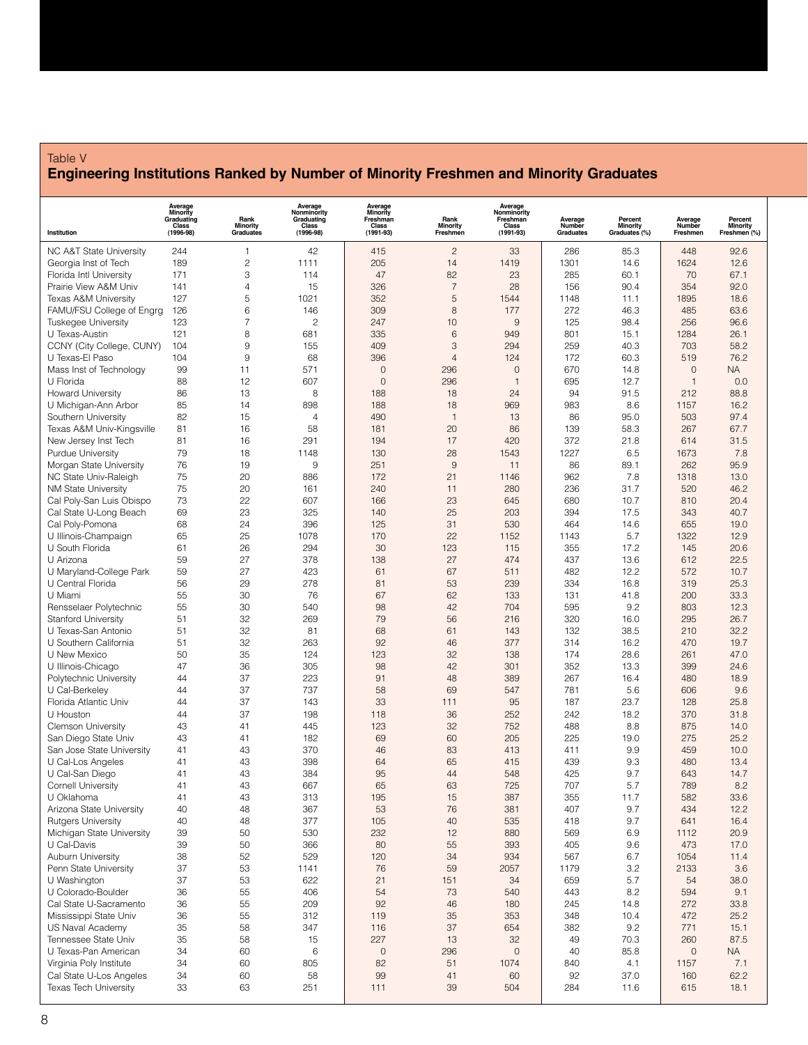#### Table V **Engineering Institutions Ranked by Number of Minority Freshmen and Minority Graduates**

|                                                   | Average<br>Minority<br>Graduating<br>Class | Rank<br>Minority    | Average<br>Nonminority<br>Graduating<br>Class | Average<br><b>Minority</b><br>Freshman<br>Class | Rank<br>Minority     | Average<br>Nonminority<br>Freshman<br>Class | Average<br>Number | Percent<br>Minority | Average<br>Number | Percent<br><b>Minority</b> |
|---------------------------------------------------|--------------------------------------------|---------------------|-----------------------------------------------|-------------------------------------------------|----------------------|---------------------------------------------|-------------------|---------------------|-------------------|----------------------------|
| Institution                                       | $(1996 - 98)$                              | Graduates           | $(1996-98)$                                   | $(1991 - 93)$                                   | Freshmen             | $(1991 - 93)$                               | Graduates         | Graduates (%)       | Freshmen          | Freshmen (%)               |
| NC A&T State University                           | 244                                        | $\mathbf{1}$        | 42                                            | 415                                             | $\overline{c}$       | 33                                          | 286               | 85.3                | 448               | 92.6                       |
| Georgia Inst of Tech                              | 189                                        | $\overline{c}$      | 1111                                          | 205                                             | 14                   | 1419                                        | 1301              | 14.6                | 1624              | 12.6                       |
| Florida Intl University                           | 171                                        | 3                   | 114                                           | 47                                              | 82                   | 23                                          | 285               | 60.1                | 70                | 67.1                       |
| Prairie View A&M Univ                             | 141                                        | $\overline{4}$<br>5 | 15                                            | 326                                             | $\overline{7}$<br>5  | 28                                          | 156               | 90.4                | 354               | 92.0                       |
| Texas A&M University<br>FAMU/FSU College of Engrg | 127<br>126                                 | 6                   | 1021<br>146                                   | 352<br>309                                      | 8                    | 1544<br>177                                 | 1148<br>272       | 11.1<br>46.3        | 1895<br>485       | 18.6<br>63.6               |
| <b>Tuskegee University</b>                        | 123                                        | $\overline{7}$      | $\overline{c}$                                | 247                                             | 10                   | 9                                           | 125               | 98.4                | 256               | 96.6                       |
| U Texas-Austin                                    | 121                                        | 8                   | 681                                           | 335                                             | $6\phantom{1}6$      | 949                                         | 801               | 15.1                | 1284              | 26.1                       |
| CCNY (City College, CUNY)                         | 104                                        | 9                   | 155                                           | 409                                             | 3                    | 294                                         | 259               | 40.3                | 703               | 58.2                       |
| U Texas-El Paso                                   | 104                                        | 9                   | 68                                            | 396                                             | $\overline{4}$       | 124                                         | 172               | 60.3                | 519               | 76.2                       |
| Mass Inst of Technology                           | 99                                         | 11                  | 571                                           | $\mathbf 0$                                     | 296                  | $\mathbf 0$                                 | 670               | 14.8                | $\mathbf 0$       | <b>NA</b>                  |
| U Florida                                         | 88                                         | 12                  | 607                                           | $\mathbf 0$                                     | 296                  | $\mathbf{1}$                                | 695               | 12.7                | $\mathbf{1}$      | 0.0                        |
| <b>Howard University</b>                          | 86                                         | 13                  | 8                                             | 188                                             | 18                   | 24                                          | 94                | 91.5                | 212               | 88.8                       |
| U Michigan-Ann Arbor                              | 85                                         | 14                  | 898                                           | 188                                             | 18                   | 969                                         | 983               | 8.6                 | 1157              | 16.2                       |
| Southern University                               | 82                                         | 15                  | $\overline{4}$                                | 490                                             | $\overline{1}$       | 13                                          | 86                | 95.0                | 503               | 97.4                       |
| Texas A&M Univ-Kingsville                         | 81                                         | 16                  | 58                                            | 181                                             | 20                   | 86                                          | 139               | 58.3                | 267               | 67.7                       |
| New Jersey Inst Tech                              | 81                                         | 16                  | 291                                           | 194                                             | 17                   | 420                                         | 372               | 21.8                | 614               | 31.5                       |
| <b>Purdue University</b>                          | 79<br>76                                   | 18<br>19            | 1148<br>9                                     | 130<br>251                                      | 28<br>$\overline{9}$ | 1543<br>11                                  | 1227<br>86        | 6.5<br>89.1         | 1673<br>262       | 7.8<br>95.9                |
| Morgan State University<br>NC State Univ-Raleigh  | 75                                         | 20                  | 886                                           | 172                                             | 21                   | 1146                                        | 962               | 7.8                 | 1318              | 13.0                       |
| <b>NM State University</b>                        | 75                                         | 20                  | 161                                           | 240                                             | 11                   | 280                                         | 236               | 31.7                | 520               | 46.2                       |
| Cal Poly-San Luis Obispo                          | 73                                         | 22                  | 607                                           | 166                                             | 23                   | 645                                         | 680               | 10.7                | 810               | 20.4                       |
| Cal State U-Long Beach                            | 69                                         | 23                  | 325                                           | 140                                             | 25                   | 203                                         | 394               | 17.5                | 343               | 40.7                       |
| Cal Poly-Pomona                                   | 68                                         | 24                  | 396                                           | 125                                             | 31                   | 530                                         | 464               | 14.6                | 655               | 19.0                       |
| U Illinois-Champaign                              | 65                                         | 25                  | 1078                                          | 170                                             | 22                   | 1152                                        | 1143              | 5.7                 | 1322              | 12.9                       |
| U South Florida                                   | 61                                         | 26                  | 294                                           | 30                                              | 123                  | 115                                         | 355               | 17.2                | 145               | 20.6                       |
| U Arizona                                         | 59                                         | 27                  | 378                                           | 138                                             | 27                   | 474                                         | 437               | 13.6                | 612               | 22.5                       |
| U Maryland-College Park                           | 59                                         | 27                  | 423                                           | 61                                              | 67                   | 511                                         | 482               | 12.2                | 572               | 10.7                       |
| U Central Florida                                 | 56                                         | 29                  | 278                                           | 81                                              | 53                   | 239                                         | 334               | 16.8                | 319               | 25.3                       |
| U Miami                                           | 55                                         | 30                  | 76                                            | 67                                              | 62                   | 133                                         | 131               | 41.8                | 200               | 33.3                       |
| Rensselaer Polytechnic                            | 55                                         | 30                  | 540                                           | 98                                              | 42                   | 704                                         | 595               | 9.2                 | 803               | 12.3                       |
| <b>Stanford University</b>                        | 51                                         | 32                  | 269                                           | 79                                              | 56                   | 216                                         | 320               | 16.0                | 295               | 26.7                       |
| U Texas-San Antonio                               | 51                                         | 32                  | 81                                            | 68                                              | 61                   | 143                                         | 132               | 38.5                | 210               | 32.2                       |
| U Southern California<br>U New Mexico             | 51<br>50                                   | 32<br>35            | 263<br>124                                    | 92<br>123                                       | 46<br>32             | 377<br>138                                  | 314<br>174        | 16.2<br>28.6        | 470<br>261        | 19.7<br>47.0               |
| U Illinois-Chicago                                | 47                                         | 36                  | 305                                           | 98                                              | 42                   | 301                                         | 352               | 13.3                | 399               | 24.6                       |
| Polytechnic University                            | 44                                         | 37                  | 223                                           | 91                                              | 48                   | 389                                         | 267               | 16.4                | 480               | 18.9                       |
| U Cal-Berkeley                                    | 44                                         | 37                  | 737                                           | 58                                              | 69                   | 547                                         | 781               | 5.6                 | 606               | 9.6                        |
| Florida Atlantic Univ                             | 44                                         | 37                  | 143                                           | 33                                              | 111                  | 95                                          | 187               | 23.7                | 128               | 25.8                       |
| U Houston                                         | 44                                         | 37                  | 198                                           | 118                                             | 36                   | 252                                         | 242               | 18.2                | 370               | 31.8                       |
| <b>Clemson University</b>                         | 43                                         | 41                  | 445                                           | 123                                             | 32                   | 752                                         | 488               | 8.8                 | 875               | 14.0                       |
| San Diego State Univ                              | 43                                         | 41                  | 182                                           | 69                                              | 60                   | 205                                         | 225               | 19.0                | 275               | 25.2                       |
| San Jose State University                         | 41                                         | 43                  | 370                                           | 46                                              | 83                   | 413                                         | 411               | 9.9                 | 459               | 10.0                       |
| U Cal-Los Angeles                                 | 41                                         | 43                  | 398                                           | 64                                              | 65                   | 415                                         | 439               | 9.3                 | 480               | 13.4                       |
| U Cal-San Diego                                   | 41                                         | 43                  | 384                                           | 95                                              | 44                   | 548                                         | 425               | 9.7                 | 643               | 14.7                       |
| <b>Cornell University</b>                         | 41                                         | 43                  | 667                                           | 65                                              | 63                   | 725                                         | 707               | 5.7                 | 789               | 8.2                        |
| U Oklahoma                                        | 41                                         | 43                  | 313                                           | 195                                             | 15                   | 387                                         | 355               | 11.7                | 582               | 33.6                       |
| Arizona State University                          | 40                                         | 48                  | 367                                           | 53                                              | 76                   | 381                                         | 407               | 9.7                 | 434               | 12.2                       |
| <b>Rutgers University</b>                         | 40<br>39                                   | 48                  | 377                                           | 105                                             | 40                   | 535                                         | 418               | 9.7                 | 641               | 16.4                       |
| Michigan State University<br>U Cal-Davis          | 39                                         | 50<br>50            | 530<br>366                                    | 232<br>80                                       | 12<br>55             | 880<br>393                                  | 569<br>405        | 6.9<br>9.6          | 1112<br>473       | 20.9<br>17.0               |
| <b>Auburn University</b>                          | 38                                         | 52                  | 529                                           | 120                                             | 34                   | 934                                         | 567               | 6.7                 | 1054              | 11.4                       |
| Penn State University                             | 37                                         | 53                  | 1141                                          | 76                                              | 59                   | 2057                                        | 1179              | 3.2                 | 2133              | 3.6                        |
| U Washington                                      | 37                                         | 53                  | 622                                           | 21                                              | 151                  | 34                                          | 659               | 5.7                 | 54                | 38.0                       |
| U Colorado-Boulder                                | 36                                         | 55                  | 406                                           | 54                                              | 73                   | 540                                         | 443               | 8.2                 | 594               | 9.1                        |
| Cal State U-Sacramento                            | 36                                         | 55                  | 209                                           | 92                                              | 46                   | 180                                         | 245               | 14.8                | 272               | 33.8                       |
| Mississippi State Univ                            | 36                                         | 55                  | 312                                           | 119                                             | 35                   | 353                                         | 348               | 10.4                | 472               | 25.2                       |
| US Naval Academy                                  | 35                                         | 58                  | 347                                           | 116                                             | 37                   | 654                                         | 382               | 9.2                 | 771               | 15.1                       |
| Tennessee State Univ                              | 35                                         | 58                  | 15                                            | 227                                             | 13                   | 32                                          | 49                | 70.3                | 260               | 87.5                       |
| U Texas-Pan American                              | 34                                         | 60                  | 6                                             | $\mathsf{O}\xspace$                             | 296                  | $\mathbf 0$                                 | 40                | 85.8                | $\mathbf 0$       | <b>NA</b>                  |
| Virginia Poly Institute                           | 34                                         | 60                  | 805                                           | 82                                              | 51                   | 1074                                        | 840               | 4.1                 | 1157              | 7.1                        |
| Cal State U-Los Angeles                           | 34                                         | 60                  | 58                                            | 99                                              | 41                   | 60                                          | 92                | 37.0                | 160               | 62.2                       |
| <b>Texas Tech University</b>                      | 33                                         | 63                  | 251                                           | 111                                             | 39                   | 504                                         | 284               | 11.6                | 615               | 18.1                       |
|                                                   |                                            |                     |                                               |                                                 |                      |                                             |                   |                     |                   |                            |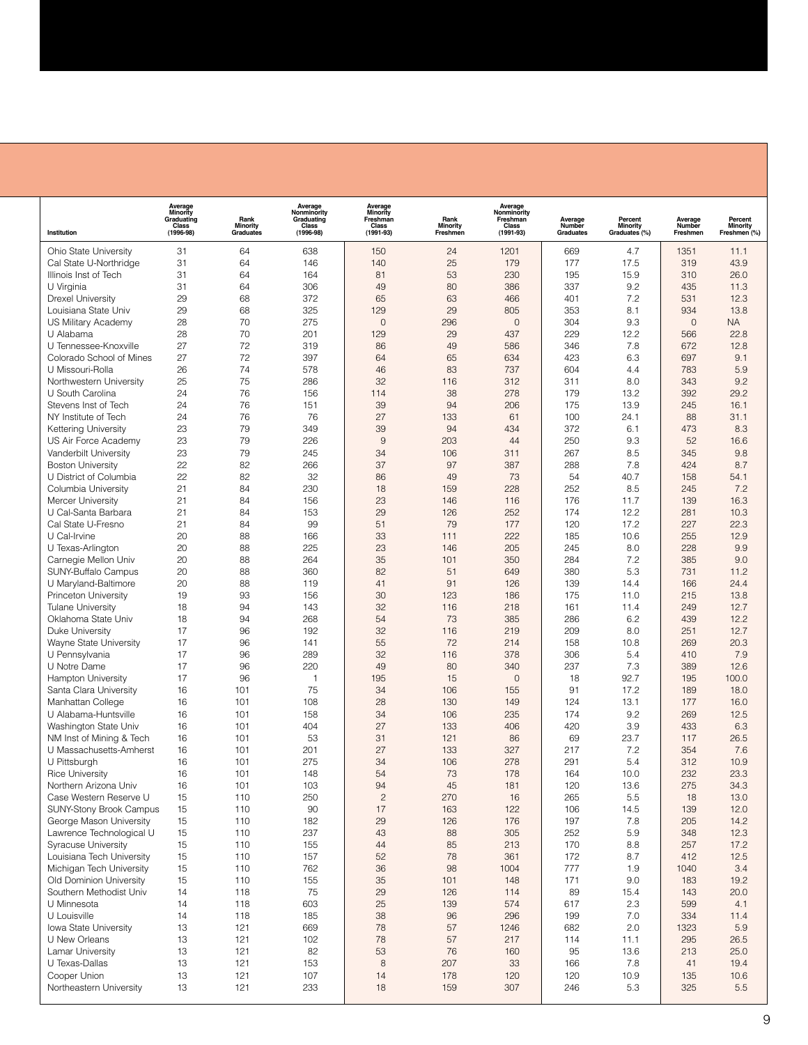| Institution                                         | Average<br>Minority<br>Graduating<br>Class<br>$(1996 - 98)$ | Rank<br><b>Minority</b><br>Graduates | Average<br>Nonminority<br>Graduating<br>Class<br>$(1996 - 98)$ | <b>Average</b><br>Minority<br>Freshman<br>Class<br>$(1991 - 93)$ | Rank<br>Minority<br>Freshmen | Average<br>Nonminority<br>Freshman<br>Class<br>$(1991 - 93)$ | Average<br>Number<br>Graduates | Percent<br>Minority<br>Graduates (%) | Average<br>Number<br>Freshmen | Percent<br><b>Minority</b><br>Freshmen (%) |
|-----------------------------------------------------|-------------------------------------------------------------|--------------------------------------|----------------------------------------------------------------|------------------------------------------------------------------|------------------------------|--------------------------------------------------------------|--------------------------------|--------------------------------------|-------------------------------|--------------------------------------------|
| Ohio State University                               | 31                                                          | 64                                   | 638                                                            | 150                                                              | 24                           | 1201                                                         | 669                            | 4.7                                  | 1351                          | 11.1                                       |
| Cal State U-Northridge                              | 31                                                          | 64                                   | 146                                                            | 140                                                              | 25                           | 179                                                          | 177                            | 17.5                                 | 319                           | 43.9                                       |
| Illinois Inst of Tech                               | 31                                                          | 64                                   | 164                                                            | 81                                                               | 53                           | 230                                                          | 195                            | 15.9                                 | 310                           | 26.0                                       |
| U Virginia                                          | 31                                                          | 64                                   | 306                                                            | 49                                                               | 80                           | 386                                                          | 337                            | 9.2                                  | 435                           | 11.3                                       |
| <b>Drexel University</b>                            | 29                                                          | 68                                   | 372                                                            | 65                                                               | 63                           | 466                                                          | 401                            | 7.2                                  | 531                           | 12.3                                       |
| Louisiana State Univ                                | 29                                                          | 68                                   | 325                                                            | 129                                                              | 29                           | 805                                                          | 353                            | 8.1                                  | 934                           | 13.8                                       |
| US Military Academy                                 | 28                                                          | 70                                   | 275                                                            | $\overline{0}$                                                   | 296                          | $\mathbf{0}$                                                 | 304                            | 9.3                                  | $\mathbf 0$                   | <b>NA</b>                                  |
| U Alabama                                           | 28                                                          | 70                                   | 201                                                            | 129                                                              | 29                           | 437                                                          | 229                            | 12.2                                 | 566                           | 22.8                                       |
| U Tennessee-Knoxville                               | 27                                                          | 72                                   | 319                                                            | 86                                                               | 49                           | 586                                                          | 346                            | 7.8                                  | 672                           | 12.8                                       |
| Colorado School of Mines                            | 27<br>26                                                    | 72<br>74                             | 397<br>578                                                     | 64<br>46                                                         | 65                           | 634                                                          | 423<br>604                     | 6.3                                  | 697                           | 9.1<br>5.9                                 |
| U Missouri-Rolla<br>Northwestern University         | 25                                                          | 75                                   | 286                                                            | 32                                                               | 83<br>116                    | 737<br>312                                                   | 311                            | 4.4<br>8.0                           | 783<br>343                    | 9.2                                        |
| U South Carolina                                    | 24                                                          | 76                                   | 156                                                            | 114                                                              | 38                           | 278                                                          | 179                            | 13.2                                 | 392                           | 29.2                                       |
| Stevens Inst of Tech                                | 24                                                          | 76                                   | 151                                                            | 39                                                               | 94                           | 206                                                          | 175                            | 13.9                                 | 245                           | 16.1                                       |
| NY Institute of Tech                                | 24                                                          | 76                                   | 76                                                             | 27                                                               | 133                          | 61                                                           | 100                            | 24.1                                 | 88                            | 31.1                                       |
| <b>Kettering University</b>                         | 23                                                          | 79                                   | 349                                                            | 39                                                               | 94                           | 434                                                          | 372                            | 6.1                                  | 473                           | 8.3                                        |
| US Air Force Academy                                | 23                                                          | 79                                   | 226                                                            | $\overline{9}$                                                   | 203                          | 44                                                           | 250                            | 9.3                                  | 52                            | 16.6                                       |
| Vanderbilt University                               | 23                                                          | 79                                   | 245                                                            | 34                                                               | 106                          | 311                                                          | 267                            | 8.5                                  | 345                           | 9.8                                        |
| <b>Boston University</b>                            | 22                                                          | 82                                   | 266                                                            | 37                                                               | 97                           | 387                                                          | 288                            | 7.8                                  | 424                           | 8.7                                        |
| U District of Columbia                              | 22                                                          | 82                                   | 32                                                             | 86                                                               | 49                           | 73                                                           | 54                             | 40.7                                 | 158                           | 54.1                                       |
| Columbia University                                 | 21                                                          | 84                                   | 230                                                            | 18                                                               | 159                          | 228                                                          | 252                            | 8.5                                  | 245                           | 7.2                                        |
| Mercer University                                   | 21                                                          | 84                                   | 156                                                            | 23                                                               | 146                          | 116                                                          | 176                            | 11.7                                 | 139                           | 16.3                                       |
| U Cal-Santa Barbara                                 | 21                                                          | 84                                   | 153                                                            | 29                                                               | 126                          | 252                                                          | 174                            | 12.2                                 | 281                           | 10.3                                       |
| Cal State U-Fresno<br>U Cal-Irvine                  | 21<br>20                                                    | 84<br>88                             | 99<br>166                                                      | 51<br>33                                                         | 79                           | 177<br>222                                                   | 120<br>185                     | 17.2                                 | 227<br>255                    | 22.3<br>12.9                               |
| U Texas-Arlington                                   | 20                                                          | 88                                   | 225                                                            | 23                                                               | 111<br>146                   | 205                                                          | 245                            | 10.6<br>8.0                          | 228                           | 9.9                                        |
| Carnegie Mellon Univ                                | 20                                                          | 88                                   | 264                                                            | 35                                                               | 101                          | 350                                                          | 284                            | 7.2                                  | 385                           | 9.0                                        |
| SUNY-Buffalo Campus                                 | 20                                                          | 88                                   | 360                                                            | 82                                                               | 51                           | 649                                                          | 380                            | 5.3                                  | 731                           | 11.2                                       |
| U Maryland-Baltimore                                | 20                                                          | 88                                   | 119                                                            | 41                                                               | 91                           | 126                                                          | 139                            | 14.4                                 | 166                           | 24.4                                       |
| Princeton University                                | 19                                                          | 93                                   | 156                                                            | 30                                                               | 123                          | 186                                                          | 175                            | 11.0                                 | 215                           | 13.8                                       |
| <b>Tulane University</b>                            | 18                                                          | 94                                   | 143                                                            | 32                                                               | 116                          | 218                                                          | 161                            | 11.4                                 | 249                           | 12.7                                       |
| Oklahoma State Univ                                 | 18                                                          | 94                                   | 268                                                            | 54                                                               | 73                           | 385                                                          | 286                            | 6.2                                  | 439                           | 12.2                                       |
| Duke University                                     | 17                                                          | 96                                   | 192                                                            | 32                                                               | 116                          | 219                                                          | 209                            | 8.0                                  | 251                           | 12.7                                       |
| Wayne State University                              | 17                                                          | 96                                   | 141                                                            | 55                                                               | 72                           | 214                                                          | 158                            | 10.8                                 | 269                           | 20.3                                       |
| U Pennsylvania                                      | 17                                                          | 96                                   | 289                                                            | 32                                                               | 116                          | 378                                                          | 306                            | 5.4                                  | 410                           | 7.9                                        |
| U Notre Dame                                        | 17                                                          | 96                                   | 220                                                            | 49                                                               | 80                           | 340                                                          | 237                            | 7.3                                  | 389                           | 12.6                                       |
| <b>Hampton University</b>                           | 17                                                          | 96                                   | $\mathbf{1}$<br>75                                             | 195                                                              | 15                           | $\mathbf 0$                                                  | 18                             | 92.7                                 | 195                           | 100.0                                      |
| Santa Clara University<br>Manhattan College         | 16<br>16                                                    | 101<br>101                           | 108                                                            | 34<br>28                                                         | 106<br>130                   | 155<br>149                                                   | 91<br>124                      | 17.2<br>13.1                         | 189<br>177                    | 18.0<br>16.0                               |
| U Alabama-Huntsville                                | 16                                                          | 101                                  | 158                                                            | 34                                                               | 106                          | 235                                                          | 174                            | 9.2                                  | 269                           | 12.5                                       |
| Washington State Univ                               | 16                                                          | 101                                  | 404                                                            | 27                                                               | 133                          | 406                                                          | 420                            | 3.9                                  | 433                           | 6.3                                        |
| NM Inst of Mining & Tech                            | 16                                                          | 101                                  | 53                                                             | 31                                                               | 121                          | 86                                                           | 69                             | 23.7                                 | 117                           | 26.5                                       |
| U Massachusetts-Amherst                             | 16                                                          | 101                                  | 201                                                            | 27                                                               | 133                          | 327                                                          | 217                            | 7.2                                  | 354                           | 7.6                                        |
| U Pittsburgh                                        | 16                                                          | 101                                  | 275                                                            | 34                                                               | 106                          | 278                                                          | 291                            | 5.4                                  | 312                           | 10.9                                       |
| Rice University                                     | 16                                                          | 101                                  | 148                                                            | 54                                                               | 73                           | 178                                                          | 164                            | 10.0                                 | 232                           | 23.3                                       |
| Northern Arizona Univ                               | 16                                                          | 101                                  | 103                                                            | 94                                                               | 45                           | 181                                                          | 120                            | 13.6                                 | 275                           | 34.3                                       |
| Case Western Reserve U                              | 15                                                          | 110                                  | 250                                                            | $\overline{c}$                                                   | 270                          | 16                                                           | 265                            | 5.5                                  | 18                            | 13.0                                       |
| <b>SUNY-Stony Brook Campus</b>                      | 15                                                          | 110                                  | 90                                                             | 17                                                               | 163                          | 122                                                          | 106                            | 14.5                                 | 139                           | 12.0                                       |
| George Mason University                             | 15                                                          | 110                                  | 182                                                            | 29                                                               | 126                          | 176                                                          | 197                            | 7.8                                  | 205                           | 14.2                                       |
| Lawrence Technological U                            | 15                                                          | 110                                  | 237                                                            | 43                                                               | 88                           | 305                                                          | 252                            | 5.9                                  | 348                           | 12.3                                       |
| <b>Syracuse University</b>                          | 15                                                          | 110                                  | 155                                                            | 44                                                               | 85                           | 213                                                          | 170                            | 8.8                                  | 257                           | 17.2                                       |
| Louisiana Tech University                           | 15                                                          | 110                                  | 157                                                            | 52                                                               | 78                           | 361                                                          | 172                            | 8.7                                  | 412                           | 12.5                                       |
| Michigan Tech University<br>Old Dominion University | 15<br>15                                                    | 110<br>110                           | 762<br>155                                                     | 36<br>35                                                         | 98<br>101                    | 1004<br>148                                                  | 777<br>171                     | 1.9<br>9.0                           | 1040<br>183                   | 3.4<br>19.2                                |
| Southern Methodist Univ                             | 14                                                          | 118                                  | 75                                                             | 29                                                               | 126                          | 114                                                          | 89                             | 15.4                                 | 143                           | 20.0                                       |
| U Minnesota                                         | 14                                                          | 118                                  | 603                                                            | 25                                                               | 139                          | 574                                                          | 617                            | 2.3                                  | 599                           | 4.1                                        |
| U Louisville                                        | 14                                                          | 118                                  | 185                                                            | 38                                                               | 96                           | 296                                                          | 199                            | 7.0                                  | 334                           | 11.4                                       |
| Iowa State University                               | 13                                                          | 121                                  | 669                                                            | 78                                                               | 57                           | 1246                                                         | 682                            | 2.0                                  | 1323                          | 5.9                                        |
| U New Orleans                                       | 13                                                          | 121                                  | 102                                                            | 78                                                               | 57                           | 217                                                          | 114                            | 11.1                                 | 295                           | 26.5                                       |
| Lamar University                                    | 13                                                          | 121                                  | 82                                                             | 53                                                               | 76                           | 160                                                          | 95                             | 13.6                                 | 213                           | 25.0                                       |
| U Texas-Dallas                                      | 13                                                          | 121                                  | 153                                                            | 8                                                                | 207                          | 33                                                           | 166                            | 7.8                                  | 41                            | 19.4                                       |
| Cooper Union                                        | 13                                                          | 121                                  | 107                                                            | 14                                                               | 178                          | 120                                                          | 120                            | 10.9                                 | 135                           | 10.6                                       |
| Northeastern University                             | 13                                                          | 121                                  | 233                                                            | 18                                                               | 159                          | 307                                                          | 246                            | 5.3                                  | 325                           | 5.5                                        |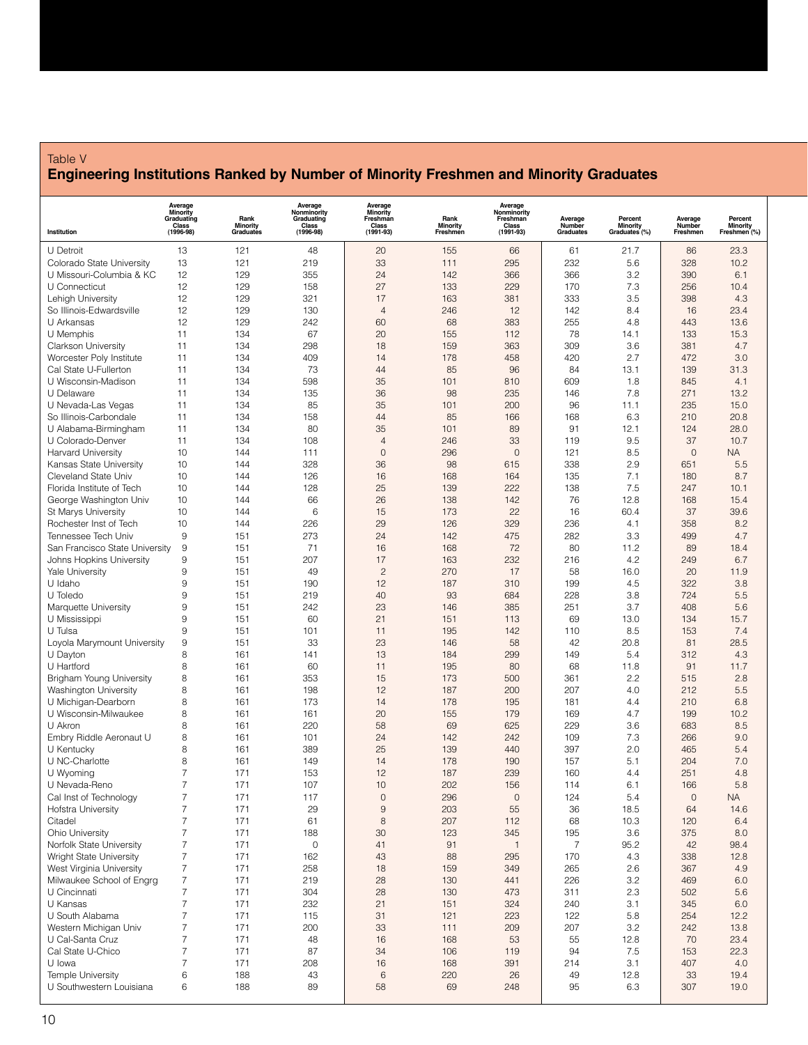## Table V **Engineering Institutions Ranked by Number of Minority Freshmen and Minority Graduates**

|                                               | <b>Average</b><br>Minority<br>Graduating<br>Class<br>(1996-98) | Rank<br><b>Minority</b> | Average<br>Nonminority<br>Graduating<br>Class<br>(1996-98) | <b>Average</b><br>Minority<br>Freshman<br>Class | Rank<br><b>Minority</b> | Average<br>Nonminority<br>Freshman<br>Class | Average<br>Number | Percent<br><b>Minority</b> | Average<br>Number | Percent<br><b>Minority</b> |
|-----------------------------------------------|----------------------------------------------------------------|-------------------------|------------------------------------------------------------|-------------------------------------------------|-------------------------|---------------------------------------------|-------------------|----------------------------|-------------------|----------------------------|
| Institution                                   |                                                                | Graduates               |                                                            | $(1991 - 93)$                                   | Freshmen                | $(1991 - 93)$                               | Graduates         | Graduates <sup>(%)</sup>   | Freshmen          | Freshmen (%)               |
| U Detroit                                     | 13                                                             | 121                     | 48                                                         | 20                                              | 155                     | 66                                          | 61                | 21.7                       | 86                | 23.3                       |
| Colorado State University                     | 13                                                             | 121                     | 219                                                        | 33                                              | 111                     | 295                                         | 232               | 5.6                        | 328               | 10.2                       |
| U Missouri-Columbia & KC                      | 12                                                             | 129                     | 355                                                        | 24                                              | 142                     | 366                                         | 366               | 3.2                        | 390               | 6.1                        |
| U Connecticut                                 | 12                                                             | 129                     | 158                                                        | 27                                              | 133                     | 229                                         | 170               | 7.3                        | 256               | 10.4                       |
| Lehigh University<br>So Illinois-Edwardsville | 12<br>12                                                       | 129<br>129              | 321<br>130                                                 | 17<br>$\overline{4}$                            | 163<br>246              | 381<br>12                                   | 333<br>142        | 3.5<br>8.4                 | 398<br>16         | 4.3<br>23.4                |
| U Arkansas                                    | 12                                                             | 129                     | 242                                                        | 60                                              | 68                      | 383                                         | 255               | 4.8                        | 443               | 13.6                       |
| U Memphis                                     | 11                                                             | 134                     | 67                                                         | 20                                              | 155                     | 112                                         | 78                | 14.1                       | 133               | 15.3                       |
| Clarkson University                           | 11                                                             | 134                     | 298                                                        | 18                                              | 159                     | 363                                         | 309               | 3.6                        | 381               | 4.7                        |
| Worcester Poly Institute                      | 11                                                             | 134                     | 409                                                        | 14                                              | 178                     | 458                                         | 420               | 2.7                        | 472               | 3.0                        |
| Cal State U-Fullerton                         | 11                                                             | 134                     | 73                                                         | 44                                              | 85                      | 96                                          | 84                | 13.1                       | 139               | 31.3                       |
| U Wisconsin-Madison                           | 11                                                             | 134                     | 598                                                        | 35                                              | 101                     | 810                                         | 609               | 1.8                        | 845               | 4.1                        |
| U Delaware                                    | 11                                                             | 134                     | 135                                                        | 36                                              | 98                      | 235                                         | 146               | 7.8                        | 271               | 13.2                       |
| U Nevada-Las Vegas                            | 11                                                             | 134                     | 85                                                         | 35                                              | 101                     | 200                                         | 96                | 11.1                       | 235               | 15.0                       |
| So Illinois-Carbondale                        | 11                                                             | 134                     | 158                                                        | 44                                              | 85                      | 166                                         | 168               | 6.3                        | 210               | 20.8                       |
| U Alabama-Birmingham                          | 11                                                             | 134                     | 80                                                         | 35                                              | 101                     | 89                                          | 91                | 12.1                       | 124               | 28.0                       |
| U Colorado-Denver                             | 11                                                             | 134                     | 108                                                        | $\overline{4}$                                  | 246                     | 33                                          | 119               | 9.5                        | 37                | 10.7                       |
| <b>Harvard University</b>                     | 10                                                             | 144                     | 111                                                        | $\mathbf 0$                                     | 296                     | $\mathbf 0$                                 | 121               | 8.5                        | $\overline{0}$    | <b>NA</b>                  |
| Kansas State University                       | 10                                                             | 144                     | 328                                                        | 36                                              | 98                      | 615                                         | 338               | 2.9                        | 651               | 5.5                        |
| Cleveland State Univ                          | 10                                                             | 144                     | 126                                                        | 16                                              | 168                     | 164                                         | 135               | 7.1                        | 180               | 8.7                        |
| Florida Institute of Tech                     | 10                                                             | 144                     | 128                                                        | 25                                              | 139                     | 222                                         | 138               | 7.5                        | 247               | 10.1                       |
| George Washington Univ                        | 10                                                             | 144                     | 66<br>6                                                    | 26                                              | 138                     | 142                                         | 76                | 12.8                       | 168               | 15.4                       |
| St Marys University<br>Rochester Inst of Tech | 10<br>10                                                       | 144<br>144              | 226                                                        | 15<br>29                                        | 173<br>126              | 22<br>329                                   | 16<br>236         | 60.4<br>4.1                | 37<br>358         | 39.6<br>8.2                |
| Tennessee Tech Univ                           | 9                                                              | 151                     | 273                                                        | 24                                              | 142                     | 475                                         | 282               | 3.3                        | 499               | 4.7                        |
| San Francisco State University                | 9                                                              | 151                     | 71                                                         | 16                                              | 168                     | 72                                          | 80                | 11.2                       | 89                | 18.4                       |
| Johns Hopkins University                      | 9                                                              | 151                     | 207                                                        | 17                                              | 163                     | 232                                         | 216               | 4.2                        | 249               | 6.7                        |
| <b>Yale University</b>                        | 9                                                              | 151                     | 49                                                         | $\overline{c}$                                  | 270                     | 17                                          | 58                | 16.0                       | 20                | 11.9                       |
| U Idaho                                       | 9                                                              | 151                     | 190                                                        | 12                                              | 187                     | 310                                         | 199               | 4.5                        | 322               | 3.8                        |
| U Toledo                                      | 9                                                              | 151                     | 219                                                        | 40                                              | 93                      | 684                                         | 228               | 3.8                        | 724               | 5.5                        |
| Marquette University                          | 9                                                              | 151                     | 242                                                        | 23                                              | 146                     | 385                                         | 251               | 3.7                        | 408               | 5.6                        |
| U Mississippi                                 | 9                                                              | 151                     | 60                                                         | 21                                              | 151                     | 113                                         | 69                | 13.0                       | 134               | 15.7                       |
| U Tulsa                                       | 9                                                              | 151                     | 101                                                        | 11                                              | 195                     | 142                                         | 110               | 8.5                        | 153               | 7.4                        |
| Loyola Marymount University                   | 9                                                              | 151                     | 33                                                         | 23                                              | 146                     | 58                                          | 42                | 20.8                       | 81                | 28.5                       |
| U Dayton                                      | 8                                                              | 161                     | 141                                                        | 13                                              | 184                     | 299                                         | 149               | 5.4                        | 312               | 4.3                        |
| U Hartford                                    | 8                                                              | 161                     | 60                                                         | 11                                              | 195                     | 80                                          | 68                | 11.8                       | 91                | 11.7                       |
| Brigham Young University                      | 8                                                              | 161                     | 353                                                        | 15                                              | 173                     | 500                                         | 361               | 2.2                        | 515               | 2.8                        |
| <b>Washington University</b>                  | 8                                                              | 161                     | 198                                                        | 12                                              | 187                     | 200                                         | 207               | 4.0                        | 212               | 5.5                        |
| U Michigan-Dearborn                           | 8                                                              | 161                     | 173                                                        | 14                                              | 178                     | 195                                         | 181               | 4.4                        | 210               | 6.8                        |
| U Wisconsin-Milwaukee<br>U Akron              | 8<br>8                                                         | 161                     | 161                                                        | 20                                              | 155<br>69               | 179<br>625                                  | 169<br>229        | 4.7<br>3.6                 | 199<br>683        | 10.2                       |
| Embry Riddle Aeronaut U                       | 8                                                              | 161<br>161              | 220<br>101                                                 | 58<br>24                                        | 142                     | 242                                         | 109               | 7.3                        | 266               | 8.5<br>9.0                 |
| U Kentucky                                    | 8                                                              | 161                     | 389                                                        | 25                                              | 139                     | 440                                         | 397               | 2.0                        | 465               | 5.4                        |
| U NC-Charlotte                                | 8                                                              | 161                     | 149                                                        | 14                                              | 178                     | 190                                         | 157               | 5.1                        | 204               | 7.0                        |
| U Wyoming                                     | 7                                                              | 171                     | 153                                                        | 12                                              | 187                     | 239                                         | 160               | 4.4                        | 251               | 4.8                        |
| U Nevada-Reno                                 | $\overline{7}$                                                 | 171                     | 107                                                        | 10                                              | 202                     | 156                                         | 114               | 6.1                        | 166               | 5.8                        |
| Cal Inst of Technology                        | 7                                                              | 171                     | 117                                                        | $\mathbf 0$                                     | 296                     | $\mathsf{O}\xspace$                         | 124               | 5.4                        | $\mathbf 0$       | <b>NA</b>                  |
| Hofstra University                            | 7                                                              | 171                     | 29                                                         | $\hbox{9}$                                      | 203                     | 55                                          | 36                | 18.5                       | 64                | 14.6                       |
| Citadel                                       | 7                                                              | 171                     | 61                                                         | 8                                               | 207                     | 112                                         | 68                | 10.3                       | 120               | 6.4                        |
| <b>Ohio University</b>                        | 7                                                              | 171                     | 188                                                        | 30                                              | 123                     | 345                                         | 195               | 3.6                        | 375               | 8.0                        |
| Norfolk State University                      | 7                                                              | 171                     | $\mathsf{O}\xspace$                                        | 41                                              | 91                      | $\mathbf{1}$                                | $\overline{7}$    | 95.2                       | 42                | 98.4                       |
| Wright State University                       | 7                                                              | 171                     | 162                                                        | 43                                              | 88                      | 295                                         | 170               | 4.3                        | 338               | 12.8                       |
| West Virginia University                      | 7                                                              | 171                     | 258                                                        | 18                                              | 159                     | 349                                         | 265               | 2.6                        | 367               | 4.9                        |
| Milwaukee School of Engrg                     | 7                                                              | 171                     | 219                                                        | 28                                              | 130                     | 441                                         | 226               | 3.2                        | 469               | 6.0                        |
| U Cincinnati                                  | 7                                                              | 171                     | 304                                                        | 28                                              | 130                     | 473                                         | 311               | 2.3                        | 502               | 5.6                        |
| U Kansas                                      | 7                                                              | 171                     | 232                                                        | 21                                              | 151                     | 324                                         | 240               | 3.1                        | 345               | 6.0                        |
| U South Alabama                               | 7                                                              | 171                     | 115                                                        | 31                                              | 121                     | 223                                         | 122               | 5.8                        | 254               | 12.2                       |
| Western Michigan Univ                         | 7                                                              | 171                     | 200                                                        | 33                                              | 111                     | 209                                         | 207               | 3.2                        | 242               | 13.8                       |
| U Cal-Santa Cruz                              | 7<br>7                                                         | 171<br>171              | 48<br>87                                                   | 16<br>34                                        | 168<br>106              | 53                                          | 55                | 12.8                       | 70                | 23.4<br>22.3               |
| Cal State U-Chico<br>U lowa                   | 7                                                              | 171                     | 208                                                        | 16                                              | 168                     | 119<br>391                                  | 94<br>214         | 7.5<br>3.1                 | 153<br>407        | 4.0                        |
| <b>Temple University</b>                      | 6                                                              | 188                     | 43                                                         | $6\,$                                           | 220                     | 26                                          | 49                | 12.8                       | 33                | 19.4                       |
| U Southwestern Louisiana                      | 6                                                              | 188                     | 89                                                         | 58                                              | 69                      | 248                                         | 95                | 6.3                        | 307               | 19.0                       |
|                                               |                                                                |                         |                                                            |                                                 |                         |                                             |                   |                            |                   |                            |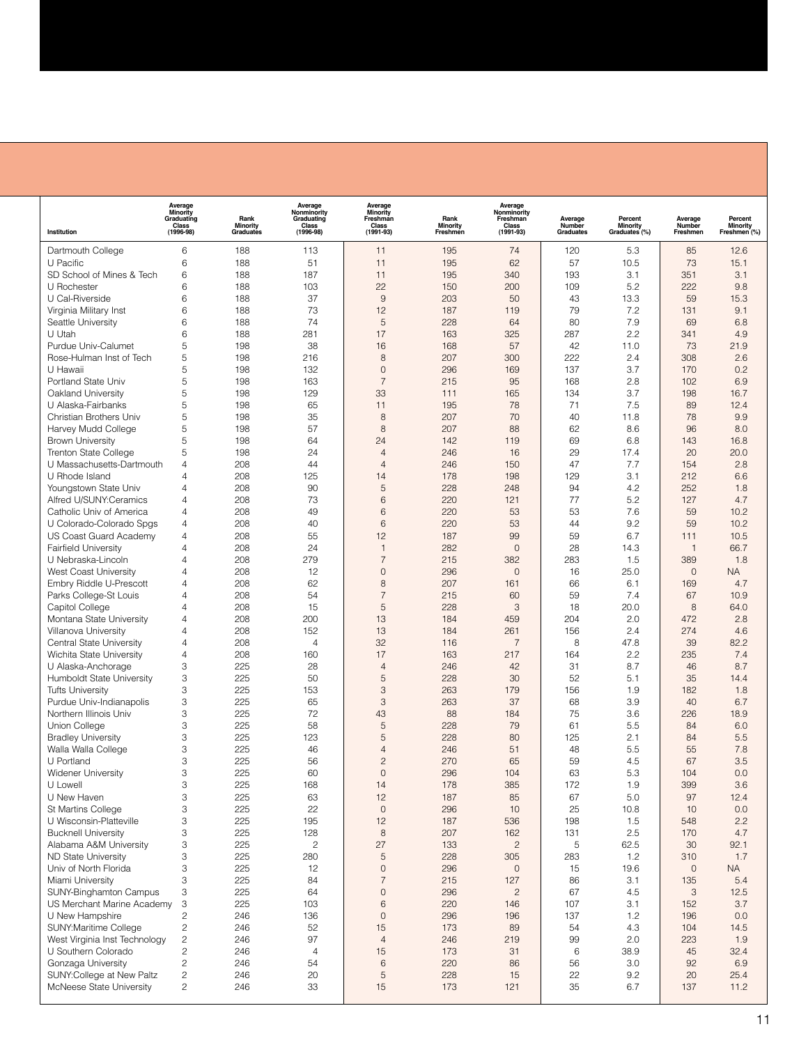|                                                         | Average<br>Minority<br>Graduating | Rank                         | Average<br>Nonminority<br>Graduating | Average<br>Minority<br>Freshman | Rank                        | Average<br>Nonminority<br>Freshman |                                | Percent                              | Average            | Percent                                    |
|---------------------------------------------------------|-----------------------------------|------------------------------|--------------------------------------|---------------------------------|-----------------------------|------------------------------------|--------------------------------|--------------------------------------|--------------------|--------------------------------------------|
| Institution                                             | Class<br>(1996-98)                | <b>Minority</b><br>Graduates | Class<br>(1996-98)                   | Class<br>$(1991 - 93)$          | <b>Minority</b><br>Freshmen | Class<br>$(1991 - 93)$             | Average<br>Number<br>Graduates | Minority<br>Graduates <sup>(%)</sup> | Number<br>Freshmen | <b>Minority</b><br>Freshmen <sup>(%)</sup> |
| Dartmouth College                                       | 6                                 | 188                          | 113                                  | 11                              | 195                         | 74                                 | 120                            | 5.3                                  | 85                 | 12.6                                       |
| U Pacific                                               | 6                                 | 188                          | 51                                   | 11                              | 195                         | 62                                 | 57                             | 10.5                                 | 73                 | 15.1                                       |
| SD School of Mines & Tech                               | 6                                 | 188                          | 187                                  | 11                              | 195                         | 340                                | 193                            | 3.1                                  | 351                | 3.1                                        |
| U Rochester                                             | 6                                 | 188                          | 103                                  | 22                              | 150                         | 200                                | 109                            | 5.2                                  | 222                | 9.8                                        |
| U Cal-Riverside                                         | 6                                 | 188                          | 37                                   | 9                               | 203                         | 50                                 | 43                             | 13.3                                 | 59                 | 15.3                                       |
| Virginia Military Inst                                  | 6                                 | 188                          | 73                                   | 12                              | 187                         | 119                                | 79                             | 7.2                                  | 131                | 9.1                                        |
| Seattle University                                      | 6                                 | 188                          | 74                                   | 5                               | 228                         | 64                                 | 80                             | 7.9                                  | 69                 | 6.8                                        |
| U Utah                                                  | 6                                 | 188                          | 281                                  | 17                              | 163                         | 325                                | 287                            | 2.2                                  | 341                | 4.9                                        |
| Purdue Univ-Calumet                                     | 5                                 | 198                          | 38                                   | 16                              | 168                         | 57                                 | 42                             | 11.0                                 | 73                 | 21.9                                       |
| Rose-Hulman Inst of Tech                                | 5                                 | 198                          | 216                                  | 8                               | 207                         | 300                                | 222                            | 2.4                                  | 308                | 2.6                                        |
| U Hawaii                                                | 5                                 | 198                          | 132                                  | $\mathbf 0$                     | 296                         | 169                                | 137                            | 3.7                                  | 170                | 0.2                                        |
| Portland State Univ                                     | 5                                 | 198                          | 163                                  | $\overline{7}$                  | 215                         | 95                                 | 168                            | 2.8                                  | 102                | 6.9                                        |
| Oakland University                                      | 5                                 | 198                          | 129                                  | 33                              | 111                         | 165                                | 134                            | 3.7                                  | 198                | 16.7                                       |
| U Alaska-Fairbanks                                      | 5                                 | 198                          | 65                                   | 11                              | 195                         | 78                                 | 71                             | 7.5                                  | 89                 | 12.4                                       |
| Christian Brothers Univ                                 | 5                                 | 198                          | 35                                   | 8                               | 207                         | 70                                 | 40                             | 11.8                                 | 78                 | 9.9                                        |
| Harvey Mudd College                                     | 5<br>5                            | 198<br>198                   | 57<br>64                             | 8<br>24                         | 207                         | 88                                 | 62<br>69                       | 8.6                                  | 96<br>143          | 8.0<br>16.8                                |
| <b>Brown University</b><br><b>Trenton State College</b> | 5                                 | 198                          | 24                                   | $\overline{4}$                  | 142<br>246                  | 119<br>16                          | 29                             | 6.8<br>17.4                          | 20                 | 20.0                                       |
| U Massachusetts-Dartmouth                               | 4                                 | 208                          | 44                                   | $\overline{4}$                  | 246                         | 150                                | 47                             | 7.7                                  | 154                | 2.8                                        |
| U Rhode Island                                          | 4                                 | 208                          | 125                                  | 14                              | 178                         | 198                                | 129                            | 3.1                                  | 212                | 6.6                                        |
| Youngstown State Univ                                   | 4                                 | 208                          | 90                                   | 5                               | 228                         | 248                                | 94                             | 4.2                                  | 252                | 1.8                                        |
| Alfred U/SUNY:Ceramics                                  | 4                                 | 208                          | 73                                   | 6                               | 220                         | 121                                | 77                             | 5.2                                  | 127                | 4.7                                        |
| Catholic Univ of America                                | 4                                 | 208                          | 49                                   | 6                               | 220                         | 53                                 | 53                             | 7.6                                  | 59                 | 10.2                                       |
| U Colorado-Colorado Spgs                                | 4                                 | 208                          | 40                                   | 6                               | 220                         | 53                                 | 44                             | 9.2                                  | 59                 | 10.2                                       |
| US Coast Guard Academy                                  | 4                                 | 208                          | 55                                   | 12                              | 187                         | 99                                 | 59                             | 6.7                                  | 111                | 10.5                                       |
| <b>Fairfield University</b>                             | 4                                 | 208                          | 24                                   | $\mathbf{1}$                    | 282                         | $\mathbf{0}$                       | 28                             | 14.3                                 | $\mathbf{1}$       | 66.7                                       |
| U Nebraska-Lincoln                                      | 4                                 | 208                          | 279                                  | $\overline{7}$                  | 215                         | 382                                | 283                            | 1.5                                  | 389                | 1.8                                        |
| West Coast University                                   | 4                                 | 208                          | 12                                   | $\mathbf 0$                     | 296                         | $\mathbf{0}$                       | 16                             | 25.0                                 | $\mathbf 0$        | <b>NA</b>                                  |
| Embry Riddle U-Prescott                                 | 4                                 | 208                          | 62                                   | 8                               | 207                         | 161                                | 66                             | 6.1                                  | 169                | 4.7                                        |
| Parks College-St Louis                                  | 4                                 | 208                          | 54                                   | $\overline{7}$                  | 215                         | 60                                 | 59                             | 7.4                                  | 67                 | 10.9                                       |
| Capitol College                                         | 4                                 | 208                          | 15                                   | 5                               | 228                         | 3                                  | 18                             | 20.0                                 | 8                  | 64.0                                       |
| Montana State University                                | 4                                 | 208                          | 200                                  | 13                              | 184                         | 459                                | 204                            | 2.0                                  | 472                | 2.8                                        |
| Villanova University                                    | 4                                 | 208                          | 152                                  | 13                              | 184                         | 261                                | 156                            | 2.4                                  | 274                | 4.6                                        |
| Central State University                                | 4                                 | 208                          | $\overline{4}$                       | 32                              | 116                         | $\overline{7}$                     | 8                              | 47.8                                 | 39                 | 82.2                                       |
| Wichita State University                                | 4                                 | 208                          | 160                                  | 17                              | 163                         | 217                                | 164                            | 2.2                                  | 235                | 7.4                                        |
| U Alaska-Anchorage                                      | 3                                 | 225                          | 28                                   | $\overline{4}$<br>5             | 246                         | 42                                 | 31                             | 8.7                                  | 46                 | 8.7                                        |
| Humboldt State University<br><b>Tufts University</b>    | 3<br>3                            | 225<br>225                   | 50<br>153                            | 3                               | 228<br>263                  | 30<br>179                          | 52<br>156                      | 5.1<br>1.9                           | 35<br>182          | 14.4<br>1.8                                |
| Purdue Univ-Indianapolis                                | 3                                 | 225                          | 65                                   | 3                               | 263                         | 37                                 | 68                             | 3.9                                  | 40                 | 6.7                                        |
| Northern Illinois Univ                                  | 3                                 | 225                          | 72                                   | 43                              | 88                          | 184                                | 75                             | 3.6                                  | 226                | 18.9                                       |
| Union College                                           | 3                                 | 225                          | 58                                   | 5                               | 228                         | 79                                 | 61                             | 5.5                                  | 84                 | 6.0                                        |
| <b>Bradley University</b>                               | 3                                 | 225                          | 123                                  | 5                               | 228                         | 80                                 | 125                            | 2.1                                  | 84                 | 5.5                                        |
| Walla Walla College                                     | 3                                 | 225                          | 46                                   | $\overline{4}$                  | 246                         | 51                                 | 48                             | 5.5                                  | 55                 | 7.8                                        |
| U Portland                                              | 3                                 | 225                          | 56                                   | $\overline{c}$                  | 270                         | 65                                 | 59                             | 4.5                                  | 67                 | 3.5                                        |
| <b>Widener University</b>                               | 3                                 | 225                          | 60                                   | $\Omega$                        | 296                         | 104                                | 63                             | 5.3                                  | 104                | 0.0                                        |
| U Lowell                                                | 3                                 | 225                          | 168                                  | 14                              | 178                         | 385                                | 172                            | 1.9                                  | 399                | 3.6                                        |
| U New Haven                                             | 3                                 | 225                          | 63                                   | 12                              | 187                         | 85                                 | 67                             | 5.0                                  | 97                 | 12.4                                       |
| St Martins College                                      | 3                                 | 225                          | 22                                   | $\mathsf{O}\xspace$             | 296                         | 10                                 | 25                             | 10.8                                 | 10                 | 0.0                                        |
| U Wisconsin-Platteville                                 | 3                                 | 225                          | 195                                  | 12                              | 187                         | 536                                | 198                            | 1.5                                  | 548                | 2.2                                        |
| <b>Bucknell University</b>                              | 3                                 | 225                          | 128                                  | $\,$ 8 $\,$                     | 207                         | 162                                | 131                            | 2.5                                  | 170                | 4.7                                        |
| Alabama A&M University                                  | 3                                 | 225                          | $\overline{c}$                       | 27                              | 133                         | $\overline{c}$                     | 5                              | 62.5                                 | 30                 | 92.1                                       |
| ND State University                                     | 3                                 | 225                          | 280                                  | 5                               | 228                         | 305                                | 283                            | 1.2                                  | 310                | 1.7                                        |
| Univ of North Florida                                   | 3                                 | 225                          | 12                                   | $\mathsf{O}\xspace$             | 296                         | 0                                  | 15                             | 19.6                                 | $\mathbf 0$        | <b>NA</b>                                  |
| Miami University                                        | 3                                 | 225                          | 84                                   | $\overline{\mathcal{I}}$        | 215                         | 127                                | 86                             | 3.1                                  | 135                | 5.4                                        |
| <b>SUNY-Binghamton Campus</b>                           | 3                                 | 225                          | 64                                   | $\mathbf 0$                     | 296                         | $\overline{c}$                     | 67                             | 4.5                                  | $\sqrt{3}$         | 12.5                                       |
| US Merchant Marine Academy                              | 3                                 | 225                          | 103                                  | 6<br>$\mathsf{O}\xspace$        | 220                         | 146                                | 107                            | 3.1                                  | 152                | 3.7                                        |
| U New Hampshire<br>SUNY: Maritime College               | 2<br>$\sqrt{2}$                   | 246<br>246                   | 136<br>52                            | 15                              | 296<br>173                  | 196<br>89                          | 137<br>54                      | 1.2<br>4.3                           | 196<br>104         | 0.0<br>14.5                                |
| West Virginia Inst Technology                           | $\sqrt{2}$                        | 246                          | 97                                   | $\overline{4}$                  | 246                         | 219                                | 99                             | 2.0                                  | 223                | 1.9                                        |
| U Southern Colorado                                     | $\overline{c}$                    | 246                          | $\overline{4}$                       | 15                              | 173                         | 31                                 | 6                              | 38.9                                 | 45                 | 32.4                                       |
| Gonzaga University                                      | $\overline{c}$                    | 246                          | 54                                   | 6                               | 220                         | 86                                 | 56                             | 3.0                                  | 92                 | 6.9                                        |
| SUNY:College at New Paltz                               | $\overline{c}$                    | 246                          | 20                                   | 5                               | 228                         | 15                                 | 22                             | 9.2                                  | 20                 | 25.4                                       |
| McNeese State University                                | 2                                 | 246                          | 33                                   | 15                              | 173                         | 121                                | 35                             | 6.7                                  | 137                | 11.2                                       |
|                                                         |                                   |                              |                                      |                                 |                             |                                    |                                |                                      |                    |                                            |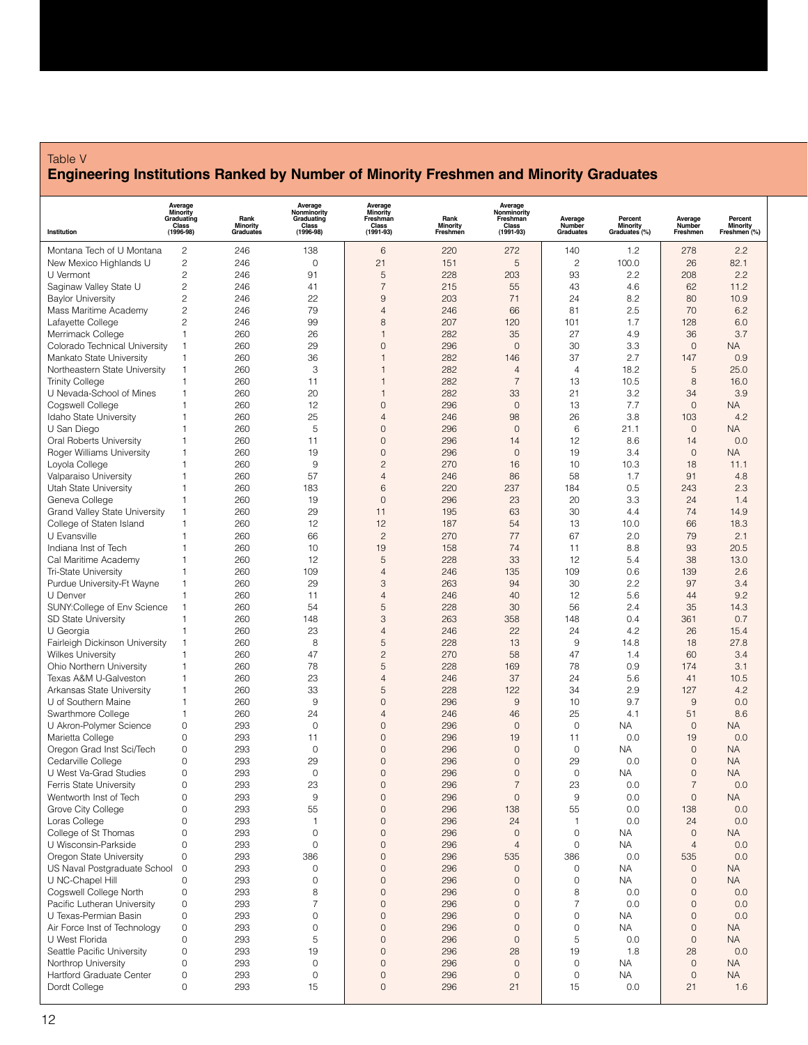## Table V **Engineering Institutions Ranked by Number of Minority Freshmen and Minority Graduates**

| Institution                                     | <b>Average</b><br>Minority<br>Graduating<br>Class<br>(1996-98) | Rank<br>Minority<br>Graduates | Average<br>Nonminority<br>Graduating<br>Class<br>(1996-98) | <b>Average</b><br>Minority<br>Freshman<br>Class<br>$(1991 - 93)$ | Rank<br>Minority<br>Freshmen | Average<br>Nonminority<br>Freshman<br>Class<br>$(1991 - 93)$ | Average<br>Number<br>Graduates | Percent<br>Minority<br>Graduates <sup>(%)</sup> | Average<br>Number<br>Freshmen | Percent<br>Minority<br>Freshmen <sup>(%)</sup> |
|-------------------------------------------------|----------------------------------------------------------------|-------------------------------|------------------------------------------------------------|------------------------------------------------------------------|------------------------------|--------------------------------------------------------------|--------------------------------|-------------------------------------------------|-------------------------------|------------------------------------------------|
|                                                 |                                                                |                               |                                                            |                                                                  |                              |                                                              |                                |                                                 |                               |                                                |
| Montana Tech of U Montana                       | $\overline{c}$                                                 | 246                           | 138                                                        | $\,6$                                                            | 220                          | 272<br>5                                                     | 140                            | 1.2                                             | 278                           | 2.2                                            |
| New Mexico Highlands U<br>U Vermont             | 2<br>2                                                         | 246<br>246                    | 0<br>91                                                    | 21<br>5                                                          | 151<br>228                   | 203                                                          | $\overline{c}$<br>93           | 100.0<br>2.2                                    | 26<br>208                     | 82.1<br>2.2                                    |
| Saginaw Valley State U                          | 2                                                              | 246                           | 41                                                         | $\overline{7}$                                                   | 215                          | 55                                                           | 43                             | 4.6                                             | 62                            | 11.2                                           |
| <b>Baylor University</b>                        | 2                                                              | 246                           | 22                                                         | 9                                                                | 203                          | 71                                                           | 24                             | 8.2                                             | 80                            | 10.9                                           |
| Mass Maritime Academy                           | 2                                                              | 246                           | 79                                                         | 4                                                                | 246                          | 66                                                           | 81                             | 2.5                                             | 70                            | 6.2                                            |
| Lafayette College                               | 2                                                              | 246                           | 99                                                         | 8                                                                | 207                          | 120                                                          | 101                            | 1.7                                             | 128                           | 6.0                                            |
| Merrimack College                               | 1                                                              | 260                           | 26                                                         | $\mathbf{1}$                                                     | 282                          | 35                                                           | 27                             | 4.9                                             | 36                            | 3.7                                            |
| Colorado Technical University                   | 1                                                              | 260                           | 29                                                         | 0                                                                | 296                          | $\mathbf 0$                                                  | 30                             | 3.3                                             | $\mathbf 0$                   | <b>NA</b>                                      |
| Mankato State University                        | 1                                                              | 260                           | 36                                                         | $\mathbf{1}$                                                     | 282                          | 146                                                          | 37                             | 2.7                                             | 147                           | 0.9                                            |
| Northeastern State University                   | 1                                                              | 260                           | 3                                                          | 1                                                                | 282                          | $\overline{4}$                                               | 4                              | 18.2                                            | 5                             | 25.0                                           |
| <b>Trinity College</b>                          | 1                                                              | 260                           | 11                                                         | $\mathbf{1}$                                                     | 282                          | $\overline{7}$                                               | 13                             | 10.5                                            | 8                             | 16.0                                           |
| U Nevada-School of Mines                        | 1                                                              | 260                           | 20                                                         | $\mathbf{1}$                                                     | 282                          | 33                                                           | 21                             | 3.2                                             | 34                            | 3.9                                            |
| Cogswell College                                | 1                                                              | 260                           | 12                                                         | 0                                                                | 296                          | $\mathbf 0$                                                  | 13                             | 7.7                                             | $\mathbf 0$                   | <b>NA</b>                                      |
| Idaho State University                          | 1                                                              | 260                           | 25                                                         | 4                                                                | 246                          | 98                                                           | 26                             | 3.8                                             | 103                           | 4.2                                            |
| U San Diego                                     | 1                                                              | 260                           | 5                                                          | 0                                                                | 296                          | $\mathbf 0$                                                  | 6                              | 21.1                                            | $\mathbf 0$                   | NA                                             |
| Oral Roberts University                         | 1                                                              | 260                           | 11                                                         | 0                                                                | 296                          | 14                                                           | 12                             | 8.6                                             | 14                            | 0.0                                            |
| Roger Williams University                       | 1                                                              | 260                           | 19                                                         | 0                                                                | 296                          | $\mathbf 0$                                                  | 19                             | 3.4                                             | $\mathbf 0$                   | <b>NA</b>                                      |
| Loyola College                                  | 1                                                              | 260                           | 9                                                          | $\overline{c}$                                                   | 270                          | 16                                                           | 10                             | 10.3                                            | 18                            | 11.1                                           |
| Valparaiso University                           | 1                                                              | 260                           | 57                                                         | 4<br>6                                                           | 246                          | 86                                                           | 58                             | 1.7                                             | 91                            | 4.8                                            |
| Utah State University                           |                                                                | 260                           | 183                                                        |                                                                  | 220                          | 237                                                          | 184                            | 0.5                                             | 243                           | 2.3                                            |
| Geneva College<br>Grand Valley State University | 1<br>1                                                         | 260<br>260                    | 19<br>29                                                   | $\mathbf 0$<br>11                                                | 296<br>195                   | 23<br>63                                                     | 20<br>30                       | 3.3<br>4.4                                      | 24<br>74                      | 1.4<br>14.9                                    |
|                                                 | 1                                                              | 260                           | 12                                                         | 12                                                               | 187                          | 54                                                           | 13                             | 10.0                                            | 66                            | 18.3                                           |
| College of Staten Island<br>U Evansville        | 1                                                              | 260                           | 66                                                         | $\overline{c}$                                                   | 270                          | 77                                                           | 67                             | 2.0                                             | 79                            | 2.1                                            |
| Indiana Inst of Tech                            |                                                                | 260                           | 10                                                         | 19                                                               | 158                          | 74                                                           | 11                             | 8.8                                             | 93                            | 20.5                                           |
| Cal Maritime Academy                            |                                                                | 260                           | 12                                                         | 5                                                                | 228                          | 33                                                           | 12                             | 5.4                                             | 38                            | 13.0                                           |
| Tri-State University                            | 1                                                              | 260                           | 109                                                        | 4                                                                | 246                          | 135                                                          | 109                            | 0.6                                             | 139                           | 2.6                                            |
| Purdue University-Ft Wayne                      | 1                                                              | 260                           | 29                                                         | 3                                                                | 263                          | 94                                                           | 30                             | 2.2                                             | 97                            | 3.4                                            |
| U Denver                                        | $\mathbf{1}$                                                   | 260                           | 11                                                         | 4                                                                | 246                          | 40                                                           | 12                             | 5.6                                             | 44                            | 9.2                                            |
| SUNY:College of Env Science                     | 1                                                              | 260                           | 54                                                         | 5                                                                | 228                          | 30                                                           | 56                             | 2.4                                             | 35                            | 14.3                                           |
| <b>SD State University</b>                      | 1                                                              | 260                           | 148                                                        | 3                                                                | 263                          | 358                                                          | 148                            | 0.4                                             | 361                           | 0.7                                            |
| U Georgia                                       | 1                                                              | 260                           | 23                                                         | 4                                                                | 246                          | 22                                                           | 24                             | 4.2                                             | 26                            | 15.4                                           |
| Fairleigh Dickinson University                  | 1                                                              | 260                           | 8                                                          | 5                                                                | 228                          | 13                                                           | 9                              | 14.8                                            | 18                            | 27.8                                           |
| <b>Wilkes University</b>                        | 1                                                              | 260                           | 47                                                         | $\overline{c}$                                                   | 270                          | 58                                                           | 47                             | 1.4                                             | 60                            | 3.4                                            |
| Ohio Northern University                        | 1                                                              | 260                           | 78                                                         | 5                                                                | 228                          | 169                                                          | 78                             | 0.9                                             | 174                           | 3.1                                            |
| Texas A&M U-Galveston                           | 1                                                              | 260                           | 23                                                         | 4                                                                | 246                          | 37                                                           | 24                             | 5.6                                             | 41                            | 10.5                                           |
| Arkansas State University                       | 1                                                              | 260                           | 33                                                         | 5                                                                | 228                          | 122                                                          | 34                             | 2.9                                             | 127                           | 4.2                                            |
| U of Southern Maine                             | 1                                                              | 260                           | $\overline{9}$                                             | $\overline{O}$                                                   | 296                          | 9                                                            | 10                             | 9.7                                             | 9                             | 0.0                                            |
| Swarthmore College                              | 1                                                              | 260                           | 24                                                         | 4                                                                | 246                          | 46                                                           | 25                             | 4.1                                             | 51                            | 8.6                                            |
| U Akron-Polymer Science                         | 0                                                              | 293                           | $\mathbf 0$                                                | 0                                                                | 296                          | $\mathbf 0$                                                  | $\mathbf 0$                    | <b>NA</b>                                       | $\mathbf 0$                   | NA                                             |
| Marietta College                                | 0                                                              | 293                           | 11                                                         | 0                                                                | 296                          | 19                                                           | 11                             | 0.0                                             | 19                            | 0.0                                            |
| Oregon Grad Inst Sci/Tech                       | 0                                                              | 293                           | $\mathbf{0}$                                               | 0                                                                | 296                          | $\mathbf 0$                                                  | 0                              | <b>NA</b>                                       | 0                             | NA                                             |
| Cedarville College                              | 0                                                              | 293                           | 29                                                         | 0                                                                | 296                          | $\mathbf 0$                                                  | 29                             | 0.0                                             | 0                             | <b>NA</b>                                      |
| U West Va-Grad Studies                          | 0                                                              | 293                           | $\mathbf{0}$                                               | 0                                                                | 296                          | $\mathbf 0$                                                  | $\mathbf 0$                    | <b>NA</b>                                       | 0                             | <b>NA</b>                                      |
| <b>Ferris State University</b>                  | $\Omega$                                                       | 293                           | 23                                                         | $\Omega$                                                         | 296                          | $\overline{7}$                                               | 23                             | 0.0                                             | $\overline{7}$                | 0.0                                            |
| Wentworth Inst of Tech                          | 0                                                              | 293                           | $\boldsymbol{9}$                                           | $\mathbf 0$                                                      | 296                          | $\mathbf 0$                                                  | 9                              | 0.0                                             | $\mathbf 0$                   | <b>NA</b>                                      |
| Grove City College                              | 0                                                              | 293                           | 55                                                         | $\mathsf{O}\xspace$                                              | 296                          | 138                                                          | 55                             | 0.0                                             | 138                           | 0.0                                            |
| Loras College                                   | 0                                                              | 293                           | $\mathbf{1}$<br>$\mathbf 0$                                | $\mathbf 0$                                                      | 296                          | 24                                                           | $\mathbf{1}$<br>$\mathbf 0$    | 0.0                                             | 24                            | 0.0                                            |
| College of St Thomas                            | 0<br>0                                                         | 293<br>293                    | $\mathbf 0$                                                | $\mathsf{O}\xspace$<br>$\mathbf 0$                               | 296<br>296                   | $\mathbf 0$<br>$\overline{4}$                                | 0                              | <b>NA</b><br><b>NA</b>                          | $\mathbf 0$<br>$\overline{4}$ | <b>NA</b><br>0.0                               |
| U Wisconsin-Parkside<br>Oregon State University | $\mathsf{O}\xspace$                                            | 293                           | 386                                                        | $\mathbf 0$                                                      | 296                          | 535                                                          | 386                            | 0.0                                             | 535                           | 0.0                                            |
| US Naval Postgraduate School                    | $\circ$                                                        | 293                           | $\mathsf{O}\xspace$                                        | $\mathbf 0$                                                      | 296                          | $\mathbf 0$                                                  | 0                              | <b>NA</b>                                       | $\mathbf 0$                   | <b>NA</b>                                      |
| U NC-Chapel Hill                                | 0                                                              | 293                           | $\mathbf 0$                                                | $\mathsf{O}\xspace$                                              | 296                          | $\mathbf 0$                                                  | $\mathsf{O}\xspace$            | <b>NA</b>                                       | $\mathbf 0$                   | <b>NA</b>                                      |
| Cogswell College North                          | $\mathsf{O}\xspace$                                            | 293                           | 8                                                          | $\mathbf 0$                                                      | 296                          | $\mathbf 0$                                                  | 8                              | 0.0                                             | $\mathbf 0$                   | 0.0                                            |
| Pacific Lutheran University                     | $\mathsf{O}\xspace$                                            | 293                           | $\overline{7}$                                             | $\mathbf 0$                                                      | 296                          | $\mathbf 0$                                                  | $\overline{7}$                 | 0.0                                             | $\mathbf 0$                   | 0.0                                            |
| U Texas-Permian Basin                           | $\mathsf{O}\xspace$                                            | 293                           | $\overline{0}$                                             | $\mathbf 0$                                                      | 296                          | $\mathbf 0$                                                  | $\mathsf{O}\xspace$            | <b>NA</b>                                       | $\mathbf 0$                   | 0.0                                            |
| Air Force Inst of Technology                    | $\mathsf{O}\xspace$                                            | 293                           | $\mathbf 0$                                                | $\mathsf{O}\xspace$                                              | 296                          | $\mathbf 0$                                                  | $\mathsf{O}\xspace$            | <b>NA</b>                                       | $\mathbf 0$                   | <b>NA</b>                                      |
| U West Florida                                  | 0                                                              | 293                           | 5                                                          | $\mathbf 0$                                                      | 296                          | $\mathbf 0$                                                  | 5                              | 0.0                                             | $\mathbf 0$                   | <b>NA</b>                                      |
| Seattle Pacific University                      | 0                                                              | 293                           | 19                                                         | $\mathbf 0$                                                      | 296                          | 28                                                           | 19                             | 1.8                                             | 28                            | 0.0                                            |
| Northrop University                             | 0                                                              | 293                           | $\overline{0}$                                             | $\mathbf 0$                                                      | 296                          | $\mathbf 0$                                                  | $\mathsf{O}\xspace$            | <b>NA</b>                                       | $\mathbf 0$                   | <b>NA</b>                                      |
| Hartford Graduate Center                        | 0                                                              | 293                           | 0                                                          | $\mathsf{O}\xspace$                                              | 296                          | $\mathbf 0$                                                  | 0                              | <b>NA</b>                                       | $\mathbf 0$                   | <b>NA</b>                                      |
| Dordt College                                   | 0                                                              | 293                           | 15                                                         | $\mathbf 0$                                                      | 296                          | 21                                                           | 15                             | 0.0                                             | 21                            | 1.6                                            |
|                                                 |                                                                |                               |                                                            |                                                                  |                              |                                                              |                                |                                                 |                               |                                                |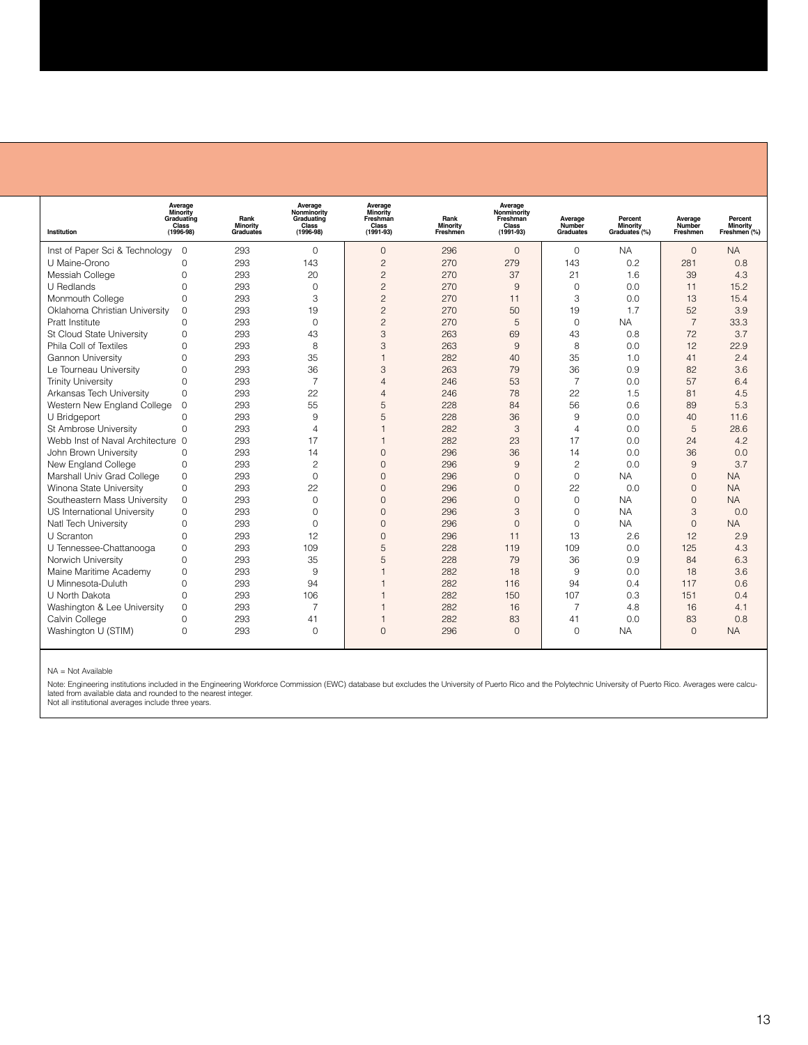| Institution                       | Average<br>Minority<br>Graduating<br>Class<br>$(1996 - 98)$ | Rank<br><b>Minority</b><br>Graduates | Average<br>Nonminority<br>Graduating<br>Class<br>$(1996 - 98)$ | Average<br>Minority<br>Freshman<br>Class<br>$(1991 - 93)$ | Rank<br>Minority<br>Freshmen | Average<br>Nonminority<br>Freshman<br>Class<br>$(1991 - 93)$ | Average<br>Number<br><b>Graduates</b> | Percent<br><b>Minority</b><br>Graduates <sup>(%)</sup> | Average<br>Number<br>Freshmen | Percent<br>Minority<br>Freshmen (%) |
|-----------------------------------|-------------------------------------------------------------|--------------------------------------|----------------------------------------------------------------|-----------------------------------------------------------|------------------------------|--------------------------------------------------------------|---------------------------------------|--------------------------------------------------------|-------------------------------|-------------------------------------|
| Inst of Paper Sci & Technology    | $\overline{0}$                                              | 293                                  | $\Omega$                                                       | $\mathbf{0}$                                              | 296                          | $\mathbf{0}$                                                 | $\mathbf 0$                           | <b>NA</b>                                              | $\mathbf{0}$                  | <b>NA</b>                           |
| U Maine-Orono                     | $\Omega$                                                    | 293                                  | 143                                                            | $\overline{c}$                                            | 270                          | 279                                                          | 143                                   | 0.2                                                    | 281                           | 0.8                                 |
| Messiah College                   | $\Omega$                                                    | 293                                  | 20                                                             | $\overline{c}$                                            | 270                          | 37                                                           | 21                                    | 1.6                                                    | 39                            | 4.3                                 |
| U Redlands                        | $\Omega$                                                    | 293                                  | $\Omega$                                                       | $\overline{c}$                                            | 270                          | 9                                                            | $\Omega$                              | 0.0                                                    | 11                            | 15.2                                |
| Monmouth College                  | $\Omega$                                                    | 293                                  | 3                                                              | $\overline{c}$                                            | 270                          | 11                                                           | 3                                     | 0.0                                                    | 13                            | 15.4                                |
| Oklahoma Christian University     | $\mathbf{0}$                                                | 293                                  | 19                                                             | $\overline{c}$                                            | 270                          | 50                                                           | 19                                    | 1.7                                                    | 52                            | 3.9                                 |
| Pratt Institute                   | $\Omega$                                                    | 293                                  | $\Omega$                                                       | $\overline{c}$                                            | 270                          | 5                                                            | $\Omega$                              | <b>NA</b>                                              | $\overline{7}$                | 33.3                                |
| St Cloud State University         | 0                                                           | 293                                  | 43                                                             | 3                                                         | 263                          | 69                                                           | 43                                    | 0.8                                                    | 72                            | 3.7                                 |
| Phila Coll of Textiles            | $\overline{0}$                                              | 293                                  | 8                                                              | 3                                                         | 263                          | 9                                                            | 8                                     | 0.0                                                    | 12                            | 22.9                                |
| <b>Gannon University</b>          | $\overline{0}$                                              | 293                                  | 35                                                             | 1                                                         | 282                          | 40                                                           | 35                                    | 1.0                                                    | 41                            | 2.4                                 |
| Le Tourneau University            | $\Omega$                                                    | 293                                  | 36                                                             | 3                                                         | 263                          | 79                                                           | 36                                    | 0.9                                                    | 82                            | 3.6                                 |
| <b>Trinity University</b>         | $\Omega$                                                    | 293                                  | $\overline{7}$                                                 | $\overline{\mathcal{A}}$                                  | 246                          | 53                                                           | $\overline{7}$                        | 0.0                                                    | 57                            | 6.4                                 |
| Arkansas Tech University          | $\Omega$                                                    | 293                                  | 22                                                             | $\overline{A}$                                            | 246                          | 78                                                           | 22                                    | 1.5                                                    | 81                            | 4.5                                 |
| Western New England College       | $\Omega$                                                    | 293                                  | 55                                                             | 5                                                         | 228                          | 84                                                           | 56                                    | 0.6                                                    | 89                            | 5.3                                 |
| U Bridgeport                      | $\Omega$                                                    | 293                                  | 9                                                              | 5                                                         | 228                          | 36                                                           | 9                                     | 0.0                                                    | 40                            | 11.6                                |
| St Ambrose University             | $\Omega$                                                    | 293                                  | $\overline{4}$                                                 |                                                           | 282                          | 3                                                            | $\overline{4}$                        | 0.0                                                    | 5                             | 28.6                                |
| Webb Inst of Naval Architecture 0 |                                                             | 293                                  | 17                                                             |                                                           | 282                          | 23                                                           | 17                                    | 0.0                                                    | 24                            | 4.2                                 |
| John Brown University             | $\Omega$                                                    | 293                                  | 14                                                             | $\Omega$                                                  | 296                          | 36                                                           | 14                                    | 0.0                                                    | 36                            | 0.0                                 |
| New England College               | 0                                                           | 293                                  | $\overline{c}$                                                 | $\Omega$                                                  | 296                          | 9                                                            | $\overline{c}$                        | 0.0                                                    | 9                             | 3.7                                 |
| Marshall Univ Grad College        | $\Omega$                                                    | 293                                  | $\Omega$                                                       | $\Omega$                                                  | 296                          | $\Omega$                                                     | $\Omega$                              | <b>NA</b>                                              | $\Omega$                      | <b>NA</b>                           |
| Winona State University           | $\Omega$                                                    | 293                                  | 22                                                             | $\Omega$                                                  | 296                          | $\Omega$                                                     | 22                                    | 0.0                                                    | $\Omega$                      | <b>NA</b>                           |
| Southeastern Mass University      | $\Omega$                                                    | 293                                  | $\Omega$                                                       | $\Omega$                                                  | 296                          | $\Omega$                                                     | $\Omega$                              | <b>NA</b>                                              | $\Omega$                      | <b>NA</b>                           |
| US International University       | $\Omega$                                                    | 293                                  | $\Omega$                                                       | $\Omega$                                                  | 296                          | 3                                                            | $\Omega$                              | <b>NA</b>                                              | 3                             | 0.0                                 |
| Natl Tech University              | $\Omega$                                                    | 293                                  | $\Omega$                                                       | $\Omega$                                                  | 296                          | $\Omega$                                                     | $\Omega$                              | <b>NA</b>                                              | $\Omega$                      | <b>NA</b>                           |
| U Scranton                        | $\Omega$                                                    | 293                                  | 12                                                             | $\Omega$                                                  | 296                          | 11                                                           | 13                                    | 2.6                                                    | 12                            | 2.9                                 |
| U Tennessee-Chattanooga           | $\Omega$                                                    | 293                                  | 109                                                            | 5                                                         | 228                          | 119                                                          | 109                                   | 0.0                                                    | 125                           | 4.3                                 |
| Norwich University                | 0                                                           | 293                                  | 35                                                             | 5                                                         | 228                          | 79                                                           | 36                                    | 0.9                                                    | 84                            | 6.3                                 |
| Maine Maritime Academy            | $\Omega$                                                    | 293                                  | 9                                                              | f                                                         | 282                          | 18                                                           | 9                                     | 0.0                                                    | 18                            | 3.6                                 |
| U Minnesota-Duluth                | $\Omega$                                                    | 293                                  | 94                                                             |                                                           | 282                          | 116                                                          | 94                                    | 0.4                                                    | 117                           | 0.6                                 |
| U North Dakota                    | $\Omega$                                                    | 293                                  | 106                                                            |                                                           | 282                          | 150                                                          | 107                                   | 0.3                                                    | 151                           | 0.4                                 |
| Washington & Lee University       | 0                                                           | 293                                  | 7                                                              |                                                           | 282                          | 16                                                           | $\overline{7}$                        | 4.8                                                    | 16                            | 4.1                                 |
| Calvin College                    | $\Omega$                                                    | 293                                  | 41                                                             |                                                           | 282                          | 83                                                           | 41                                    | 0.0                                                    | 83                            | 0.8                                 |
| Washington U (STIM)               | $\Omega$                                                    | 293                                  | $\Omega$                                                       | $\Omega$                                                  | 296                          | $\Omega$                                                     | $\Omega$                              | <b>NA</b>                                              | $\Omega$                      | <b>NA</b>                           |
|                                   |                                                             |                                      |                                                                |                                                           |                              |                                                              |                                       |                                                        |                               |                                     |

NA = Not Available

Note: Engineering institutions included in the Engineering Workforce Commission (EWC) database but excludes the University of Puerto Rico and the Polytechnic University of Puerto Rico. Averages were calcu-<br>lated from avail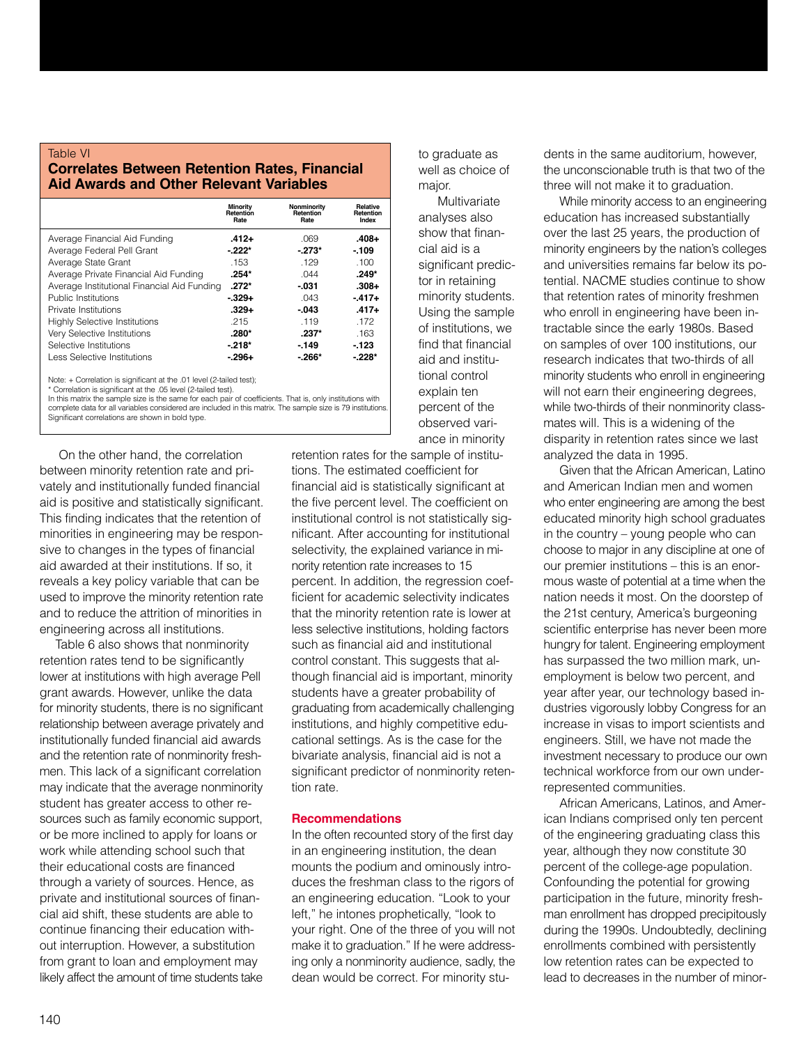#### Table VI **Correlates Between Retention Rates, Financial Aid Awards and Other Relevant Variables**

|                                             | <b>Minority</b><br><b>Retention</b><br>Rate | Nonminority<br><b>Retention</b><br>Rate | <b>Relative</b><br>Retention<br>Index |
|---------------------------------------------|---------------------------------------------|-----------------------------------------|---------------------------------------|
| Average Financial Aid Funding               | $.412+$                                     | .069                                    | .408+                                 |
| Average Federal Pell Grant                  | $-222*$                                     | $-273*$                                 | $-109$                                |
| Average State Grant                         | .153                                        | .129                                    | .100                                  |
| Average Private Financial Aid Funding       | $.254*$                                     | .044                                    | $.249*$                               |
| Average Institutional Financial Aid Funding | $.272*$                                     | $-031$                                  | $.308 +$                              |
| Public Institutions                         | $-.329+$                                    | .043                                    | $-417+$                               |
| Private Institutions                        | $.329+$                                     | $-.043$                                 | $-417+$                               |
| <b>Highly Selective Institutions</b>        | .215                                        | .119                                    | .172                                  |
| Very Selective Institutions                 | $.280*$                                     | $.237*$                                 | .163                                  |
| Selective Institutions                      | $-218*$                                     | $-149$                                  | $-123$                                |
| <b>Less Selective Institutions</b>          | - 296+                                      | $-266*$                                 | $-228*$                               |

Note: + Correlation is significant at the .01 level (2-tailed test);

Correlation is significant at the .05 level (2-tailed test).

In this matrix the sample size is the same for each pair of coefficients. That is, only institutions with complete data for all variables considered are included in this matrix. The sample size is 79 institutions. Significant correlations are shown in bold type.

On the other hand, the correlation between minority retention rate and privately and institutionally funded financial aid is positive and statistically significant. This finding indicates that the retention of minorities in engineering may be responsive to changes in the types of financial aid awarded at their institutions. If so, it reveals a key policy variable that can be used to improve the minority retention rate and to reduce the attrition of minorities in engineering across all institutions.

Table 6 also shows that nonminority retention rates tend to be significantly lower at institutions with high average Pell grant awards. However, unlike the data for minority students, there is no significant relationship between average privately and institutionally funded financial aid awards and the retention rate of nonminority freshmen. This lack of a significant correlation may indicate that the average nonminority student has greater access to other resources such as family economic support, or be more inclined to apply for loans or work while attending school such that their educational costs are financed through a variety of sources. Hence, as private and institutional sources of financial aid shift, these students are able to continue financing their education without interruption. However, a substitution from grant to loan and employment may likely affect the amount of time students take

to graduate as well as choice of major.

Multivariate analyses also show that financial aid is a significant predictor in retaining minority students. Using the sample of institutions, we find that financial aid and institutional control explain ten percent of the observed variance in minority

retention rates for the sample of institutions. The estimated coefficient for financial aid is statistically significant at the five percent level. The coefficient on institutional control is not statistically significant. After accounting for institutional selectivity, the explained variance in minority retention rate increases to 15 percent. In addition, the regression coefficient for academic selectivity indicates that the minority retention rate is lower at less selective institutions, holding factors such as financial aid and institutional control constant. This suggests that although financial aid is important, minority students have a greater probability of graduating from academically challenging institutions, and highly competitive educational settings. As is the case for the bivariate analysis, financial aid is not a significant predictor of nonminority retention rate.

#### **Recommendations**

In the often recounted story of the first day in an engineering institution, the dean mounts the podium and ominously introduces the freshman class to the rigors of an engineering education. "Look to your left," he intones prophetically, "look to your right. One of the three of you will not make it to graduation." If he were addressing only a nonminority audience, sadly, the dean would be correct. For minority students in the same auditorium, however, the unconscionable truth is that two of the three will not make it to graduation.

While minority access to an engineering education has increased substantially over the last 25 years, the production of minority engineers by the nation's colleges and universities remains far below its potential. NACME studies continue to show that retention rates of minority freshmen who enroll in engineering have been intractable since the early 1980s. Based on samples of over 100 institutions, our research indicates that two-thirds of all minority students who enroll in engineering will not earn their engineering degrees, while two-thirds of their nonminority classmates will. This is a widening of the disparity in retention rates since we last analyzed the data in 1995.

Given that the African American, Latino and American Indian men and women who enter engineering are among the best educated minority high school graduates in the country – young people who can choose to major in any discipline at one of our premier institutions – this is an enormous waste of potential at a time when the nation needs it most. On the doorstep of the 21st century, America's burgeoning scientific enterprise has never been more hungry for talent. Engineering employment has surpassed the two million mark, unemployment is below two percent, and year after year, our technology based industries vigorously lobby Congress for an increase in visas to import scientists and engineers. Still, we have not made the investment necessary to produce our own technical workforce from our own underrepresented communities.

African Americans, Latinos, and American Indians comprised only ten percent of the engineering graduating class this year, although they now constitute 30 percent of the college-age population. Confounding the potential for growing participation in the future, minority freshman enrollment has dropped precipitously during the 1990s. Undoubtedly, declining enrollments combined with persistently low retention rates can be expected to lead to decreases in the number of minor-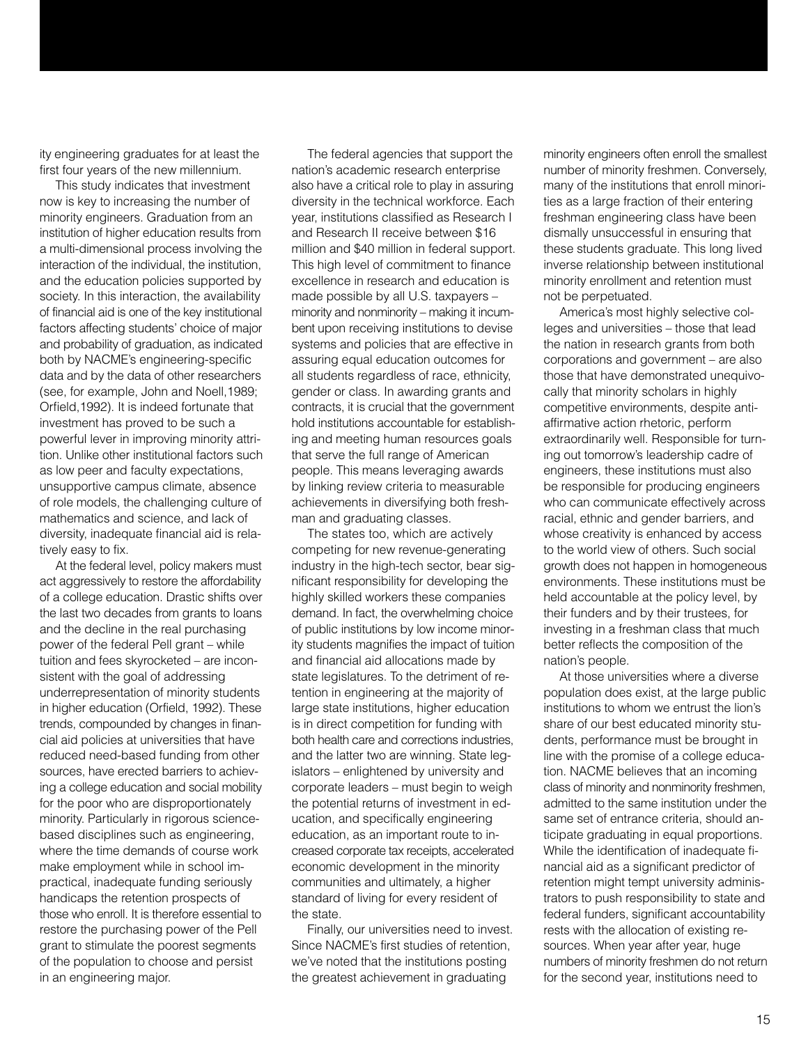ity engineering graduates for at least the first four years of the new millennium.

This study indicates that investment now is key to increasing the number of minority engineers. Graduation from an institution of higher education results from a multi-dimensional process involving the interaction of the individual, the institution, and the education policies supported by society. In this interaction, the availability of financial aid is one of the key institutional factors affecting students' choice of major and probability of graduation, as indicated both by NACME's engineering-specific data and by the data of other researchers (see, for example, John and Noell,1989; Orfield,1992). It is indeed fortunate that investment has proved to be such a powerful lever in improving minority attrition. Unlike other institutional factors such as low peer and faculty expectations, unsupportive campus climate, absence of role models, the challenging culture of mathematics and science, and lack of diversity, inadequate financial aid is relatively easy to fix.

At the federal level, policy makers must act aggressively to restore the affordability of a college education. Drastic shifts over the last two decades from grants to loans and the decline in the real purchasing power of the federal Pell grant – while tuition and fees skyrocketed – are inconsistent with the goal of addressing underrepresentation of minority students in higher education (Orfield, 1992). These trends, compounded by changes in financial aid policies at universities that have reduced need-based funding from other sources, have erected barriers to achieving a college education and social mobility for the poor who are disproportionately minority. Particularly in rigorous sciencebased disciplines such as engineering, where the time demands of course work make employment while in school impractical, inadequate funding seriously handicaps the retention prospects of those who enroll. It is therefore essential to restore the purchasing power of the Pell grant to stimulate the poorest segments of the population to choose and persist in an engineering major.

The federal agencies that support the nation's academic research enterprise also have a critical role to play in assuring diversity in the technical workforce. Each year, institutions classified as Research I and Research II receive between \$16 million and \$40 million in federal support. This high level of commitment to finance excellence in research and education is made possible by all U.S. taxpayers – minority and nonminority – making it incumbent upon receiving institutions to devise systems and policies that are effective in assuring equal education outcomes for all students regardless of race, ethnicity, gender or class. In awarding grants and contracts, it is crucial that the government hold institutions accountable for establishing and meeting human resources goals that serve the full range of American people. This means leveraging awards by linking review criteria to measurable achievements in diversifying both freshman and graduating classes.

The states too, which are actively competing for new revenue-generating industry in the high-tech sector, bear significant responsibility for developing the highly skilled workers these companies demand. In fact, the overwhelming choice of public institutions by low income minority students magnifies the impact of tuition and financial aid allocations made by state legislatures. To the detriment of retention in engineering at the majority of large state institutions, higher education is in direct competition for funding with both health care and corrections industries, and the latter two are winning. State legislators – enlightened by university and corporate leaders – must begin to weigh the potential returns of investment in education, and specifically engineering education, as an important route to increased corporate tax receipts, accelerated economic development in the minority communities and ultimately, a higher standard of living for every resident of the state.

Finally, our universities need to invest. Since NACME's first studies of retention, we've noted that the institutions posting the greatest achievement in graduating

minority engineers often enroll the smallest number of minority freshmen. Conversely, many of the institutions that enroll minorities as a large fraction of their entering freshman engineering class have been dismally unsuccessful in ensuring that these students graduate. This long lived inverse relationship between institutional minority enrollment and retention must not be perpetuated.

America's most highly selective colleges and universities – those that lead the nation in research grants from both corporations and government – are also those that have demonstrated unequivocally that minority scholars in highly competitive environments, despite antiaffirmative action rhetoric, perform extraordinarily well. Responsible for turning out tomorrow's leadership cadre of engineers, these institutions must also be responsible for producing engineers who can communicate effectively across racial, ethnic and gender barriers, and whose creativity is enhanced by access to the world view of others. Such social growth does not happen in homogeneous environments. These institutions must be held accountable at the policy level, by their funders and by their trustees, for investing in a freshman class that much better reflects the composition of the nation's people.

At those universities where a diverse population does exist, at the large public institutions to whom we entrust the lion's share of our best educated minority students, performance must be brought in line with the promise of a college education. NACME believes that an incoming class of minority and nonminority freshmen, admitted to the same institution under the same set of entrance criteria, should anticipate graduating in equal proportions. While the identification of inadequate financial aid as a significant predictor of retention might tempt university administrators to push responsibility to state and federal funders, significant accountability rests with the allocation of existing resources. When year after year, huge numbers of minority freshmen do not return for the second year, institutions need to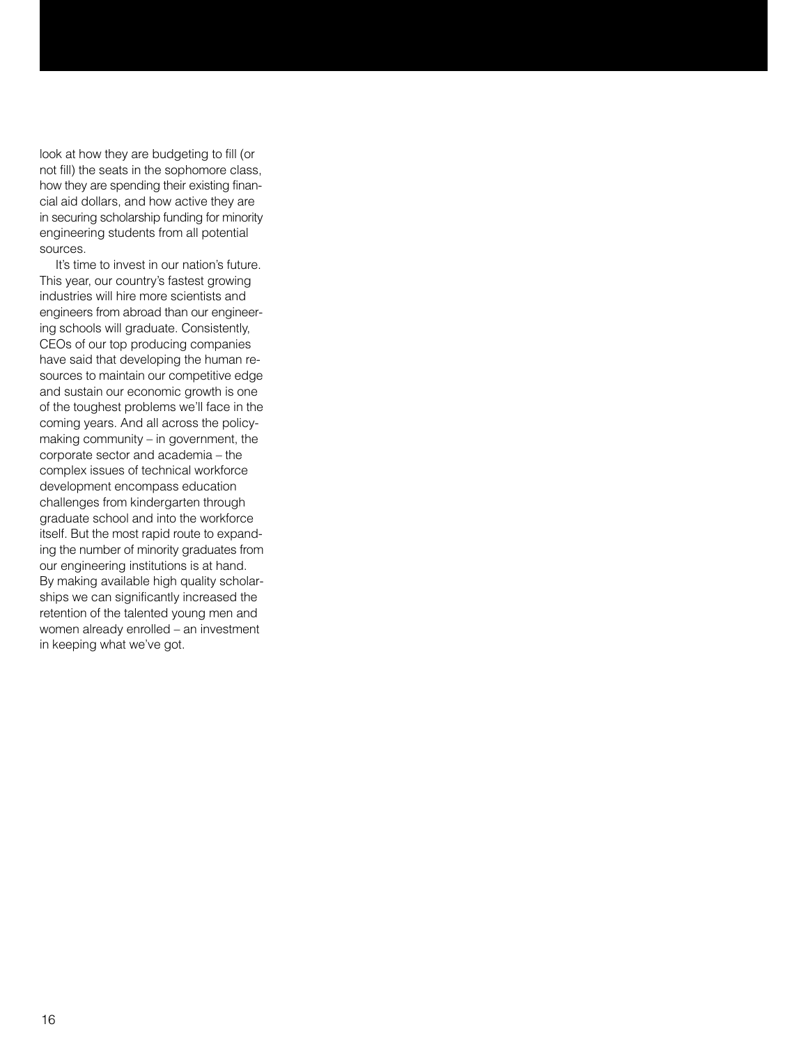look at how they are budgeting to fill (or not fill) the seats in the sophomore class, how they are spending their existing financial aid dollars, and how active they are in securing scholarship funding for minority engineering students from all potential sources.

It's time to invest in our nation's future. This year, our country's fastest growing industries will hire more scientists and engineers from abroad than our engineering schools will graduate. Consistently, CEOs of our top producing companies have said that developing the human resources to maintain our competitive edge and sustain our economic growth is one of the toughest problems we'll face in the coming years. And all across the policymaking community – in government, the corporate sector and academia – the complex issues of technical workforce development encompass education challenges from kindergarten through graduate school and into the workforce itself. But the most rapid route to expanding the number of minority graduates from our engineering institutions is at hand. By making available high quality scholarships we can significantly increased the retention of the talented young men and women already enrolled – an investment in keeping what we've got.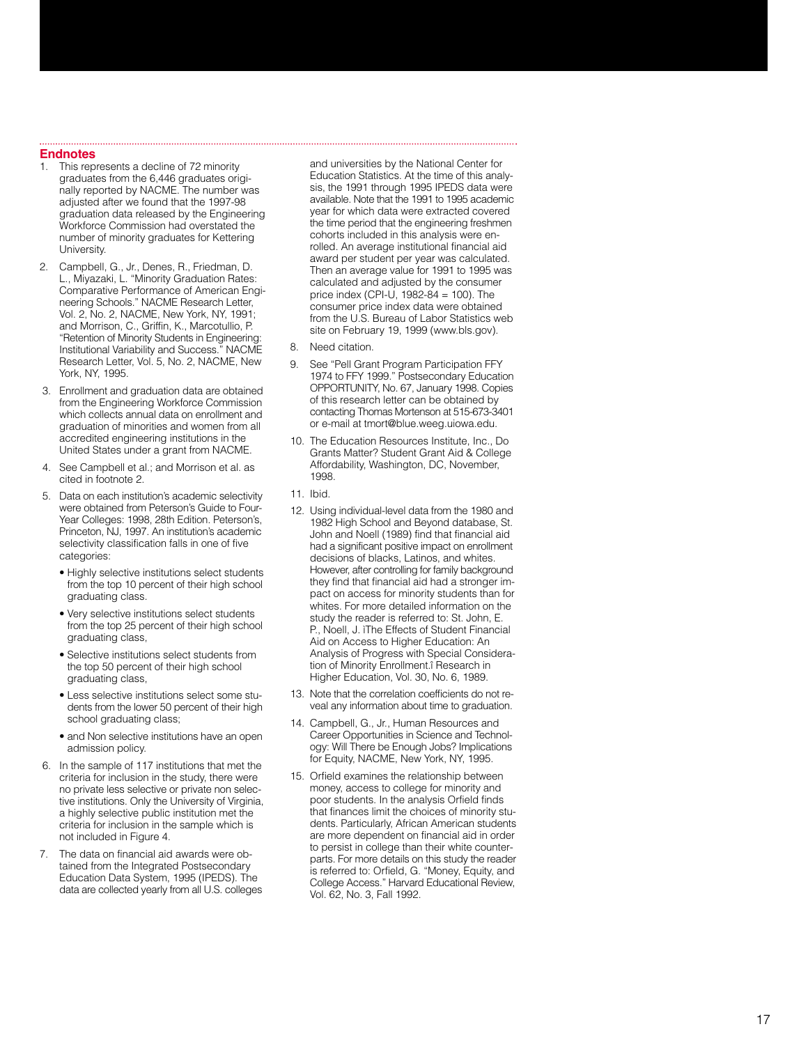#### **Endnotes**

- This represents a decline of 72 minority graduates from the 6,446 graduates originally reported by NACME. The number was adjusted after we found that the 1997-98 graduation data released by the Engineering Workforce Commission had overstated the number of minority graduates for Kettering University.
- 2. Campbell, G., Jr., Denes, R., Friedman, D. L., Miyazaki, L. "Minority Graduation Rates: Comparative Performance of American Engineering Schools." NACME Research Letter, Vol. 2, No. 2, NACME, New York, NY, 1991; and Morrison, C., Griffin, K., Marcotullio, P. "Retention of Minority Students in Engineering: Institutional Variability and Success. " NACME Research Letter, Vol. 5, No. 2, NACME, New York, NY, 1995.
- 3. Enrollment and graduation data are obtained from the Engineering Workforce Commission which collects annual data on enrollment and graduation of minorities and women from all accredited engineering institutions in the United States under a grant from NACME.
- 4. See Campbell et al.; and Morrison et al. as cited in footnote 2.
- 5. Data on each institution 's academic selectivity were obtained from Peterson 's Guide to Four-Year Colleges: 1998, 28th Edition, Peterson's, Princeton, NJ, 1997. An institution 's academic selectivity classification falls in one of five categories:
	- Highly selective institutions select students from the top 10 percent of their high school graduating class.
	- Very selective institutions select students from the top 25 percent of their high school graduating class,
	- Selective institutions select students from the top 50 percent of their high school graduating class,
	- Less selective institutions select some students from the lower 50 percent of their high school graduating class;
	- and Non selective institutions have an open admission policy.
- 6. In the sample of 117 institutions that met the criteria for inclusion in the study, there were no private less selective or private non selective institutions. Only the University of Virginia, a highly selective public institution met the criteria for inclusion in the sample which is not included in Figure 4.
- 7. The data on financial aid awards were obtained from the Integrated Postsecondary Education Data System, 1995 (IPEDS). The data are collected yearly from all U.S. colleges

and universities by the National Center for Education Statistics. At the time of this analysis, the 1991 through 1995 IPEDS data were available. Note that the 1991 to 1995 academic year for which data were extracted covered the time period that the engineering freshmen cohorts included in this analysis were enrolled. An average institutional financial aid award per student per year was calculated. Then an average value for 1991 to 1995 was calculated and adjusted by the consumer price index (CPI-U,  $1982 - 84 = 100$ ). The consumer price index data were obtained from the U.S. Bureau of Labor Statistics web site on February 19, 1999 (www.bls.gov).

- 8. Need citation.
- 9. See "Pell Grant Program Participation FFY 1974 to FFY 1999. " Postsecondary Education OPPORTUNITY, No. 67, January 1998. Copies of this research letter can be obtained by contacting Thomas Mortenson at 515-673-3401 or e-mail at tmort@blue.weeg.uiowa.edu.
- 10. The Education Resources Institute, Inc., Do Grants Matter? Student Grant Aid & College Affordability, Washington, DC, November, 1998.
- 11. Ibid.
- 12. Using individual-level data from the 1980 and 1982 High School and Beyond database, St. John and Noell (1989) find that financial aid had a significant positive impact on enrollment decisions of blacks, Latinos, and whites. However, after controlling for family background they find that financial aid had a stronger impact on access for minority students than for whites. For more detailed information on the study the reader is referred to: St. John, E. P., Noell, J. ìThe Effects of Student Financial Aid on Access to Higher Education: An Analysis of Progress with Special Consideration of Minority Enrollment.î Research in Higher Education, Vol. 30, No. 6, 1989.
- 13. Note that the correlation coefficients do not reveal any information about time to graduation.
- 14. Campbell, G., Jr., Human Resources and Career Opportunities in Science and Technology: Will There be Enough Jobs? Implications for Equity, NACME, New York, NY, 1995.
- 15. Orfield examines the relationship between money, access to college for minority and poor students. In the analysis Orfield finds that finances limit the choices of minority students. Particularly, African American students are more dependent on financial aid in order to persist in college than their white counterparts. For more details on this study the reader is referred to: Orfield, G. "Money, Equity, and College Access. " Harvard Educational Review, Vol. 62, No. 3, Fall 1992.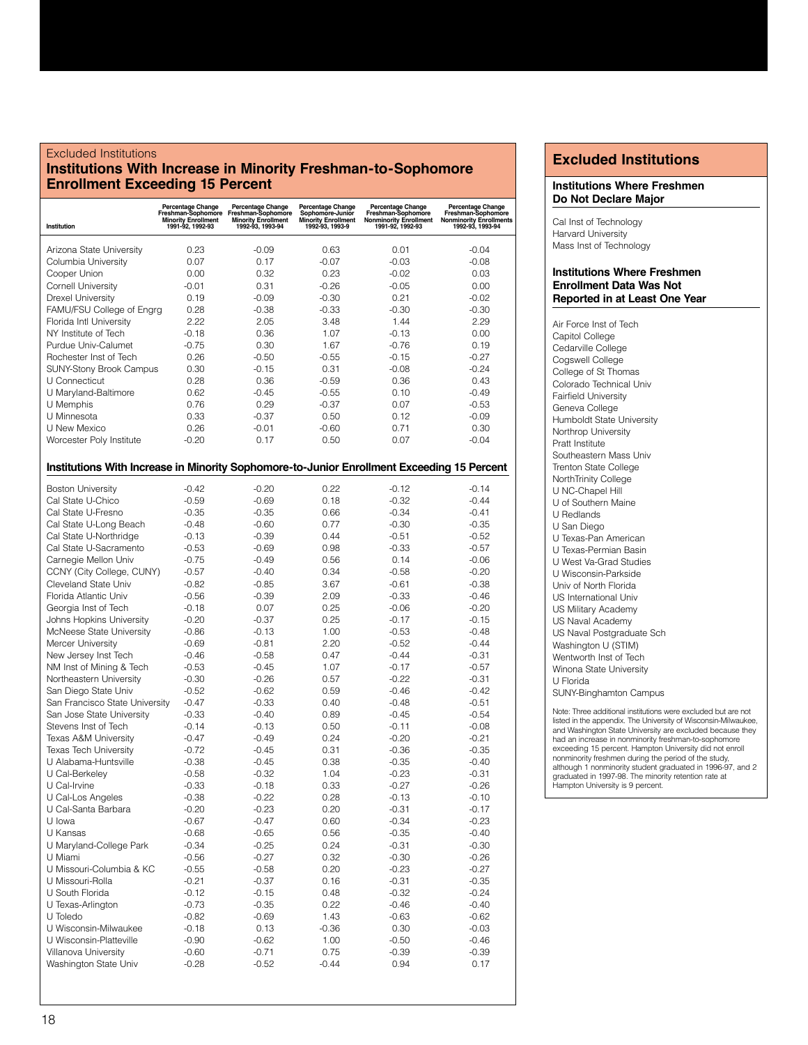#### Excluded Institutions **Institutions With Increase in Minority Freshman-to-Sophomore Enrollment Exceeding 15 Percent**

| Institution                                                                                | Percentage Change<br>Freshman-Sophomore<br><b>Minority Enrollment</b><br>1991-92, 1992-93 | Percentage Change<br>Freshman-Sophomore<br><b>Minority Enrollment</b><br>1992-93, 1993-94 | Percentage Change<br>Sophomore-Junior<br><b>Minority Enrollment</b><br>1992-93, 1993-9 | Percentage Change<br>Freshman-Sophomore<br><b>Nonminority Enrollment</b><br>1991-92, 1992-93 | Percentage Change<br>Freshman-Sophomore<br><b>Nonminority Enrollments</b><br>1992-93, 1993-94 |
|--------------------------------------------------------------------------------------------|-------------------------------------------------------------------------------------------|-------------------------------------------------------------------------------------------|----------------------------------------------------------------------------------------|----------------------------------------------------------------------------------------------|-----------------------------------------------------------------------------------------------|
| Arizona State University                                                                   | 0.23                                                                                      | -0.09                                                                                     | 0.63                                                                                   | 0.01                                                                                         | $-0.04$                                                                                       |
| Columbia University                                                                        | 0.07                                                                                      | 0.17                                                                                      | $-0.07$                                                                                | $-0.03$                                                                                      | $-0.08$                                                                                       |
| Cooper Union                                                                               | 0.00                                                                                      | 0.32                                                                                      | 0.23                                                                                   | $-0.02$                                                                                      | 0.03                                                                                          |
| <b>Cornell University</b>                                                                  | -0.01                                                                                     | 0.31                                                                                      | $-0.26$                                                                                | $-0.05$                                                                                      | 0.00                                                                                          |
| <b>Drexel University</b>                                                                   | 0.19                                                                                      | $-0.09$                                                                                   | $-0.30$                                                                                | 0.21                                                                                         | $-0.02$                                                                                       |
| FAMU/FSU College of Engrg                                                                  | 0.28                                                                                      | $-0.38$                                                                                   | $-0.33$                                                                                | $-0.30$                                                                                      | $-0.30$                                                                                       |
| Florida Intl University                                                                    | 2.22                                                                                      | 2.05                                                                                      | 3.48                                                                                   | 1.44                                                                                         | 2.29                                                                                          |
| NY Institute of Tech                                                                       | $-0.18$                                                                                   | 0.36                                                                                      | 1.07                                                                                   | $-0.13$                                                                                      | 0.00                                                                                          |
| Purdue Univ-Calumet                                                                        | $-0.75$                                                                                   | 0.30                                                                                      | 1.67                                                                                   | $-0.76$                                                                                      | 0.19                                                                                          |
| Rochester Inst of Tech                                                                     | 0.26                                                                                      | $-0.50$                                                                                   | $-0.55$                                                                                | $-0.15$                                                                                      | $-0.27$                                                                                       |
| <b>SUNY-Stony Brook Campus</b>                                                             | 0.30                                                                                      | $-0.15$                                                                                   | 0.31                                                                                   | $-0.08$                                                                                      | $-0.24$                                                                                       |
| U Connecticut                                                                              | 0.28                                                                                      | 0.36                                                                                      | $-0.59$                                                                                | 0.36                                                                                         | 0.43                                                                                          |
| U Maryland-Baltimore                                                                       | 0.62                                                                                      | $-0.45$                                                                                   | $-0.55$                                                                                | 0.10                                                                                         | $-0.49$                                                                                       |
| U Memphis                                                                                  | 0.76                                                                                      | 0.29                                                                                      | $-0.37$                                                                                | 0.07                                                                                         | $-0.53$                                                                                       |
| U Minnesota                                                                                | 0.33                                                                                      | $-0.37$                                                                                   | 0.50                                                                                   | 0.12                                                                                         | $-0.09$                                                                                       |
| U New Mexico                                                                               | 0.26                                                                                      | $-0.01$                                                                                   | -0.60                                                                                  | 0.71                                                                                         | 0.30                                                                                          |
| Worcester Poly Institute                                                                   | $-0.20$                                                                                   | 0.17                                                                                      | 0.50                                                                                   | 0.07                                                                                         | $-0.04$                                                                                       |
|                                                                                            |                                                                                           |                                                                                           |                                                                                        |                                                                                              |                                                                                               |
| Institutions With Increase in Minority Sophomore-to-Junior Enrollment Exceeding 15 Percent |                                                                                           |                                                                                           |                                                                                        |                                                                                              |                                                                                               |
| <b>Boston University</b>                                                                   | $-0.42$                                                                                   | $-0.20$                                                                                   | 0.22                                                                                   | $-0.12$                                                                                      | $-0.14$                                                                                       |
| Cal State U-Chico                                                                          | $-0.59$                                                                                   | $-0.69$                                                                                   | 0.18                                                                                   | $-0.32$                                                                                      | $-0.44$                                                                                       |
| Cal State U-Fresno                                                                         | $-0.35$                                                                                   | $-0.35$                                                                                   | 0.66                                                                                   | $-0.34$                                                                                      | $-0.41$                                                                                       |
| Cal State U-Long Beach                                                                     | $-0.48$                                                                                   | $-0.60$                                                                                   | 0.77                                                                                   | $-0.30$                                                                                      | $-0.35$                                                                                       |
| Cal State U-Northridge                                                                     | $-0.13$                                                                                   | $-0.39$                                                                                   | 0.44                                                                                   | $-0.51$                                                                                      | $-0.52$                                                                                       |
| Cal State U-Sacramento                                                                     | $-0.53$                                                                                   | $-0.69$                                                                                   | 0.98                                                                                   | $-0.33$                                                                                      | $-0.57$                                                                                       |
| Carnegie Mellon Univ                                                                       | $-0.75$                                                                                   | $-0.49$                                                                                   | 0.56                                                                                   | 0.14                                                                                         | $-0.06$                                                                                       |
| CCNY (City College, CUNY)                                                                  | $-0.57$                                                                                   | $-0.40$                                                                                   | 0.34                                                                                   | $-0.58$                                                                                      | $-0.20$                                                                                       |
| Cleveland State Univ                                                                       | $-0.82$                                                                                   | $-0.85$                                                                                   | 3.67                                                                                   | $-0.61$                                                                                      | $-0.38$                                                                                       |
| Florida Atlantic Univ                                                                      | $-0.56$                                                                                   | $-0.39$                                                                                   | 2.09                                                                                   | $-0.33$                                                                                      | $-0.46$                                                                                       |
| Georgia Inst of Tech                                                                       | $-0.18$                                                                                   | 0.07                                                                                      | 0.25                                                                                   | $-0.06$                                                                                      | $-0.20$                                                                                       |
| Johns Hopkins University                                                                   | $-0.20$                                                                                   | $-0.37$                                                                                   | 0.25                                                                                   | $-0.17$                                                                                      | $-0.15$                                                                                       |
| McNeese State University                                                                   | $-0.86$                                                                                   | $-0.13$                                                                                   | 1.00                                                                                   | $-0.53$                                                                                      | $-0.48$                                                                                       |
| Mercer University                                                                          | $-0.69$                                                                                   | $-0.81$                                                                                   | 2.20                                                                                   | $-0.52$                                                                                      | $-0.44$                                                                                       |
| New Jersey Inst Tech                                                                       | $-0.46$                                                                                   | $-0.58$                                                                                   | 0.47                                                                                   | $-0.44$                                                                                      | $-0.31$                                                                                       |
| NM Inst of Mining & Tech                                                                   | $-0.53$                                                                                   | $-0.45$                                                                                   | 1.07                                                                                   | $-0.17$                                                                                      | $-0.57$                                                                                       |
| Northeastern University                                                                    | $-0.30$                                                                                   | $-0.26$                                                                                   | 0.57                                                                                   | $-0.22$                                                                                      | $-0.31$                                                                                       |
| San Diego State Univ                                                                       | $-0.52$                                                                                   | $-0.62$                                                                                   | 0.59                                                                                   | $-0.46$                                                                                      | $-0.42$                                                                                       |
| San Francisco State University                                                             | $-0.47$                                                                                   | $-0.33$                                                                                   | 0.40                                                                                   | $-0.48$                                                                                      | $-0.51$                                                                                       |
| San Jose State University                                                                  | $-0.33$                                                                                   | $-0.40$                                                                                   | 0.89                                                                                   | $-0.45$                                                                                      | $-0.54$                                                                                       |
| Stevens Inst of Tech                                                                       | $-0.14$                                                                                   | $-0.13$                                                                                   | 0.50                                                                                   | $-0.11$                                                                                      | $-0.08$                                                                                       |
| Texas A&M University                                                                       | $-0.47$                                                                                   | $-0.49$                                                                                   | 0.24                                                                                   | $-0.20$                                                                                      | $-0.21$                                                                                       |
| <b>Texas Tech University</b>                                                               | $-0.72$                                                                                   | $-0.45$                                                                                   | 0.31                                                                                   | $-0.36$                                                                                      | $-0.35$                                                                                       |
| U Alabama-Huntsville                                                                       | $-0.38$                                                                                   | $-0.45$                                                                                   | 0.38                                                                                   | $-0.35$                                                                                      | $-0.40$                                                                                       |
| U Cal-Berkeley                                                                             | $-0.58$                                                                                   | $-0.32$                                                                                   | 1.04                                                                                   | $-0.23$                                                                                      | $-0.31$                                                                                       |
| U Cal-Irvine                                                                               | $-0.33$                                                                                   | $-0.18$                                                                                   | 0.33                                                                                   | $-0.27$                                                                                      | $-0.26$                                                                                       |
| U Cal-Los Angeles                                                                          | $-0.38$                                                                                   | $-0.22$                                                                                   | 0.28                                                                                   | $-0.13$                                                                                      | $-0.10$                                                                                       |
| U Cal-Santa Barbara                                                                        | $-0.20$                                                                                   | $-0.23$                                                                                   | 0.20                                                                                   | $-0.31$                                                                                      | $-0.17$                                                                                       |
| U lowa                                                                                     | $-0.67$                                                                                   | $-0.47$                                                                                   | 0.60                                                                                   | $-0.34$                                                                                      | $-0.23$                                                                                       |
| U Kansas                                                                                   | $-0.68$                                                                                   | $-0.65$                                                                                   | 0.56                                                                                   | $-0.35$                                                                                      | $-0.40$                                                                                       |
| U Maryland-College Park                                                                    | $-0.34$                                                                                   | $-0.25$                                                                                   | 0.24                                                                                   | $-0.31$                                                                                      | $-0.30$                                                                                       |
| U Miami                                                                                    | $-0.56$                                                                                   | $-0.27$                                                                                   | 0.32                                                                                   | $-0.30$                                                                                      | $-0.26$                                                                                       |
| U Missouri-Columbia & KC                                                                   | $-0.55$                                                                                   | $-0.58$                                                                                   | 0.20                                                                                   | $-0.23$                                                                                      | $-0.27$                                                                                       |
| U Missouri-Rolla                                                                           | $-0.21$                                                                                   | $-0.37$                                                                                   | 0.16                                                                                   | $-0.31$                                                                                      | $-0.35$                                                                                       |
| U South Florida                                                                            | $-0.12$                                                                                   | -0.15                                                                                     | 0.48                                                                                   | $-0.32$                                                                                      | $-0.24$                                                                                       |
| U Texas-Arlington                                                                          | $-0.73$                                                                                   | $-0.35$                                                                                   | 0.22                                                                                   | $-0.46$                                                                                      | $-0.40$                                                                                       |
| U Toledo                                                                                   | $-0.82$                                                                                   | $-0.69$                                                                                   | 1.43                                                                                   | $-0.63$                                                                                      | $-0.62$                                                                                       |
| U Wisconsin-Milwaukee                                                                      | $-0.18$                                                                                   | 0.13                                                                                      | $-0.36$                                                                                | 0.30                                                                                         | $-0.03$                                                                                       |
| U Wisconsin-Platteville                                                                    | $-0.90$                                                                                   | $-0.62$                                                                                   | 1.00                                                                                   | $-0.50$                                                                                      | -0.46                                                                                         |
| Villanova University<br>Washington State Univ                                              | $-0.60$                                                                                   | -0.71                                                                                     | 0.75                                                                                   | $-0.39$                                                                                      | $-0.39$                                                                                       |
|                                                                                            | $-0.28$                                                                                   | $-0.52$                                                                                   | $-0.44$                                                                                | 0.94                                                                                         | 0.17                                                                                          |

## **Excluded Institutions**

#### **Institutions Where Freshmen Do Not Declare Major**

Cal Inst of Technology Harvard University Mass Inst of Technology

#### **Institutions Where Freshmen Enrollment Data Was Not Reported in at Least One Year**

Air Force Inst of Tech Capitol College Cedarville College Cogswell College College of St Thomas Colorado Technical Univ Fairfield University Geneva College Humboldt State University Northrop University Pratt Institute Southeastern Mass Univ Trenton State College NorthTrinity College U NC-Chapel Hill U of Southern Maine U Redlands U San Diego U Texas-Pan American U Texas-Permian Basin U West Va-Grad Studies U Wisconsin-Parkside Univ of North Florida US International Univ US Military Academy US Naval Academy US Naval Postgraduate Sch Washington U (STIM) Wentworth Inst of Tech Winona State University U Florida SUNY-Binghamton Campus

Note: Three additional institutions were excluded but are not listed in the appendix. The University of Wisconsin-Milwaukee, and Washington State University are excluded because they had an increase in nonminority freshman-to-sophomore exceeding 15 percent. Hampton University did not enroll nonminority freshmen during the period of the study, although 1 nonminority student graduated in 1996-97, and 2 graduated in 1997-98. The minority retention rate at Hampton University is 9 percent.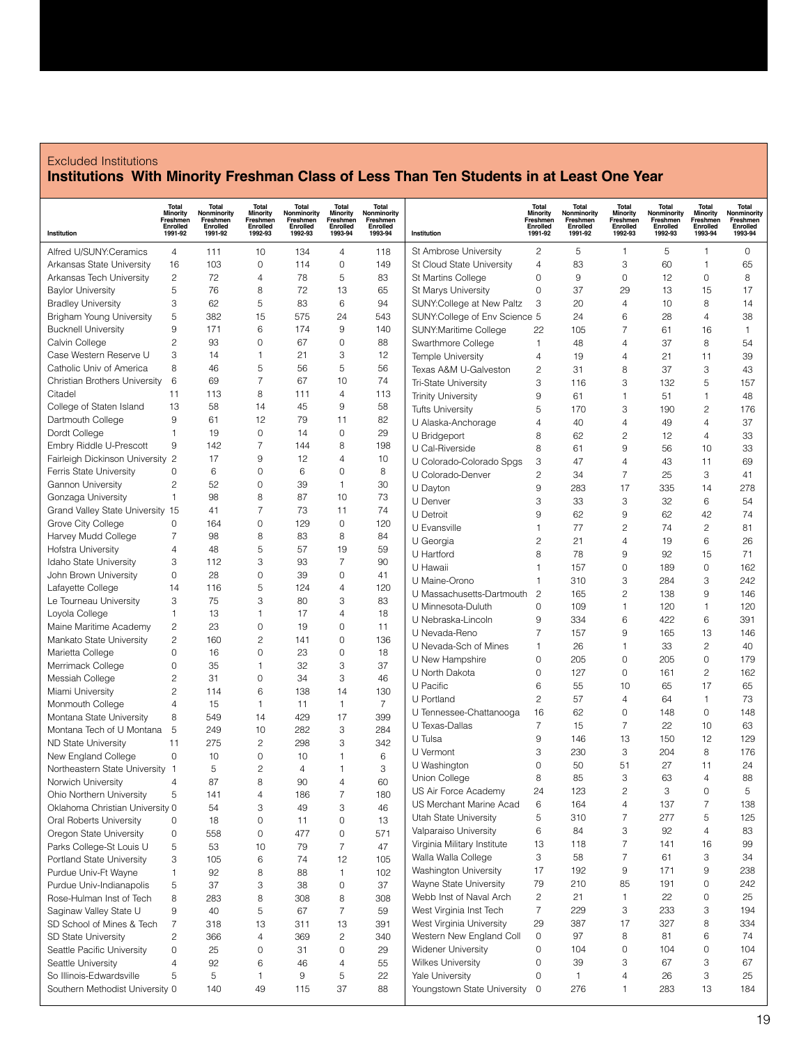#### Excluded Institutions **Institutions With Minority Freshman Class of Less Than Ten Students in at Least One Year**

| Institution                          | <b>Total</b><br><b>Minority</b><br>Freshmen<br>Enrolled<br>1991-92 | Total<br>Nonminority<br>Freshmen<br>Enrolled<br>1991-92 | Total<br><b>Minority</b><br>Freshmen<br>Enrolled<br>1992-93 | <b>Total</b><br>Nonminority<br>Freshmen<br>Enrolled<br>1992-93 | <b>Total</b><br><b>Minority</b><br>Freshmen<br>Enrolled<br>1993-94 | Total<br>Nonminority<br>Freshmen<br>Enrolled<br>1993-94 | Institution                   | <b>Total</b><br><b>Minority</b><br>Freshmen<br>Enrolled<br>1991-92 | Total<br>Nonminority<br>Freshmen<br><b>Enrolled</b><br>1991-92 | <b>Total</b><br><b>Minority</b><br>Freshmen<br>Enrolled<br>1992-93 | Total<br>Nonminority<br>Freshmen<br>Enrolled<br>1992-93 | <b>Total</b><br><b>Minority</b><br>Freshmen<br>Enrolled<br>1993-94 | <b>Total</b><br>Nonminority<br>Freshmen<br>Enrolled<br>1993-94 |
|--------------------------------------|--------------------------------------------------------------------|---------------------------------------------------------|-------------------------------------------------------------|----------------------------------------------------------------|--------------------------------------------------------------------|---------------------------------------------------------|-------------------------------|--------------------------------------------------------------------|----------------------------------------------------------------|--------------------------------------------------------------------|---------------------------------------------------------|--------------------------------------------------------------------|----------------------------------------------------------------|
| Alfred U/SUNY:Ceramics               | 4                                                                  | 111                                                     | 10                                                          | 134                                                            | 4                                                                  | 118                                                     | St Ambrose University         | 2                                                                  | 5                                                              | 1                                                                  | 5                                                       | $\mathbf{1}$                                                       | 0                                                              |
| Arkansas State University            | 16                                                                 | 103                                                     | 0                                                           | 114                                                            | 0                                                                  | 149                                                     | St Cloud State University     | 4                                                                  | 83                                                             | 3                                                                  | 60                                                      | 1                                                                  | 65                                                             |
| Arkansas Tech University             | $\mathbf{2}$                                                       | 72                                                      | 4                                                           | 78                                                             | 5                                                                  | 83                                                      | St Martins College            | 0                                                                  | $9\,$                                                          | 0                                                                  | 12                                                      | 0                                                                  | 8                                                              |
| <b>Baylor University</b>             | 5                                                                  | 76                                                      | 8                                                           | 72                                                             | 13                                                                 | 65                                                      | St Marys University           | $\mathbf 0$                                                        | 37                                                             | 29                                                                 | 13                                                      | 15                                                                 | 17                                                             |
| <b>Bradley University</b>            | 3                                                                  | 62                                                      | 5                                                           | 83                                                             | 6                                                                  | 94                                                      | SUNY:College at New Paltz     | 3                                                                  | 20                                                             | 4                                                                  | 10                                                      | 8                                                                  | 14                                                             |
| Brigham Young University             | 5                                                                  | 382                                                     | 15                                                          | 575                                                            | 24                                                                 | 543                                                     | SUNY:College of Env Science 5 |                                                                    | 24                                                             | 6                                                                  | 28                                                      | $\overline{4}$                                                     | 38                                                             |
| <b>Bucknell University</b>           | 9                                                                  | 171                                                     | 6                                                           | 174                                                            | 9                                                                  | 140                                                     | SUNY:Maritime College         | 22                                                                 | 105                                                            | $\overline{7}$                                                     | 61                                                      | 16                                                                 | $\mathbf{1}$                                                   |
| Calvin College                       | 2                                                                  | 93                                                      | 0                                                           | 67                                                             | 0                                                                  | 88                                                      | Swarthmore College            | 1                                                                  | 48                                                             | 4                                                                  | 37                                                      | 8                                                                  | 54                                                             |
| Case Western Reserve U               | 3                                                                  | 14                                                      | 1                                                           | 21                                                             | 3                                                                  | 12                                                      | Temple University             | 4                                                                  | 19                                                             | 4                                                                  | 21                                                      | 11                                                                 | 39                                                             |
| Catholic Univ of America             | 8                                                                  | 46                                                      | 5                                                           | 56                                                             | 5                                                                  | 56                                                      | Texas A&M U-Galveston         | $\overline{c}$                                                     | 31                                                             | 8                                                                  | 37                                                      | 3                                                                  | 43                                                             |
| Christian Brothers University        | 6                                                                  | 69                                                      | $\overline{7}$                                              | 67                                                             | 10                                                                 | 74                                                      | <b>Tri-State University</b>   | 3                                                                  | 116                                                            | 3                                                                  | 132                                                     | 5                                                                  | 157                                                            |
| Citadel                              | 11                                                                 | 113                                                     | 8                                                           | 111                                                            | 4                                                                  | 113                                                     | <b>Trinity University</b>     | 9                                                                  | 61                                                             | 1                                                                  | 51                                                      | $\mathbf{1}$                                                       | 48                                                             |
| College of Staten Island             | 13                                                                 | 58                                                      | 14                                                          | 45                                                             | 9                                                                  | 58                                                      | <b>Tufts University</b>       | 5                                                                  | 170                                                            | 3                                                                  | 190                                                     | $\overline{c}$                                                     | 176                                                            |
| Dartmouth College                    | $9\,$                                                              | 61                                                      | 12                                                          | 79                                                             | 11                                                                 | 82                                                      | U Alaska-Anchorage            | $\overline{4}$                                                     | 40                                                             | 4                                                                  | 49                                                      | 4                                                                  | 37                                                             |
| Dordt College                        | $\mathbf{1}$                                                       | 19                                                      | 0                                                           | 14                                                             | 0                                                                  | 29                                                      | U Bridgeport                  | 8                                                                  | 62                                                             | $\overline{c}$                                                     | 12                                                      | 4                                                                  | 33                                                             |
| Embry Riddle U-Prescott              | 9                                                                  | 142                                                     | $\overline{7}$                                              | 144                                                            | 8                                                                  | 198                                                     | U Cal-Riverside               | 8                                                                  | 61                                                             | 9                                                                  | 56                                                      | 10                                                                 | 33                                                             |
| Fairleigh Dickinson University 2     |                                                                    | 17                                                      | 9                                                           | 12                                                             | 4                                                                  | 10                                                      | U Colorado-Colorado Spgs      | 3                                                                  | 47                                                             | 4                                                                  | 43                                                      | 11                                                                 | 69                                                             |
| Ferris State University              | 0                                                                  | 6                                                       | 0                                                           | 6                                                              | 0                                                                  | 8                                                       | U Colorado-Denver             | $\overline{c}$                                                     | 34                                                             | 7                                                                  | 25                                                      | 3                                                                  | 41                                                             |
| <b>Gannon University</b>             | 2                                                                  | 52                                                      | 0                                                           | 39                                                             | 1                                                                  | 30                                                      | U Dayton                      | 9                                                                  | 283                                                            | 17                                                                 | 335                                                     | 14                                                                 | 278                                                            |
| Gonzaga University                   | $\mathbf{1}$                                                       | 98                                                      | 8                                                           | 87                                                             | 10                                                                 | 73                                                      | U Denver                      | 3                                                                  | 33                                                             | 3                                                                  | 32                                                      | 6                                                                  | 54                                                             |
| Grand Valley State University 15     |                                                                    | 41                                                      | 7                                                           | 73                                                             | 11                                                                 | 74                                                      | U Detroit                     | 9                                                                  | 62                                                             | 9                                                                  | 62                                                      | 42                                                                 | 74                                                             |
| Grove City College                   | 0                                                                  | 164                                                     | 0                                                           | 129                                                            | 0                                                                  | 120                                                     | U Evansville                  | 1                                                                  | 77                                                             | 2                                                                  | 74                                                      | $\mathbf{2}$                                                       | 81                                                             |
| Harvey Mudd College                  | 7                                                                  | 98                                                      | 8                                                           | 83                                                             | 8                                                                  | 84                                                      | U Georgia                     | $\overline{c}$                                                     | 21                                                             | 4                                                                  | 19                                                      | 6                                                                  | 26                                                             |
| Hofstra University                   | $\overline{4}$                                                     | 48                                                      | 5                                                           | 57                                                             | 19                                                                 | 59                                                      | U Hartford                    | 8                                                                  | 78                                                             | 9                                                                  | 92                                                      | 15                                                                 | 71                                                             |
| Idaho State University               | 3                                                                  | 112                                                     | 3                                                           | 93                                                             | 7                                                                  | 90                                                      | U Hawaii                      | 1                                                                  | 157                                                            | $\mathbf 0$                                                        | 189                                                     | 0                                                                  | 162                                                            |
| John Brown University                | $\mathbf{0}$                                                       | 28                                                      | 0                                                           | 39                                                             | 0                                                                  | 41                                                      | U Maine-Orono                 | 1                                                                  | 310                                                            | 3                                                                  | 284                                                     | 3                                                                  | 242                                                            |
| Lafayette College                    | 14                                                                 | 116                                                     | 5                                                           | 124                                                            | 4                                                                  | 120                                                     | U Massachusetts-Dartmouth     | $\overline{c}$                                                     | 165                                                            | 2                                                                  | 138                                                     | 9                                                                  | 146                                                            |
| Le Tourneau University               | 3                                                                  | 75                                                      | 3                                                           | 80                                                             | 3                                                                  | 83                                                      | U Minnesota-Duluth            | $\mathbf 0$                                                        | 109                                                            | 1                                                                  | 120                                                     | 1                                                                  | 120                                                            |
| Loyola College                       | $\mathbf{1}$                                                       | 13                                                      | $\mathbf{1}$                                                | 17                                                             | 4                                                                  | 18                                                      | U Nebraska-Lincoln            | 9                                                                  | 334                                                            | 6                                                                  | 422                                                     | 6                                                                  | 391                                                            |
| Maine Maritime Academy               | 2                                                                  | 23                                                      | 0                                                           | 19                                                             | 0                                                                  | 11                                                      | U Nevada-Reno                 | 7                                                                  | 157                                                            | 9                                                                  | 165                                                     | 13                                                                 | 146                                                            |
| Mankato State University             | $\overline{c}$                                                     | 160                                                     | $\overline{c}$                                              | 141                                                            | 0                                                                  | 136                                                     | U Nevada-Sch of Mines         | 1                                                                  | 26                                                             | 1                                                                  | 33                                                      | $\overline{c}$                                                     | 40                                                             |
| Marietta College                     | $\mathbf 0$<br>0                                                   | 16<br>35                                                | 0<br>$\mathbf{1}$                                           | 23<br>32                                                       | 0<br>3                                                             | 18<br>37                                                | U New Hampshire               | 0                                                                  | 205                                                            | 0                                                                  | 205                                                     | $\mathbf 0$                                                        | 179                                                            |
| Merrimack College<br>Messiah College | 2                                                                  | 31                                                      | 0                                                           | 34                                                             | 3                                                                  | 46                                                      | U North Dakota                | 0                                                                  | 127                                                            | $\mathbf 0$                                                        | 161                                                     | $\mathbf{2}$                                                       | 162                                                            |
| Miami University                     | 2                                                                  | 114                                                     | 6                                                           | 138                                                            | 14                                                                 | 130                                                     | U Pacific                     | 6                                                                  | 55                                                             | 10                                                                 | 65                                                      | 17                                                                 | 65                                                             |
| Monmouth College                     | 4                                                                  | 15                                                      | 1                                                           | 11                                                             | 1                                                                  | $\overline{7}$                                          | U Portland                    | $\overline{c}$                                                     | 57                                                             | 4                                                                  | 64                                                      | $\mathbf{1}$                                                       | 73                                                             |
| Montana State University             | 8                                                                  | 549                                                     | 14                                                          | 429                                                            | 17                                                                 | 399                                                     | U Tennessee-Chattanooga       | 16                                                                 | 62                                                             | 0                                                                  | 148                                                     | 0                                                                  | 148                                                            |
| Montana Tech of U Montana            | 5                                                                  | 249                                                     | 10                                                          | 282                                                            | 3                                                                  | 284                                                     | U Texas-Dallas                | 7                                                                  | 15                                                             | 7                                                                  | 22                                                      | 10                                                                 | 63                                                             |
| <b>ND State University</b>           | 11                                                                 | 275                                                     | $\overline{c}$                                              | 298                                                            | 3                                                                  | 342                                                     | U Tulsa                       | 9                                                                  | 146                                                            | 13                                                                 | 150                                                     | 12                                                                 | 129                                                            |
| New England College                  | $\mathbf 0$                                                        | 10                                                      | $\mathbf 0$                                                 | 10                                                             | 1                                                                  | 6                                                       | U Vermont                     | 3                                                                  | 230                                                            | 3                                                                  | 204                                                     | 8                                                                  | 176                                                            |
| Northeastern State University        | -1                                                                 | 5                                                       | 2                                                           | $\overline{4}$                                                 |                                                                    | 3                                                       | U Washington                  | 0                                                                  | 50                                                             | 51                                                                 | 27                                                      | 11                                                                 | 24                                                             |
| Norwich University                   | 4                                                                  | 87                                                      | 8                                                           | 90                                                             | $\overline{4}$                                                     | 60                                                      | Union College                 | 8                                                                  | 85                                                             | 3                                                                  | 63                                                      | 4                                                                  | 88                                                             |
| Ohio Northern University             | 5                                                                  | 141                                                     | 4                                                           | 186                                                            | 7                                                                  | 180                                                     | US Air Force Academy          | 24                                                                 | 123                                                            | 2                                                                  | 3                                                       | 0                                                                  | 5                                                              |
| Oklahoma Christian University 0      |                                                                    | 54                                                      | 3                                                           | 49                                                             | 3                                                                  | 46                                                      | US Merchant Marine Acad       | 6                                                                  | 164                                                            | 4                                                                  | 137                                                     | $\overline{7}$                                                     | 138                                                            |
| Oral Roberts University              | 0                                                                  | 18                                                      | 0                                                           | 11                                                             | 0                                                                  | 13                                                      | Utah State University         | 5                                                                  | 310                                                            | 7                                                                  | 277                                                     | 5                                                                  | 125                                                            |
| Oregon State University              | $\mathbf 0$                                                        | 558                                                     | 0                                                           | 477                                                            | 0                                                                  | 571                                                     | Valparaiso University         | 6                                                                  | 84                                                             | 3                                                                  | 92                                                      | 4                                                                  | 83                                                             |
| Parks College-St Louis U             | 5                                                                  | 53                                                      | 10                                                          | 79                                                             | 7                                                                  | 47                                                      | Virginia Military Institute   | 13                                                                 | 118                                                            | 7                                                                  | 141                                                     | 16                                                                 | 99                                                             |
| Portland State University            | 3                                                                  | 105                                                     | 6                                                           | 74                                                             | 12                                                                 | 105                                                     | Walla Walla College           | 3                                                                  | 58                                                             | 7                                                                  | 61                                                      | 3                                                                  | 34                                                             |
| Purdue Univ-Ft Wayne                 | 1                                                                  | 92                                                      | 8                                                           | 88                                                             | 1                                                                  | 102                                                     | Washington University         | 17                                                                 | 192                                                            | 9                                                                  | 171                                                     | 9                                                                  | 238                                                            |
| Purdue Univ-Indianapolis             | 5                                                                  | 37                                                      | 3                                                           | 38                                                             | 0                                                                  | 37                                                      | Wayne State University        | 79                                                                 | 210                                                            | 85                                                                 | 191                                                     | 0                                                                  | 242                                                            |
| Rose-Hulman Inst of Tech             | 8                                                                  | 283                                                     | 8                                                           | 308                                                            | 8                                                                  | 308                                                     | Webb Inst of Naval Arch       | 2                                                                  | 21                                                             | 1                                                                  | 22                                                      | 0                                                                  | 25                                                             |
| Saginaw Valley State U               | $\boldsymbol{9}$                                                   | 40                                                      | 5                                                           | 67                                                             | 7                                                                  | 59                                                      | West Virginia Inst Tech       | $\overline{7}$                                                     | 229                                                            | 3                                                                  | 233                                                     | 3                                                                  | 194                                                            |
| SD School of Mines & Tech            | $\overline{7}$                                                     | 318                                                     | 13                                                          | 311                                                            | 13                                                                 | 391                                                     | West Virginia University      | 29                                                                 | 387                                                            | 17                                                                 | 327                                                     | 8                                                                  | 334                                                            |
| <b>SD State University</b>           | $\overline{c}$                                                     | 366                                                     | $\overline{4}$                                              | 369                                                            | $\overline{c}$                                                     | 340                                                     | Western New England Coll      | 0                                                                  | 97                                                             | 8                                                                  | 81                                                      | 6                                                                  | 74                                                             |
| Seattle Pacific University           | 0                                                                  | 25                                                      | 0                                                           | 31                                                             | 0                                                                  | 29                                                      | Widener University            | 0                                                                  | 104                                                            | 0                                                                  | 104                                                     | 0                                                                  | 104                                                            |
| Seattle University                   | 4                                                                  | 92                                                      | 6                                                           | 46                                                             | 4                                                                  | 55                                                      | <b>Wilkes University</b>      | 0                                                                  | 39                                                             | 3                                                                  | 67                                                      | 3                                                                  | 67                                                             |
| So Illinois-Edwardsville             | 5                                                                  | 5                                                       | 1                                                           | 9                                                              | 5                                                                  | 22                                                      | Yale University               | 0                                                                  | $\mathbf{1}$                                                   | 4                                                                  | 26                                                      | 3                                                                  | 25                                                             |
| Southern Methodist University 0      |                                                                    | 140                                                     | 49                                                          | 115                                                            | 37                                                                 | 88                                                      | Youngstown State University   | 0                                                                  | 276                                                            | 1                                                                  | 283                                                     | 13                                                                 | 184                                                            |